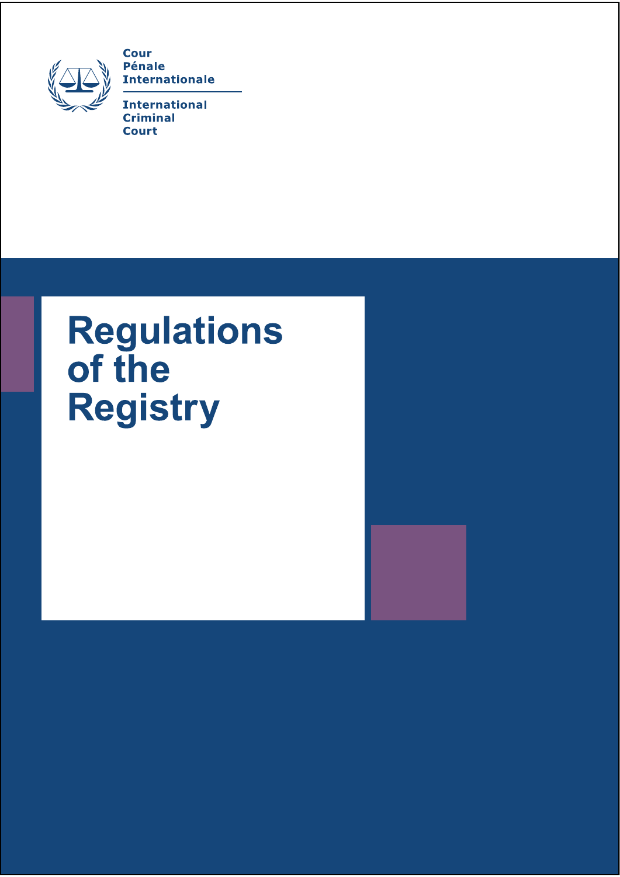

**Cour Pénale Internationale** 

**International Criminal Court** 

# **Regulations** of the **Registry**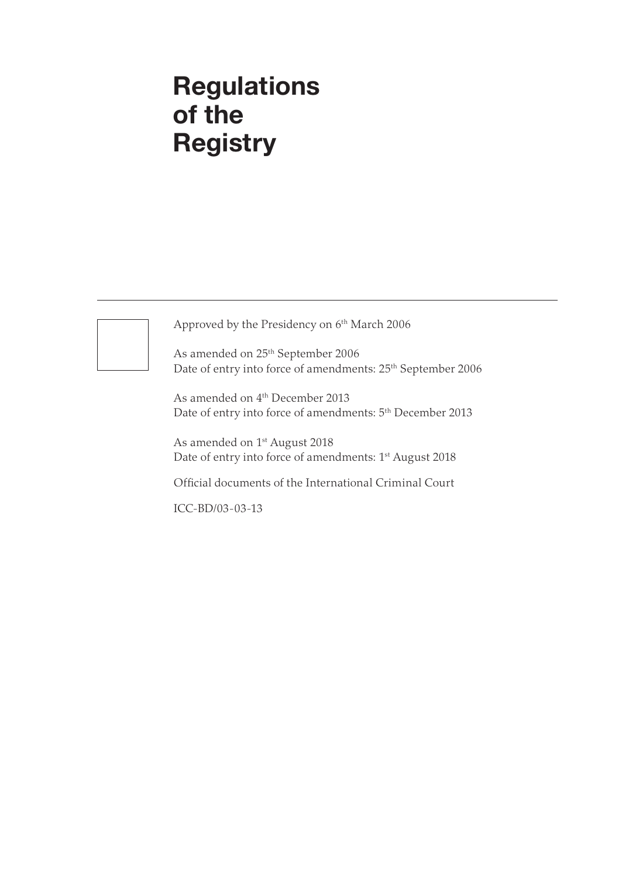# **Regulations** of the **Registry**

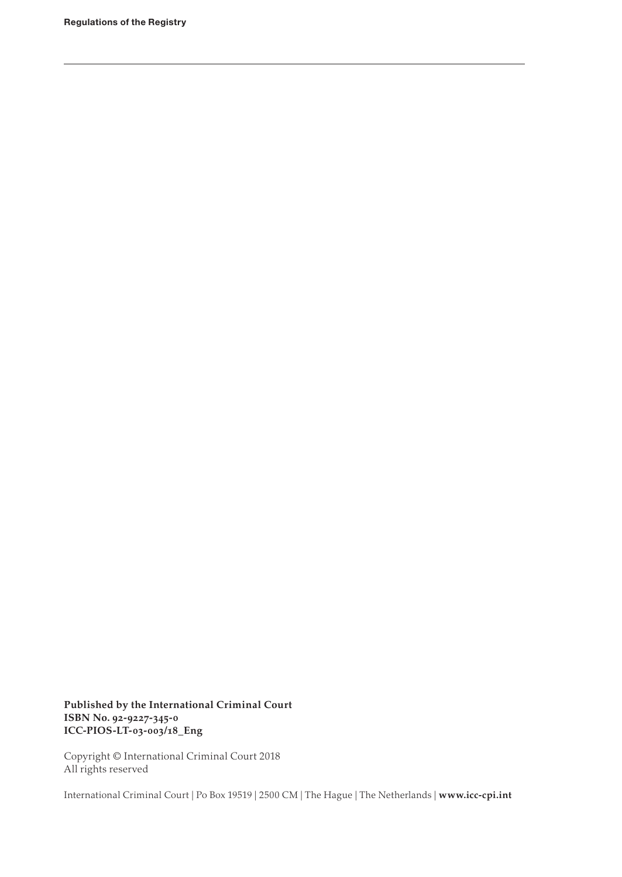**Published by the International Criminal Court ISBN No. 92-9227-345-0 ICC-PIOS-LT-03-003/18\_Eng**

Copyright © International Criminal Court 2018 All rights reserved

International Criminal Court | Po Box 19519 | 2500 CM | The Hague | The Netherlands | **www.icc-cpi.int**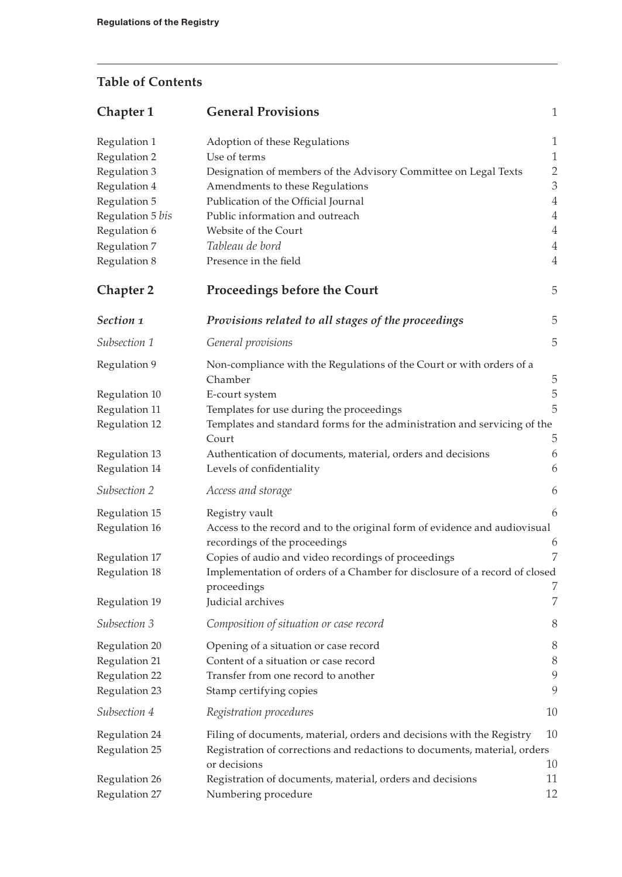# **Table of Contents**

| Chapter 1        | <b>General Provisions</b>                                                       | 1              |
|------------------|---------------------------------------------------------------------------------|----------------|
| Regulation 1     | Adoption of these Regulations                                                   | 1              |
| Regulation 2     | Use of terms                                                                    | $\mathbf{1}$   |
| Regulation 3     | Designation of members of the Advisory Committee on Legal Texts                 | $\overline{2}$ |
| Regulation 4     | Amendments to these Regulations                                                 | 3              |
| Regulation 5     | Publication of the Official Journal                                             | $\overline{4}$ |
| Regulation 5 bis | Public information and outreach                                                 | 4              |
| Regulation 6     | Website of the Court                                                            | $\overline{4}$ |
| Regulation 7     | Tableau de bord                                                                 | $\overline{4}$ |
| Regulation 8     | Presence in the field                                                           | $\overline{4}$ |
| Chapter 2        | <b>Proceedings before the Court</b>                                             | 5              |
| Section 1        | Provisions related to all stages of the proceedings                             | 5              |
| Subsection 1     | General provisions                                                              | 5              |
| Regulation 9     | Non-compliance with the Regulations of the Court or with orders of a<br>Chamber | 5              |
| Regulation 10    | E-court system                                                                  | 5              |
| Regulation 11    | Templates for use during the proceedings                                        | 5              |
| Regulation 12    | Templates and standard forms for the administration and servicing of the        |                |
|                  | Court                                                                           | 5              |
| Regulation 13    | Authentication of documents, material, orders and decisions                     | 6              |
| Regulation 14    | Levels of confidentiality                                                       | 6              |
| Subsection 2     | Access and storage                                                              | 6              |
| Regulation 15    | Registry vault                                                                  | 6              |
| Regulation 16    | Access to the record and to the original form of evidence and audiovisual       |                |
|                  | recordings of the proceedings                                                   | 6              |
| Regulation 17    | Copies of audio and video recordings of proceedings                             | 7              |
| Regulation 18    | Implementation of orders of a Chamber for disclosure of a record of closed      |                |
|                  | proceedings                                                                     | 7              |
| Regulation 19    | Judicial archives                                                               | 7              |
| Subsection 3     | Composition of situation or case record                                         | 8              |
| Regulation 20    | Opening of a situation or case record                                           | 8              |
| Regulation 21    | Content of a situation or case record                                           | 8              |
| Regulation 22    | Transfer from one record to another                                             | 9              |
| Regulation 23    | Stamp certifying copies                                                         | 9              |
| Subsection 4     | Registration procedures                                                         | 10             |
| Regulation 24    | Filing of documents, material, orders and decisions with the Registry           | 10             |
| Regulation 25    | Registration of corrections and redactions to documents, material, orders       |                |
|                  | or decisions                                                                    | 10             |
| Regulation 26    | Registration of documents, material, orders and decisions                       | 11             |
| Regulation 27    | Numbering procedure                                                             | 12             |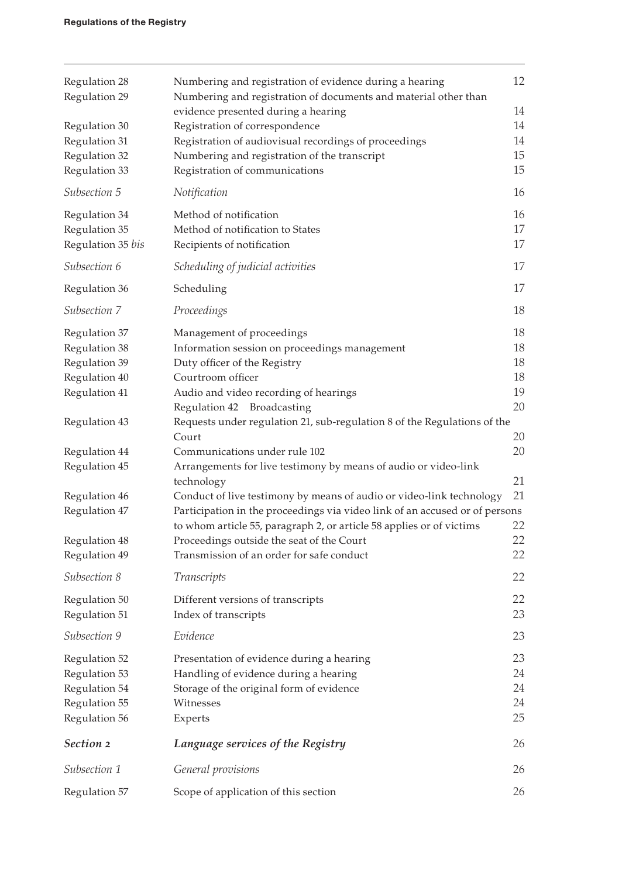| Regulation 28<br>Numbering and registration of evidence during a hearing<br>Regulation 29<br>Numbering and registration of documents and material other than | 12                                                                          |
|--------------------------------------------------------------------------------------------------------------------------------------------------------------|-----------------------------------------------------------------------------|
| evidence presented during a hearing                                                                                                                          | 14                                                                          |
| Registration of correspondence<br>Regulation 30                                                                                                              | 14                                                                          |
| Registration of audiovisual recordings of proceedings<br>Regulation 31                                                                                       | 14                                                                          |
| Regulation 32<br>Numbering and registration of the transcript                                                                                                | 15                                                                          |
| Regulation 33<br>Registration of communications                                                                                                              | 15                                                                          |
| Subsection 5<br>Notification                                                                                                                                 | 16                                                                          |
| Method of notification<br>Regulation 34                                                                                                                      | 16                                                                          |
| Method of notification to States<br>Regulation 35                                                                                                            | 17                                                                          |
| Regulation 35 bis<br>Recipients of notification                                                                                                              | 17                                                                          |
| Subsection 6<br>Scheduling of judicial activities                                                                                                            | 17                                                                          |
|                                                                                                                                                              |                                                                             |
| Regulation 36<br>Scheduling                                                                                                                                  | 17                                                                          |
| Subsection 7<br>Proceedings                                                                                                                                  | 18                                                                          |
| Regulation 37<br>Management of proceedings                                                                                                                   | 18                                                                          |
| Regulation 38<br>Information session on proceedings management                                                                                               | 18                                                                          |
| Regulation 39<br>Duty officer of the Registry                                                                                                                | 18                                                                          |
| Regulation 40<br>Courtroom officer                                                                                                                           | 18                                                                          |
| Audio and video recording of hearings<br>Regulation 41                                                                                                       | 19                                                                          |
| Regulation 42 Broadcasting                                                                                                                                   | 20                                                                          |
| Regulation 43                                                                                                                                                | Requests under regulation 21, sub-regulation 8 of the Regulations of the    |
| Court                                                                                                                                                        | 20                                                                          |
| Communications under rule 102<br>Regulation 44                                                                                                               | 20                                                                          |
| Regulation 45<br>Arrangements for live testimony by means of audio or video-link<br>technology                                                               | 21                                                                          |
| Regulation 46                                                                                                                                                | 21<br>Conduct of live testimony by means of audio or video-link technology  |
| Regulation 47                                                                                                                                                | Participation in the proceedings via video link of an accused or of persons |
| to whom article 55, paragraph 2, or article 58 applies or of victims                                                                                         | 22                                                                          |
| Proceedings outside the seat of the Court<br>Regulation 48                                                                                                   | 22                                                                          |
| Regulation 49<br>Transmission of an order for safe conduct                                                                                                   | 22                                                                          |
| Subsection 8<br>Transcripts                                                                                                                                  | 22                                                                          |
|                                                                                                                                                              |                                                                             |
| Regulation 50<br>Different versions of transcripts                                                                                                           | 22                                                                          |
| Regulation 51<br>Index of transcripts                                                                                                                        | 23                                                                          |
| Subsection 9<br>Evidence                                                                                                                                     | 23                                                                          |
| Regulation 52<br>Presentation of evidence during a hearing                                                                                                   | 23                                                                          |
| Regulation 53<br>Handling of evidence during a hearing                                                                                                       | 24                                                                          |
| Regulation 54<br>Storage of the original form of evidence                                                                                                    | 24                                                                          |
| Regulation 55<br>Witnesses                                                                                                                                   | 24                                                                          |
| Regulation 56<br>Experts                                                                                                                                     | 25                                                                          |
| Section 2<br>Language services of the Registry                                                                                                               | 26                                                                          |
| Subsection 1<br><i>General provisions</i>                                                                                                                    | 26                                                                          |
| Regulation 57<br>Scope of application of this section                                                                                                        | 26                                                                          |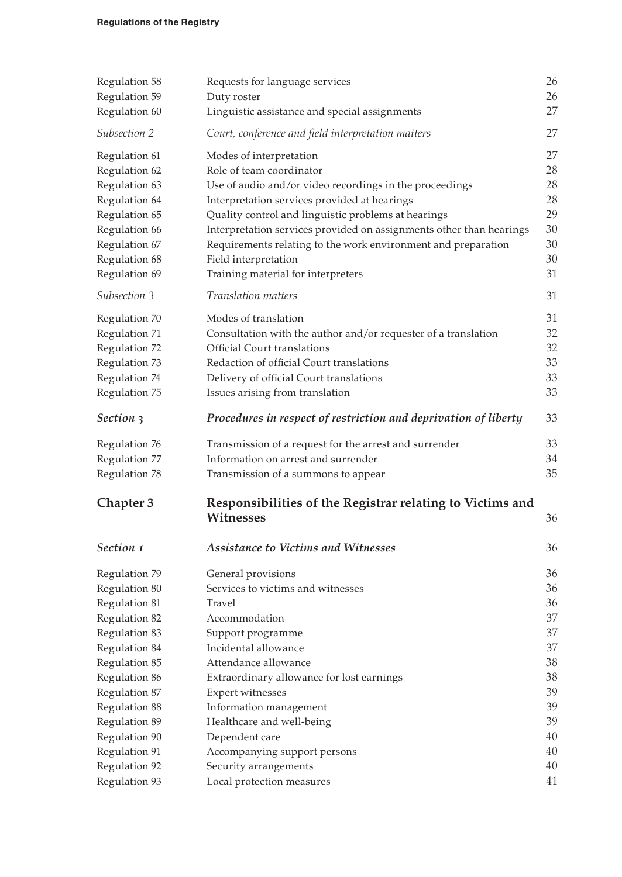| Regulation 58                  | Requests for language services                                         | 26       |
|--------------------------------|------------------------------------------------------------------------|----------|
| Regulation 59                  | Duty roster                                                            | 26       |
| Regulation 60                  | Linguistic assistance and special assignments                          | 27       |
| Subsection 2                   | Court, conference and field interpretation matters                     | 27       |
| Regulation 61                  | Modes of interpretation                                                | 27       |
| Regulation 62                  | Role of team coordinator                                               | 28       |
| Regulation 63                  | Use of audio and/or video recordings in the proceedings                | 28       |
| Regulation 64                  | Interpretation services provided at hearings                           | 28       |
| Regulation 65                  | Quality control and linguistic problems at hearings                    | 29       |
| Regulation 66                  | Interpretation services provided on assignments other than hearings    | 30       |
| Regulation 67                  | Requirements relating to the work environment and preparation          | 30       |
| Regulation 68                  | Field interpretation                                                   | 30       |
| Regulation 69                  | Training material for interpreters                                     | 31       |
| Subsection 3                   | <i>Translation matters</i>                                             | 31       |
| Regulation 70                  | Modes of translation                                                   | 31       |
| Regulation 71                  | Consultation with the author and/or requester of a translation         | 32       |
| Regulation 72                  | Official Court translations                                            | 32       |
| Regulation 73                  | Redaction of official Court translations                               | 33       |
| Regulation 74                  | Delivery of official Court translations                                | 33       |
| Regulation 75                  | Issues arising from translation                                        | 33       |
| Section 3                      | Procedures in respect of restriction and deprivation of liberty        | 33       |
| Regulation 76                  | Transmission of a request for the arrest and surrender                 | 33       |
| Regulation 77                  | Information on arrest and surrender                                    | 34       |
| Regulation 78                  | Transmission of a summons to appear                                    | 35       |
| Chapter 3                      | Responsibilities of the Registrar relating to Victims and<br>Witnesses | 36       |
| Section 1                      | <b>Assistance to Victims and Witnesses</b>                             | 36       |
| Regulation 79                  | General provisions                                                     | 36       |
| Regulation 80                  | Services to victims and witnesses                                      | 36       |
| Regulation 81                  | Travel                                                                 | 36       |
| Regulation 82                  | Accommodation                                                          | 37       |
| Regulation 83                  | Support programme                                                      | 37       |
| Regulation 84                  | Incidental allowance                                                   | 37       |
| Regulation 85                  |                                                                        |          |
|                                | Attendance allowance                                                   | 38       |
| Regulation 86                  | Extraordinary allowance for lost earnings                              | 38       |
| Regulation 87                  | Expert witnesses                                                       | 39       |
| Regulation 88                  | Information management                                                 | 39       |
| Regulation 89                  | Healthcare and well-being                                              | 39       |
| Regulation 90                  | Dependent care                                                         | 40       |
| Regulation 91                  | Accompanying support persons                                           | 40       |
| Regulation 92<br>Regulation 93 | Security arrangements<br>Local protection measures                     | 40<br>41 |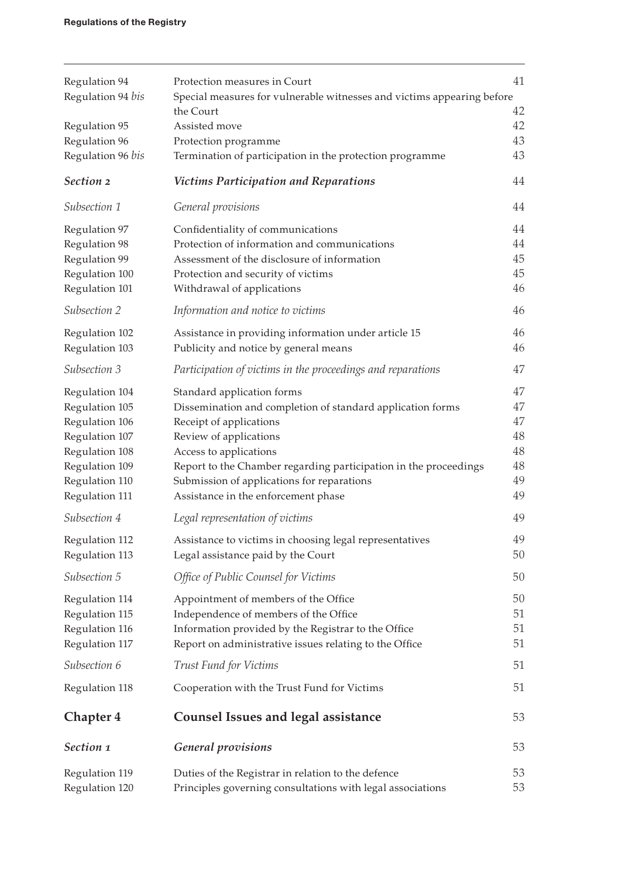| Regulation 94     | Protection measures in Court                                                        | 41 |
|-------------------|-------------------------------------------------------------------------------------|----|
| Regulation 94 bis | Special measures for vulnerable witnesses and victims appearing before<br>the Court | 42 |
| Regulation 95     | Assisted move                                                                       | 42 |
| Regulation 96     | Protection programme                                                                | 43 |
| Regulation 96 bis | Termination of participation in the protection programme                            | 43 |
| Section 2         | <b>Victims Participation and Reparations</b>                                        | 44 |
| Subsection 1      | General provisions                                                                  | 44 |
| Regulation 97     | Confidentiality of communications                                                   | 44 |
| Regulation 98     | Protection of information and communications                                        | 44 |
| Regulation 99     | Assessment of the disclosure of information                                         | 45 |
| Regulation 100    | Protection and security of victims                                                  | 45 |
| Regulation 101    | Withdrawal of applications                                                          | 46 |
| Subsection 2      | Information and notice to victims                                                   | 46 |
| Regulation 102    | Assistance in providing information under article 15                                | 46 |
| Regulation 103    | Publicity and notice by general means                                               | 46 |
| Subsection 3      | Participation of victims in the proceedings and reparations                         | 47 |
| Regulation 104    | Standard application forms                                                          | 47 |
| Regulation 105    | Dissemination and completion of standard application forms                          | 47 |
| Regulation 106    | Receipt of applications                                                             | 47 |
| Regulation 107    | Review of applications                                                              | 48 |
| Regulation 108    | Access to applications                                                              | 48 |
| Regulation 109    | Report to the Chamber regarding participation in the proceedings                    | 48 |
| Regulation 110    | Submission of applications for reparations                                          | 49 |
| Regulation 111    | Assistance in the enforcement phase                                                 | 49 |
| Subsection 4      | Legal representation of victims                                                     | 49 |
| Regulation 112    | Assistance to victims in choosing legal representatives                             | 49 |
| Regulation 113    | Legal assistance paid by the Court                                                  | 50 |
| Subsection 5      | Office of Public Counsel for Victims                                                | 50 |
| Regulation 114    | Appointment of members of the Office                                                | 50 |
| Regulation 115    | Independence of members of the Office                                               | 51 |
| Regulation 116    | Information provided by the Registrar to the Office                                 | 51 |
| Regulation 117    | Report on administrative issues relating to the Office                              | 51 |
| Subsection 6      | Trust Fund for Victims                                                              | 51 |
| Regulation 118    | Cooperation with the Trust Fund for Victims                                         | 51 |
| Chapter 4         | <b>Counsel Issues and legal assistance</b>                                          | 53 |
| Section 1         | General provisions                                                                  | 53 |
| Regulation 119    | Duties of the Registrar in relation to the defence                                  | 53 |
| Regulation 120    | Principles governing consultations with legal associations                          | 53 |
|                   |                                                                                     |    |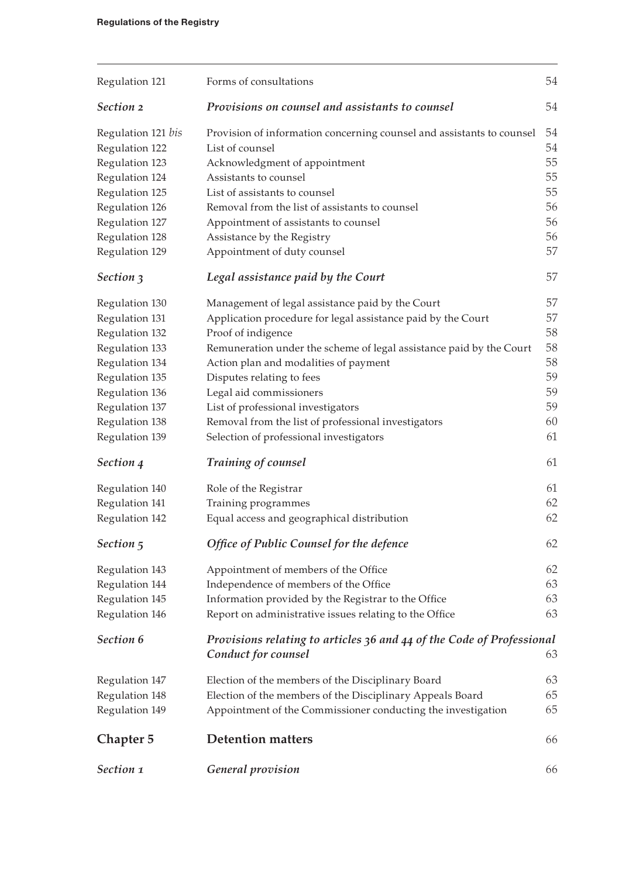| Regulation 121     | Forms of consultations                                                                       | 54 |
|--------------------|----------------------------------------------------------------------------------------------|----|
| Section 2          | Provisions on counsel and assistants to counsel                                              | 54 |
| Regulation 121 bis | Provision of information concerning counsel and assistants to counsel                        | 54 |
| Regulation 122     | List of counsel                                                                              | 54 |
| Regulation 123     | Acknowledgment of appointment                                                                | 55 |
| Regulation 124     | Assistants to counsel                                                                        | 55 |
| Regulation 125     | List of assistants to counsel                                                                | 55 |
| Regulation 126     | Removal from the list of assistants to counsel                                               | 56 |
| Regulation 127     | Appointment of assistants to counsel                                                         | 56 |
| Regulation 128     | Assistance by the Registry                                                                   | 56 |
| Regulation 129     | Appointment of duty counsel                                                                  | 57 |
| Section 3          | Legal assistance paid by the Court                                                           | 57 |
| Regulation 130     | Management of legal assistance paid by the Court                                             | 57 |
| Regulation 131     | Application procedure for legal assistance paid by the Court                                 | 57 |
| Regulation 132     | Proof of indigence                                                                           | 58 |
| Regulation 133     | Remuneration under the scheme of legal assistance paid by the Court                          | 58 |
| Regulation 134     | Action plan and modalities of payment                                                        | 58 |
| Regulation 135     | Disputes relating to fees                                                                    | 59 |
| Regulation 136     | Legal aid commissioners                                                                      | 59 |
| Regulation 137     | List of professional investigators                                                           | 59 |
| Regulation 138     | Removal from the list of professional investigators                                          | 60 |
| Regulation 139     | Selection of professional investigators                                                      | 61 |
| Section 4          | Training of counsel                                                                          | 61 |
| Regulation 140     | Role of the Registrar                                                                        | 61 |
| Regulation 141     | Training programmes                                                                          | 62 |
| Regulation 142     | Equal access and geographical distribution                                                   | 62 |
| Section 5          | Office of Public Counsel for the defence                                                     | 62 |
| Regulation 143     | Appointment of members of the Office                                                         | 62 |
| Regulation 144     | Independence of members of the Office                                                        | 63 |
| Regulation 145     | Information provided by the Registrar to the Office                                          | 63 |
| Regulation 146     | Report on administrative issues relating to the Office                                       | 63 |
| <b>Section 6</b>   | Provisions relating to articles 36 and 44 of the Code of Professional<br>Conduct for counsel | 63 |
| Regulation 147     | Election of the members of the Disciplinary Board                                            | 63 |
| Regulation 148     | Election of the members of the Disciplinary Appeals Board                                    | 65 |
| Regulation 149     | Appointment of the Commissioner conducting the investigation                                 | 65 |
| <b>Chapter 5</b>   | <b>Detention matters</b>                                                                     | 66 |
| Section 1          | <b>General provision</b>                                                                     | 66 |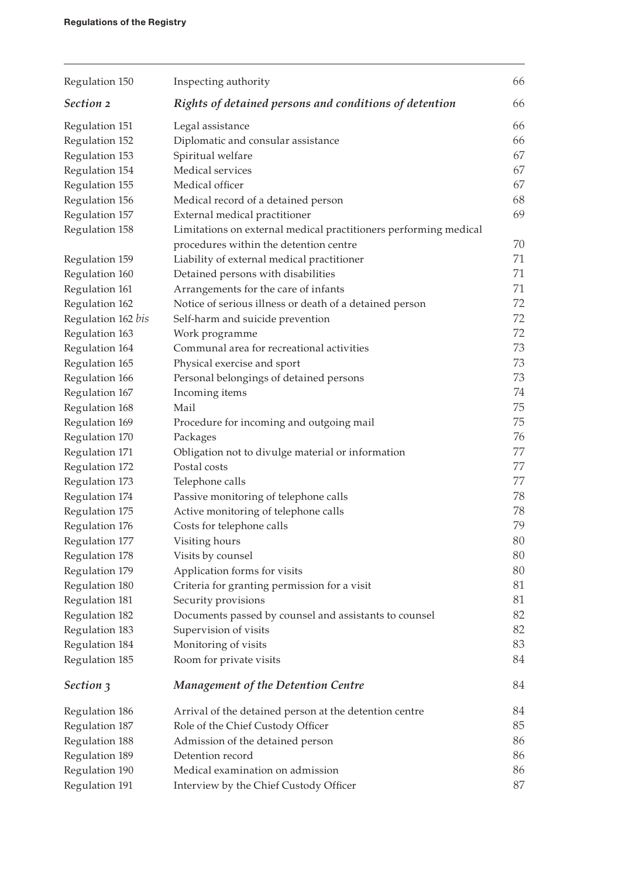| Regulation 150     | Inspecting authority                                             | 66 |
|--------------------|------------------------------------------------------------------|----|
| Section 2          | Rights of detained persons and conditions of detention           | 66 |
| Regulation 151     | Legal assistance                                                 | 66 |
| Regulation 152     | Diplomatic and consular assistance                               | 66 |
| Regulation 153     | Spiritual welfare                                                | 67 |
| Regulation 154     | Medical services                                                 | 67 |
| Regulation 155     | Medical officer                                                  | 67 |
| Regulation 156     | Medical record of a detained person                              | 68 |
| Regulation 157     | External medical practitioner                                    | 69 |
| Regulation 158     | Limitations on external medical practitioners performing medical |    |
|                    | procedures within the detention centre                           | 70 |
| Regulation 159     | Liability of external medical practitioner                       | 71 |
| Regulation 160     | Detained persons with disabilities                               | 71 |
| Regulation 161     | Arrangements for the care of infants                             | 71 |
| Regulation 162     | Notice of serious illness or death of a detained person          | 72 |
| Regulation 162 bis | Self-harm and suicide prevention                                 | 72 |
| Regulation 163     | Work programme                                                   | 72 |
| Regulation 164     | Communal area for recreational activities                        | 73 |
| Regulation 165     | Physical exercise and sport                                      | 73 |
| Regulation 166     | Personal belongings of detained persons                          | 73 |
| Regulation 167     | Incoming items                                                   | 74 |
| Regulation 168     | Mail                                                             | 75 |
| Regulation 169     | Procedure for incoming and outgoing mail                         | 75 |
| Regulation 170     | Packages                                                         | 76 |
| Regulation 171     | Obligation not to divulge material or information                | 77 |
| Regulation 172     | Postal costs                                                     | 77 |
| Regulation 173     | Telephone calls                                                  | 77 |
| Regulation 174     | Passive monitoring of telephone calls                            | 78 |
| Regulation 175     | Active monitoring of telephone calls                             | 78 |
| Regulation 176     | Costs for telephone calls                                        | 79 |
| Regulation 177     | Visiting hours                                                   | 80 |
| Regulation 178     | Visits by counsel                                                | 80 |
| Regulation 179     | Application forms for visits                                     | 80 |
| Regulation 180     | Criteria for granting permission for a visit                     | 81 |
| Regulation 181     | Security provisions                                              | 81 |
| Regulation 182     | Documents passed by counsel and assistants to counsel            | 82 |
| Regulation 183     | Supervision of visits                                            | 82 |
| Regulation 184     | Monitoring of visits                                             | 83 |
| Regulation 185     | Room for private visits                                          | 84 |
| Section 3          | <b>Management of the Detention Centre</b>                        | 84 |
| Regulation 186     | Arrival of the detained person at the detention centre           | 84 |
| Regulation 187     | Role of the Chief Custody Officer                                | 85 |
| Regulation 188     | Admission of the detained person                                 | 86 |
| Regulation 189     | Detention record                                                 | 86 |
| Regulation 190     | Medical examination on admission                                 | 86 |
| Regulation 191     | Interview by the Chief Custody Officer                           | 87 |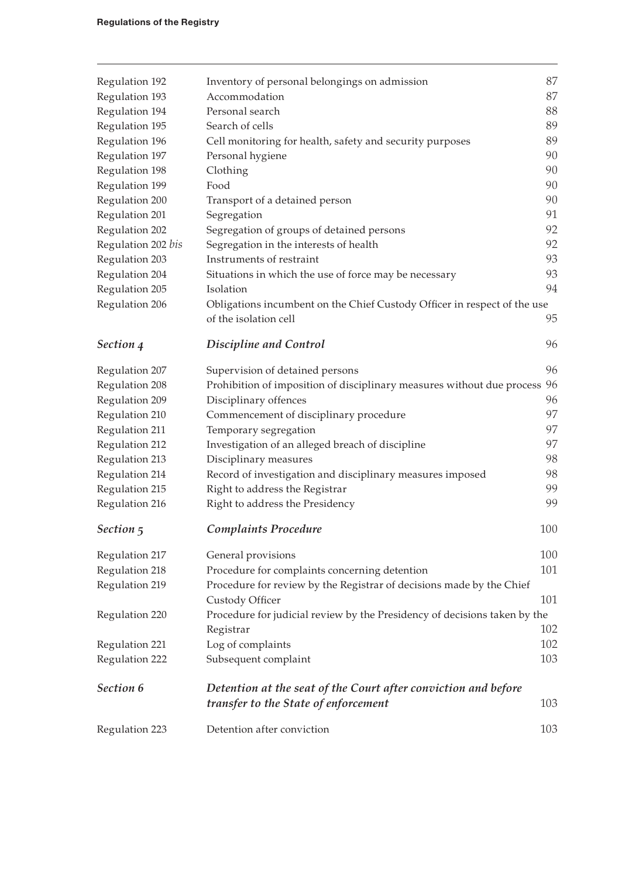|                    | transfer to the State of enforcement                                      | 103 |
|--------------------|---------------------------------------------------------------------------|-----|
| Section 6          | Detention at the seat of the Court after conviction and before            |     |
| Regulation 222     | Subsequent complaint                                                      | 103 |
| Regulation 221     | Log of complaints                                                         | 102 |
|                    | Registrar                                                                 | 102 |
| Regulation 220     | Procedure for judicial review by the Presidency of decisions taken by the |     |
|                    | Custody Officer                                                           | 101 |
| Regulation 219     | Procedure for review by the Registrar of decisions made by the Chief      |     |
| Regulation 218     | Procedure for complaints concerning detention                             | 101 |
| Regulation 217     | General provisions                                                        | 100 |
| Section 5          | Complaints Procedure                                                      | 100 |
| Regulation 216     | Right to address the Presidency                                           | 99  |
| Regulation 215     | Right to address the Registrar                                            | 99  |
| Regulation 214     | Record of investigation and disciplinary measures imposed                 | 98  |
| Regulation 213     | Disciplinary measures                                                     | 98  |
| Regulation 212     | Investigation of an alleged breach of discipline                          | 97  |
| Regulation 211     | Temporary segregation                                                     | 97  |
| Regulation 210     | Commencement of disciplinary procedure                                    | 97  |
| Regulation 209     | Disciplinary offences                                                     | 96  |
| Regulation 208     | Prohibition of imposition of disciplinary measures without due process 96 |     |
| Regulation 207     | Supervision of detained persons                                           | 96  |
| Section 4          | Discipline and Control                                                    | 96  |
|                    | of the isolation cell                                                     | 95  |
| Regulation 206     | Obligations incumbent on the Chief Custody Officer in respect of the use  |     |
| Regulation 205     | Isolation                                                                 | 94  |
| Regulation 204     | Situations in which the use of force may be necessary                     | 93  |
| Regulation 203     | Instruments of restraint                                                  | 93  |
| Regulation 202 bis | Segregation in the interests of health                                    | 92  |
| Regulation 202     | Segregation of groups of detained persons                                 | 92  |
| Regulation 201     | Segregation                                                               | 91  |
| Regulation 200     | Transport of a detained person                                            | 90  |
| Regulation 199     | Food                                                                      | 90  |
| Regulation 198     | Clothing                                                                  | 90  |
| Regulation 197     | Personal hygiene                                                          | 90  |
| Regulation 196     | Cell monitoring for health, safety and security purposes                  | 89  |
| Regulation 195     | Search of cells                                                           | 89  |
| Regulation 194     | Personal search                                                           | 88  |
| Regulation 193     | Accommodation                                                             | 87  |
| Regulation 192     | Inventory of personal belongings on admission                             | 87  |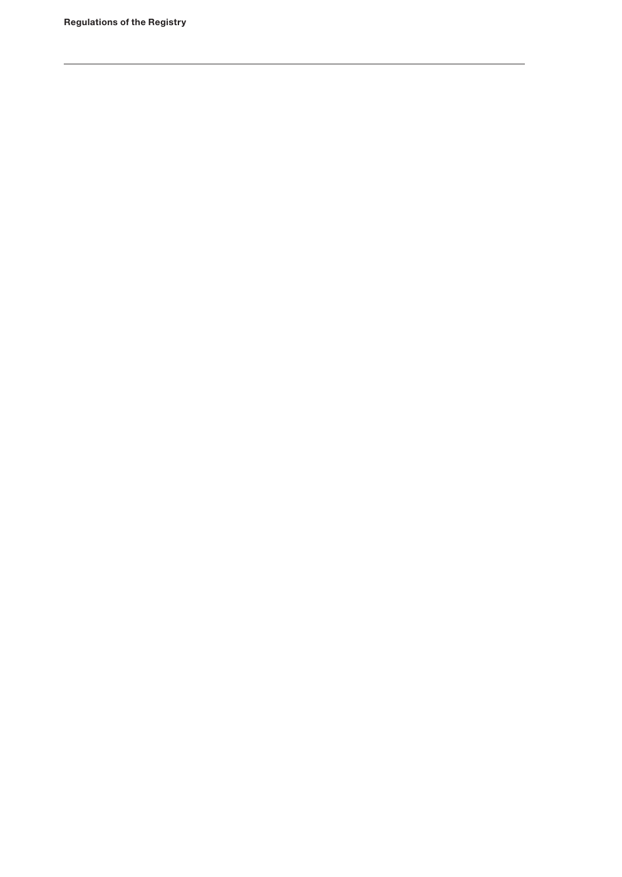Regulations of the Registry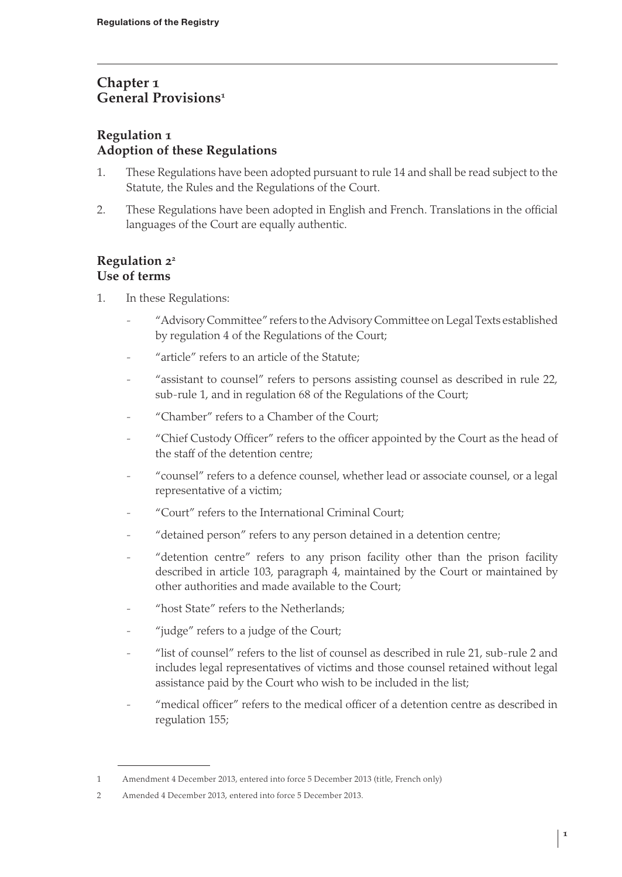# <span id="page-11-0"></span>**Chapter 1 General Provisions1**

#### **Regulation 1 Adoption of these Regulations**

- 1. These Regulations have been adopted pursuant to rule 14 and shall be read subject to the Statute, the Rules and the Regulations of the Court.
- 2. These Regulations have been adopted in English and French. Translations in the official languages of the Court are equally authentic.

# **Regulation 22 Use of terms**

- 1. In these Regulations:
	- "Advisory Committee" refers to the Advisory Committee on Legal Texts established by regulation 4 of the Regulations of the Court;
	- "article" refers to an article of the Statute:
	- "assistant to counsel" refers to persons assisting counsel as described in rule 22, sub-rule 1, and in regulation 68 of the Regulations of the Court;
	- "Chamber" refers to a Chamber of the Court;
	- "Chief Custody Officer" refers to the officer appointed by the Court as the head of the staff of the detention centre;
	- "counsel" refers to a defence counsel, whether lead or associate counsel, or a legal representative of a victim;
	- "Court" refers to the International Criminal Court;
	- "detained person" refers to any person detained in a detention centre;
	- "detention centre" refers to any prison facility other than the prison facility described in article 103, paragraph 4, maintained by the Court or maintained by other authorities and made available to the Court;
	- "host State" refers to the Netherlands:
	- "judge" refers to a judge of the Court;
	- "list of counsel" refers to the list of counsel as described in rule 21, sub-rule 2 and includes legal representatives of victims and those counsel retained without legal assistance paid by the Court who wish to be included in the list;
	- "medical officer" refers to the medical officer of a detention centre as described in regulation 155;

<sup>1</sup> Amendment 4 December 2013, entered into force 5 December 2013 (title, French only)

<sup>2</sup> Amended 4 December 2013, entered into force 5 December 2013.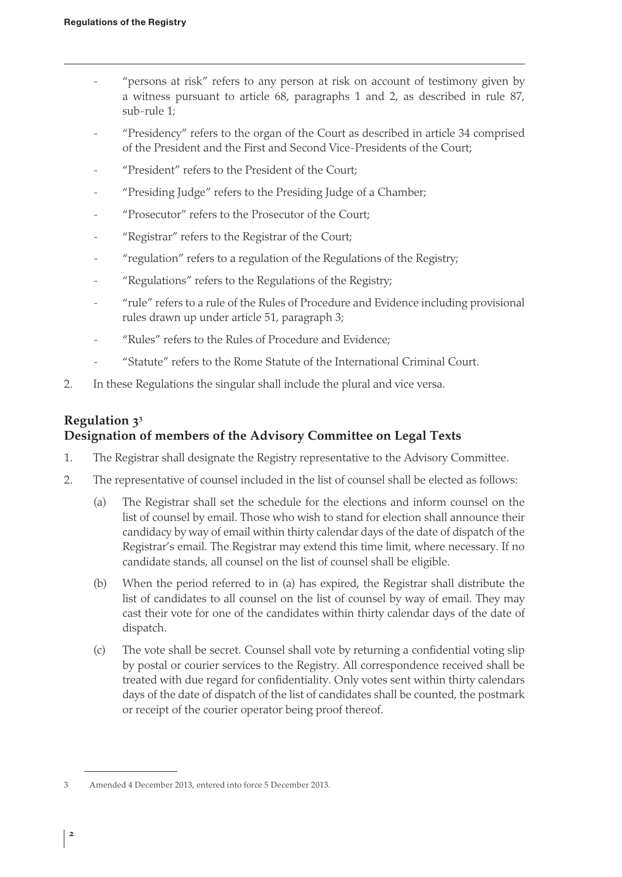- <span id="page-12-0"></span>"persons at risk" refers to any person at risk on account of testimony given by a witness pursuant to article 68, paragraphs 1 and 2, as described in rule 87, sub-rule 1;
- "Presidency" refers to the organ of the Court as described in article 34 comprised of the President and the First and Second Vice-Presidents of the Court;
- "President" refers to the President of the Court;
- "Presiding Judge" refers to the Presiding Judge of a Chamber;
- "Prosecutor" refers to the Prosecutor of the Court;
- "Registrar" refers to the Registrar of the Court;
- "regulation" refers to a regulation of the Regulations of the Registry;
- "Regulations" refers to the Regulations of the Registry;
- "rule" refers to a rule of the Rules of Procedure and Evidence including provisional rules drawn up under article 51, paragraph 3;
- "Rules" refers to the Rules of Procedure and Evidence;
- "Statute" refers to the Rome Statute of the International Criminal Court.
- 2. In these Regulations the singular shall include the plural and vice versa.

# **Regulation 33 Designation of members of the Advisory Committee on Legal Texts**

- 1. The Registrar shall designate the Registry representative to the Advisory Committee.
- 2. The representative of counsel included in the list of counsel shall be elected as follows:
	- (a) The Registrar shall set the schedule for the elections and inform counsel on the list of counsel by email. Those who wish to stand for election shall announce their candidacy by way of email within thirty calendar days of the date of dispatch of the Registrar's email. The Registrar may extend this time limit, where necessary. If no candidate stands, all counsel on the list of counsel shall be eligible.
	- (b) When the period referred to in (a) has expired, the Registrar shall distribute the list of candidates to all counsel on the list of counsel by way of email. They may cast their vote for one of the candidates within thirty calendar days of the date of dispatch.
	- (c) The vote shall be secret. Counsel shall vote by returning a confidential voting slip by postal or courier services to the Registry. All correspondence received shall be treated with due regard for confidentiality. Only votes sent within thirty calendars days of the date of dispatch of the list of candidates shall be counted, the postmark or receipt of the courier operator being proof thereof.

<sup>3</sup> Amended 4 December 2013, entered into force 5 December 2013.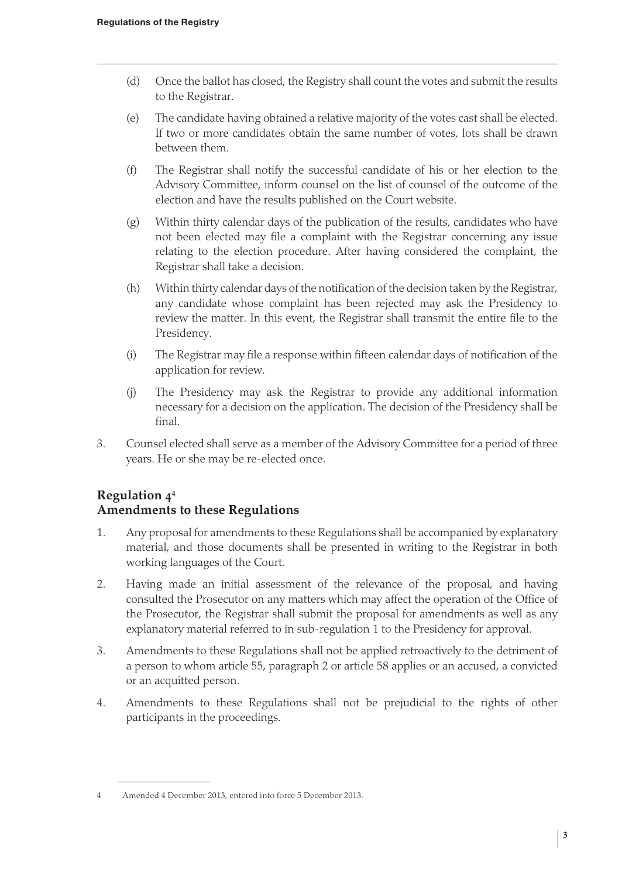- <span id="page-13-0"></span>(d) Once the ballot has closed, the Registry shall count the votes and submit the results to the Registrar.
- (e) The candidate having obtained a relative majority of the votes cast shall be elected. If two or more candidates obtain the same number of votes, lots shall be drawn between them.
- (f) The Registrar shall notify the successful candidate of his or her election to the Advisory Committee, inform counsel on the list of counsel of the outcome of the election and have the results published on the Court website.
- (g) Within thirty calendar days of the publication of the results, candidates who have not been elected may file a complaint with the Registrar concerning any issue relating to the election procedure. After having considered the complaint, the Registrar shall take a decision.
- (h) Within thirty calendar days of the notification of the decision taken by the Registrar, any candidate whose complaint has been rejected may ask the Presidency to review the matter. In this event, the Registrar shall transmit the entire file to the Presidency.
- (i) The Registrar may file a response within fifteen calendar days of notification of the application for review.
- (j) The Presidency may ask the Registrar to provide any additional information necessary for a decision on the application. The decision of the Presidency shall be final.
- 3. Counsel elected shall serve as a member of the Advisory Committee for a period of three years. He or she may be re-elected once.

# **Regulation 44 Amendments to these Regulations**

- 1. Any proposal for amendments to these Regulations shall be accompanied by explanatory material, and those documents shall be presented in writing to the Registrar in both working languages of the Court.
- 2. Having made an initial assessment of the relevance of the proposal, and having consulted the Prosecutor on any matters which may affect the operation of the Office of the Prosecutor, the Registrar shall submit the proposal for amendments as well as any explanatory material referred to in sub-regulation 1 to the Presidency for approval.
- 3. Amendments to these Regulations shall not be applied retroactively to the detriment of a person to whom article 55, paragraph 2 or article 58 applies or an accused, a convicted or an acquitted person.
- 4. Amendments to these Regulations shall not be prejudicial to the rights of other participants in the proceedings.

<sup>4</sup> Amended 4 December 2013, entered into force 5 December 2013.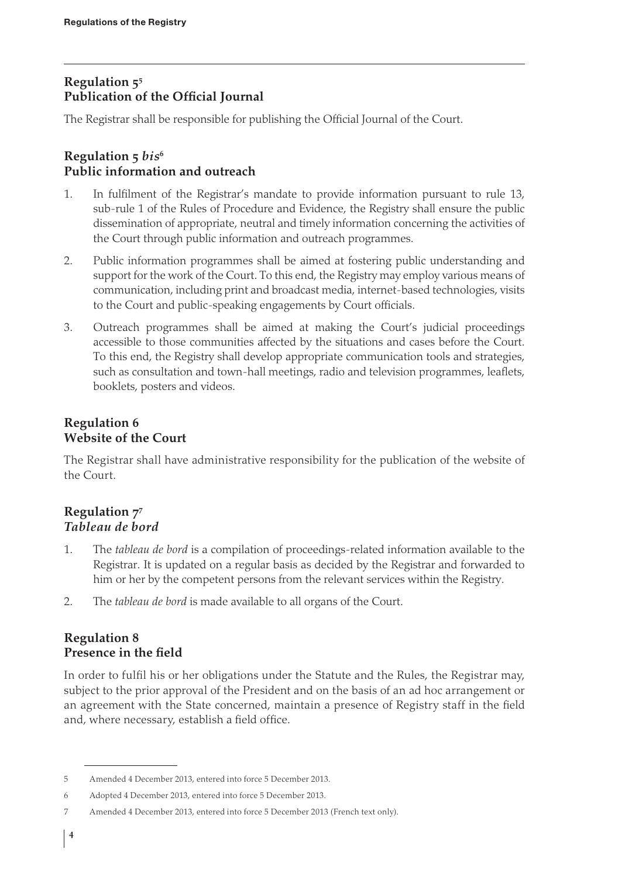# <span id="page-14-0"></span>**Regulation 55 Publication of the Official Journal**

The Registrar shall be responsible for publishing the Official Journal of the Court.

#### **Regulation 5** *bis***<sup>6</sup> Public information and outreach**

- 1. In fulfilment of the Registrar's mandate to provide information pursuant to rule 13, sub-rule 1 of the Rules of Procedure and Evidence, the Registry shall ensure the public dissemination of appropriate, neutral and timely information concerning the activities of the Court through public information and outreach programmes.
- 2. Public information programmes shall be aimed at fostering public understanding and support for the work of the Court. To this end, the Registry may employ various means of communication, including print and broadcast media, internet-based technologies, visits to the Court and public-speaking engagements by Court officials.
- 3. Outreach programmes shall be aimed at making the Court's judicial proceedings accessible to those communities affected by the situations and cases before the Court. To this end, the Registry shall develop appropriate communication tools and strategies, such as consultation and town-hall meetings, radio and television programmes, leaflets, booklets, posters and videos.

# **Regulation 6 Website of the Court**

The Registrar shall have administrative responsibility for the publication of the website of the Court.

# **Regulation 77** *Tableau de bord*

- 1. The *tableau de bord* is a compilation of proceedings-related information available to the Registrar. It is updated on a regular basis as decided by the Registrar and forwarded to him or her by the competent persons from the relevant services within the Registry.
- 2. The *tableau de bord* is made available to all organs of the Court.

# **Regulation 8 Presence in the field**

In order to fulfil his or her obligations under the Statute and the Rules, the Registrar may, subject to the prior approval of the President and on the basis of an ad hoc arrangement or an agreement with the State concerned, maintain a presence of Registry staff in the field and, where necessary, establish a field office.

<sup>5</sup> Amended 4 December 2013, entered into force 5 December 2013.

<sup>6</sup> Adopted 4 December 2013, entered into force 5 December 2013.

<sup>7</sup> Amended 4 December 2013, entered into force 5 December 2013 (French text only).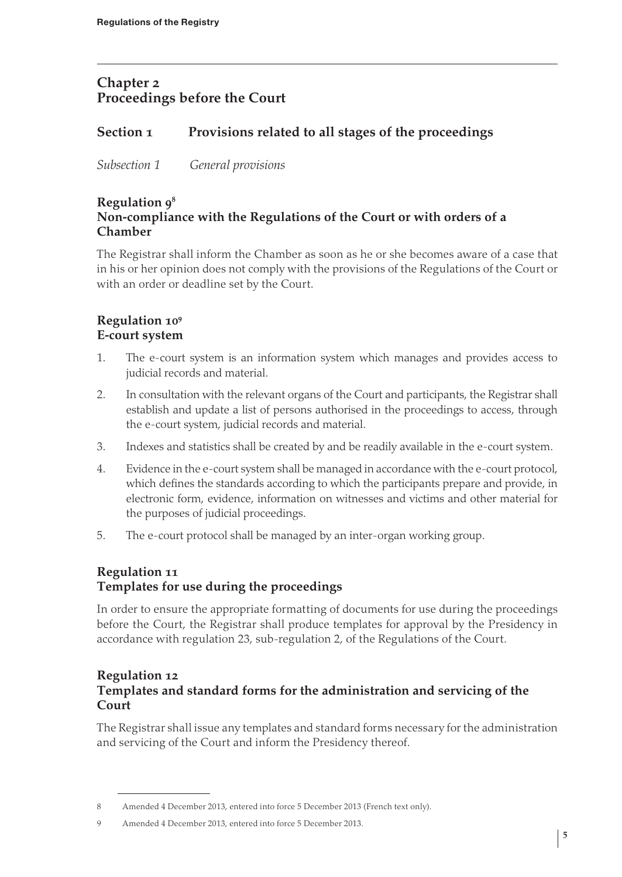# <span id="page-15-0"></span>**Chapter 2 Proceedings before the Court**

# **Section 1 Provisions related to all stages of the proceedings**

*Subsection 1 General provisions*

#### **Regulation 98 Non-compliance with the Regulations of the Court or with orders of a Chamber**

The Registrar shall inform the Chamber as soon as he or she becomes aware of a case that in his or her opinion does not comply with the provisions of the Regulations of the Court or with an order or deadline set by the Court.

# **Regulation 109 E-court system**

- 1. The e-court system is an information system which manages and provides access to judicial records and material.
- 2. In consultation with the relevant organs of the Court and participants, the Registrar shall establish and update a list of persons authorised in the proceedings to access, through the e-court system, judicial records and material.
- 3. Indexes and statistics shall be created by and be readily available in the e-court system.
- 4. Evidence in the e-court system shall be managed in accordance with the e-court protocol, which defines the standards according to which the participants prepare and provide, in electronic form, evidence, information on witnesses and victims and other material for the purposes of judicial proceedings.
- 5. The e-court protocol shall be managed by an inter-organ working group.

# **Regulation 11 Templates for use during the proceedings**

In order to ensure the appropriate formatting of documents for use during the proceedings before the Court, the Registrar shall produce templates for approval by the Presidency in accordance with regulation 23, sub-regulation 2, of the Regulations of the Court.

#### **Regulation 12 Templates and standard forms for the administration and servicing of the Court**

The Registrar shall issue any templates and standard forms necessary for the administration and servicing of the Court and inform the Presidency thereof.

<sup>8</sup> Amended 4 December 2013, entered into force 5 December 2013 (French text only).

<sup>9</sup> Amended 4 December 2013, entered into force 5 December 2013.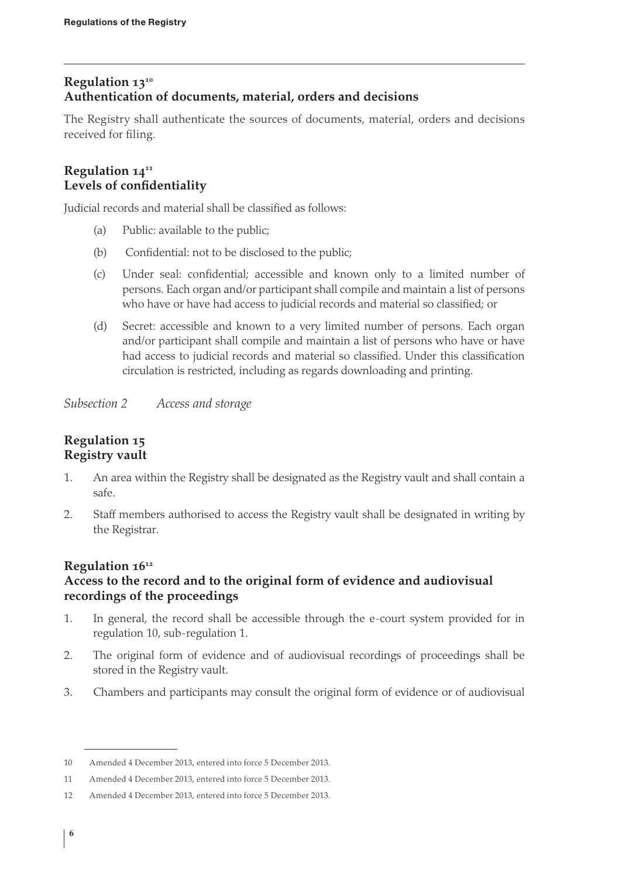# <span id="page-16-0"></span>**Regulation 1310 Authentication of documents, material, orders and decisions**

The Registry shall authenticate the sources of documents, material, orders and decisions received for filing.

#### **Regulation 1411 Levels of confidentiality**

Judicial records and material shall be classified as follows:

- (a) Public: available to the public;
- (b) Confidential: not to be disclosed to the public;
- (c) Under seal: confidential; accessible and known only to a limited number of persons. Each organ and/or participant shall compile and maintain a list of persons who have or have had access to judicial records and material so classified; or
- (d) Secret: accessible and known to a very limited number of persons. Each organ and/or participant shall compile and maintain a list of persons who have or have had access to judicial records and material so classified. Under this classification circulation is restricted, including as regards downloading and printing.

*Subsection 2 Access and storage*

# **Regulation 15 Registry vault**

- 1. An area within the Registry shall be designated as the Registry vault and shall contain a safe.
- 2. Staff members authorised to access the Registry vault shall be designated in writing by the Registrar.

#### **Regulation 1612**

# **Access to the record and to the original form of evidence and audiovisual recordings of the proceedings**

- 1. In general, the record shall be accessible through the e-court system provided for in regulation 10, sub-regulation 1.
- 2. The original form of evidence and of audiovisual recordings of proceedings shall be stored in the Registry vault.
- 3. Chambers and participants may consult the original form of evidence or of audiovisual

<sup>10</sup> Amended 4 December 2013, entered into force 5 December 2013.

<sup>11</sup> Amended 4 December 2013, entered into force 5 December 2013.

<sup>12</sup> Amended 4 December 2013, entered into force 5 December 2013.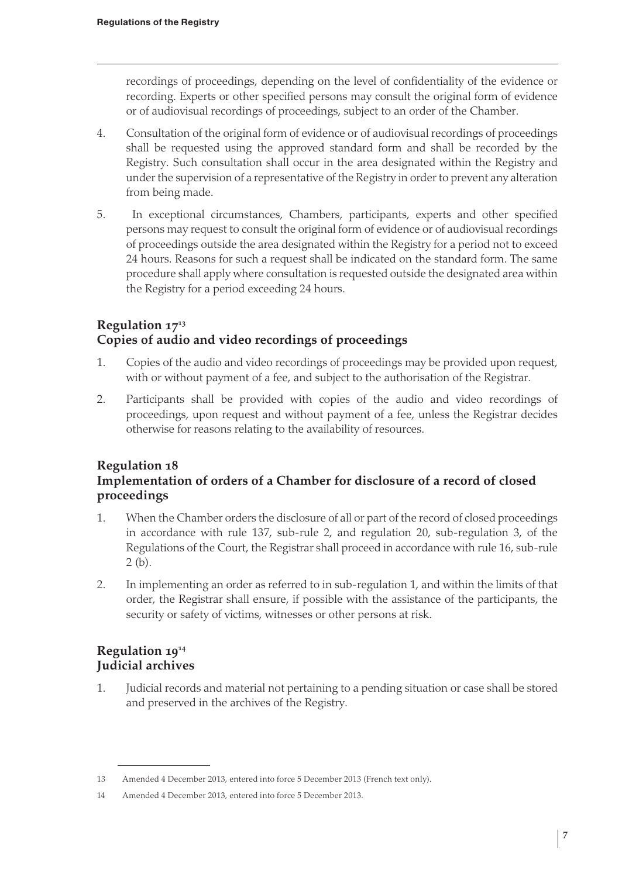<span id="page-17-0"></span>recordings of proceedings, depending on the level of confidentiality of the evidence or recording. Experts or other specified persons may consult the original form of evidence or of audiovisual recordings of proceedings, subject to an order of the Chamber.

- 4. Consultation of the original form of evidence or of audiovisual recordings of proceedings shall be requested using the approved standard form and shall be recorded by the Registry. Such consultation shall occur in the area designated within the Registry and under the supervision of a representative of the Registry in order to prevent any alteration from being made.
- 5. In exceptional circumstances, Chambers, participants, experts and other specified persons may request to consult the original form of evidence or of audiovisual recordings of proceedings outside the area designated within the Registry for a period not to exceed 24 hours. Reasons for such a request shall be indicated on the standard form. The same procedure shall apply where consultation is requested outside the designated area within the Registry for a period exceeding 24 hours.

#### **Regulation 1713 Copies of audio and video recordings of proceedings**

- 1. Copies of the audio and video recordings of proceedings may be provided upon request, with or without payment of a fee, and subject to the authorisation of the Registrar.
- 2. Participants shall be provided with copies of the audio and video recordings of proceedings, upon request and without payment of a fee, unless the Registrar decides otherwise for reasons relating to the availability of resources.

#### **Regulation 18 Implementation of orders of a Chamber for disclosure of a record of closed proceedings**

- 1. When the Chamber orders the disclosure of all or part of the record of closed proceedings in accordance with rule 137, sub-rule 2, and regulation 20, sub-regulation 3, of the Regulations of the Court, the Registrar shall proceed in accordance with rule 16, sub-rule 2 (b).
- 2. In implementing an order as referred to in sub-regulation 1, and within the limits of that order, the Registrar shall ensure, if possible with the assistance of the participants, the security or safety of victims, witnesses or other persons at risk.

# **Regulation 1914 Judicial archives**

1. Judicial records and material not pertaining to a pending situation or case shall be stored and preserved in the archives of the Registry.

<sup>13</sup> Amended 4 December 2013, entered into force 5 December 2013 (French text only).

<sup>14</sup> Amended 4 December 2013, entered into force 5 December 2013.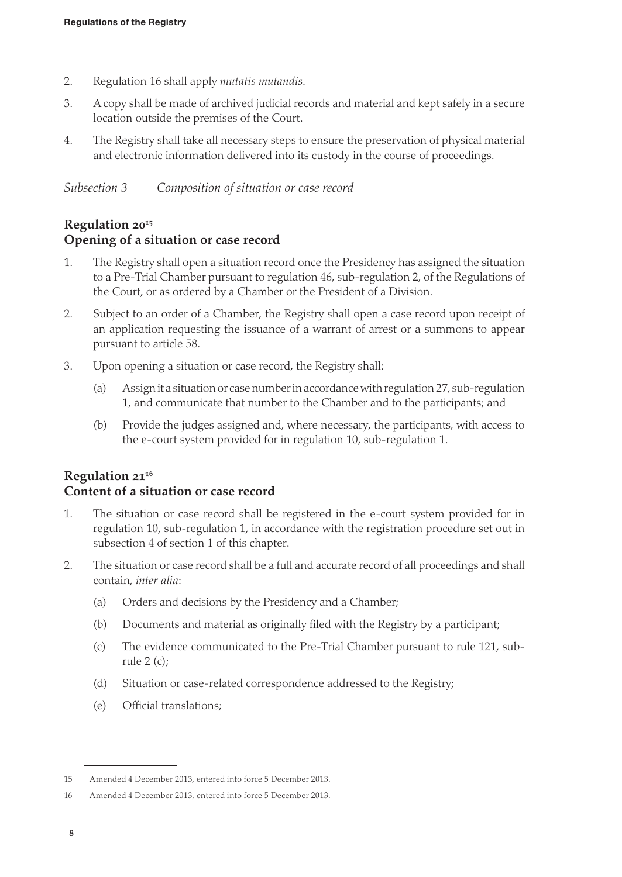- <span id="page-18-0"></span>2. Regulation 16 shall apply *mutatis mutandis*.
- 3. A copy shall be made of archived judicial records and material and kept safely in a secure location outside the premises of the Court.
- 4. The Registry shall take all necessary steps to ensure the preservation of physical material and electronic information delivered into its custody in the course of proceedings.

*Subsection 3 Composition of situation or case record*

#### **Regulation 2015 Opening of a situation or case record**

- 1. The Registry shall open a situation record once the Presidency has assigned the situation to a Pre-Trial Chamber pursuant to regulation 46, sub-regulation 2, of the Regulations of the Court, or as ordered by a Chamber or the President of a Division.
- 2. Subject to an order of a Chamber, the Registry shall open a case record upon receipt of an application requesting the issuance of a warrant of arrest or a summons to appear pursuant to article 58.
- 3. Upon opening a situation or case record, the Registry shall:
	- (a) Assign it a situation or case number in accordance with regulation 27, sub-regulation 1, and communicate that number to the Chamber and to the participants; and
	- (b) Provide the judges assigned and, where necessary, the participants, with access to the e-court system provided for in regulation 10, sub-regulation 1.

#### **Regulation 2116 Content of a situation or case record**

- 1. The situation or case record shall be registered in the e-court system provided for in regulation 10, sub-regulation 1, in accordance with the registration procedure set out in subsection 4 of section 1 of this chapter.
- 2. The situation or case record shall be a full and accurate record of all proceedings and shall contain, *inter alia*:
	- (a) Orders and decisions by the Presidency and a Chamber;
	- (b) Documents and material as originally filed with the Registry by a participant;
	- (c) The evidence communicated to the Pre-Trial Chamber pursuant to rule 121, subrule 2 (c);
	- (d) Situation or case-related correspondence addressed to the Registry;
	- (e) Official translations;

<sup>15</sup> Amended 4 December 2013, entered into force 5 December 2013.

<sup>16</sup> Amended 4 December 2013, entered into force 5 December 2013.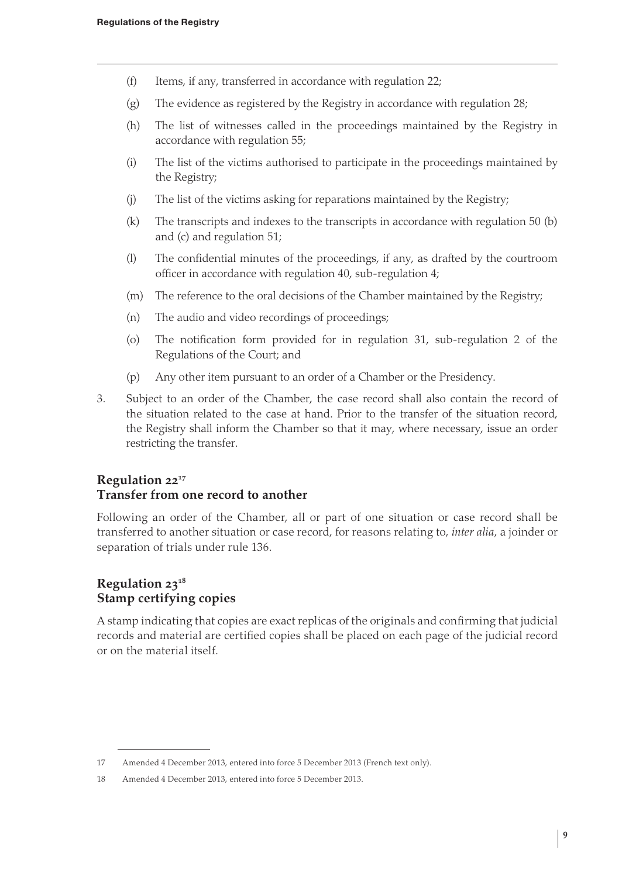- <span id="page-19-0"></span>(f) Items, if any, transferred in accordance with regulation 22;
- (g) The evidence as registered by the Registry in accordance with regulation 28;
- (h) The list of witnesses called in the proceedings maintained by the Registry in accordance with regulation 55;
- (i) The list of the victims authorised to participate in the proceedings maintained by the Registry;
- (j) The list of the victims asking for reparations maintained by the Registry;
- (k) The transcripts and indexes to the transcripts in accordance with regulation 50 (b) and (c) and regulation 51;
- (l) The confidential minutes of the proceedings, if any, as drafted by the courtroom officer in accordance with regulation 40, sub-regulation 4;
- (m) The reference to the oral decisions of the Chamber maintained by the Registry;
- (n) The audio and video recordings of proceedings;
- (o) The notification form provided for in regulation 31, sub-regulation 2 of the Regulations of the Court; and
- (p) Any other item pursuant to an order of a Chamber or the Presidency.
- 3. Subject to an order of the Chamber, the case record shall also contain the record of the situation related to the case at hand. Prior to the transfer of the situation record, the Registry shall inform the Chamber so that it may, where necessary, issue an order restricting the transfer.

#### **Regulation 2217 Transfer from one record to another**

Following an order of the Chamber, all or part of one situation or case record shall be transferred to another situation or case record, for reasons relating to, *inter alia*, a joinder or separation of trials under rule 136.

#### **Regulation 2318 Stamp certifying copies**

A stamp indicating that copies are exact replicas of the originals and confirming that judicial records and material are certified copies shall be placed on each page of the judicial record or on the material itself.

<sup>17</sup> Amended 4 December 2013, entered into force 5 December 2013 (French text only).

<sup>18</sup> Amended 4 December 2013, entered into force 5 December 2013.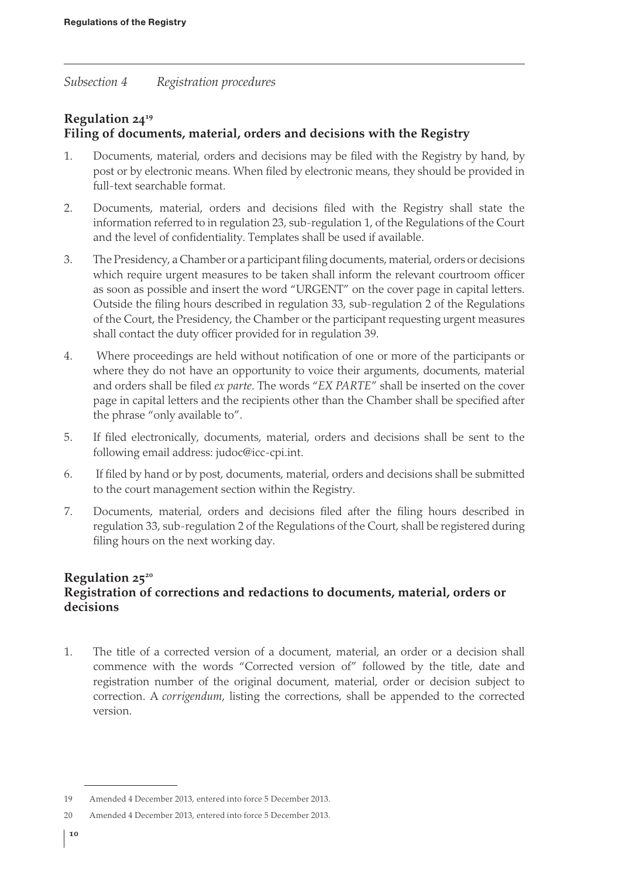<span id="page-20-0"></span>*Subsection 4 Registration procedures*

# **Regulation 2419 Filing of documents, material, orders and decisions with the Registry**

- 1. Documents, material, orders and decisions may be filed with the Registry by hand, by post or by electronic means. When filed by electronic means, they should be provided in full-text searchable format.
- 2. Documents, material, orders and decisions filed with the Registry shall state the information referred to in regulation 23, sub-regulation 1, of the Regulations of the Court and the level of confidentiality. Templates shall be used if available.
- 3. The Presidency, a Chamber or a participant filing documents, material, orders or decisions which require urgent measures to be taken shall inform the relevant courtroom officer as soon as possible and insert the word "URGENT" on the cover page in capital letters. Outside the filing hours described in regulation 33, sub-regulation 2 of the Regulations of the Court, the Presidency, the Chamber or the participant requesting urgent measures shall contact the duty officer provided for in regulation 39.
- 4. Where proceedings are held without notification of one or more of the participants or where they do not have an opportunity to voice their arguments, documents, material and orders shall be filed *ex parte*. The words "*EX PARTE*" shall be inserted on the cover page in capital letters and the recipients other than the Chamber shall be specified after the phrase "only available to".
- 5. If filed electronically, documents, material, orders and decisions shall be sent to the following email address: judoc@icc-cpi.int.
- 6. If filed by hand or by post, documents, material, orders and decisions shall be submitted to the court management section within the Registry.
- 7. Documents, material, orders and decisions filed after the filing hours described in regulation 33, sub-regulation 2 of the Regulations of the Court, shall be registered during filing hours on the next working day.

#### **Regulation 2520 Registration of corrections and redactions to documents, material, orders or decisions**

1. The title of a corrected version of a document, material, an order or a decision shall commence with the words "Corrected version of" followed by the title, date and registration number of the original document, material, order or decision subject to correction. A *corrigendum*, listing the corrections, shall be appended to the corrected version.

<sup>19</sup> Amended 4 December 2013, entered into force 5 December 2013.

<sup>20</sup> Amended 4 December 2013, entered into force 5 December 2013.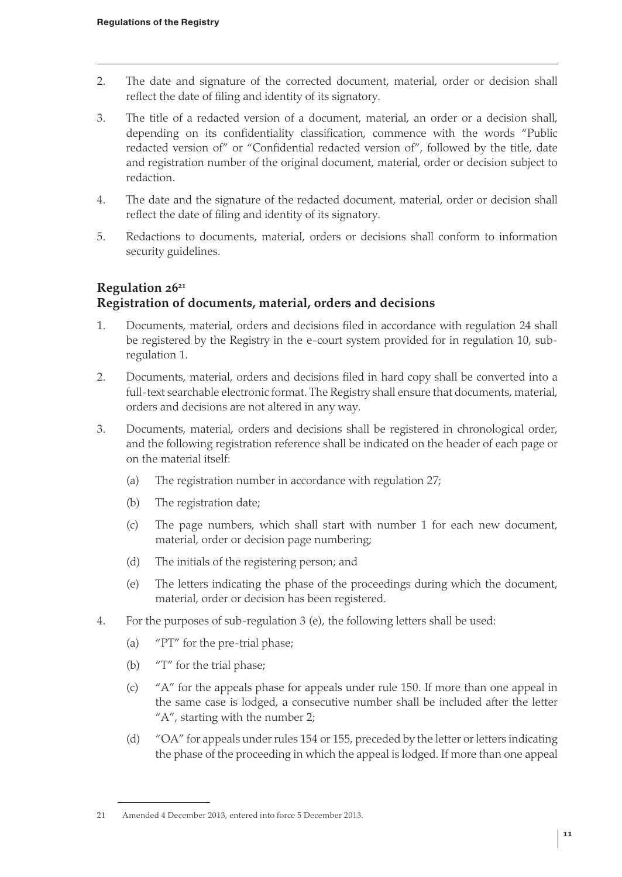- <span id="page-21-0"></span>2. The date and signature of the corrected document, material, order or decision shall reflect the date of filing and identity of its signatory.
- 3. The title of a redacted version of a document, material, an order or a decision shall, depending on its confidentiality classification, commence with the words "Public redacted version of" or "Confidential redacted version of", followed by the title, date and registration number of the original document, material, order or decision subject to redaction.
- 4. The date and the signature of the redacted document, material, order or decision shall reflect the date of filing and identity of its signatory.
- 5. Redactions to documents, material, orders or decisions shall conform to information security guidelines.

# **Regulation 2621 Registration of documents, material, orders and decisions**

- 1. Documents, material, orders and decisions filed in accordance with regulation 24 shall be registered by the Registry in the e-court system provided for in regulation 10, subregulation 1.
- 2. Documents, material, orders and decisions filed in hard copy shall be converted into a full-text searchable electronic format. The Registry shall ensure that documents, material, orders and decisions are not altered in any way.
- 3. Documents, material, orders and decisions shall be registered in chronological order, and the following registration reference shall be indicated on the header of each page or on the material itself:
	- (a) The registration number in accordance with regulation 27;
	- (b) The registration date;
	- (c) The page numbers, which shall start with number 1 for each new document, material, order or decision page numbering;
	- (d) The initials of the registering person; and
	- (e) The letters indicating the phase of the proceedings during which the document, material, order or decision has been registered.
- 4. For the purposes of sub-regulation 3 (e), the following letters shall be used:
	- (a) "PT" for the pre-trial phase;
	- (b) "T" for the trial phase;
	- (c) "A" for the appeals phase for appeals under rule 150. If more than one appeal in the same case is lodged, a consecutive number shall be included after the letter "A", starting with the number 2;
	- (d) "OA" for appeals under rules 154 or 155, preceded by the letter or letters indicating the phase of the proceeding in which the appeal is lodged. If more than one appeal

<sup>21</sup> Amended 4 December 2013, entered into force 5 December 2013.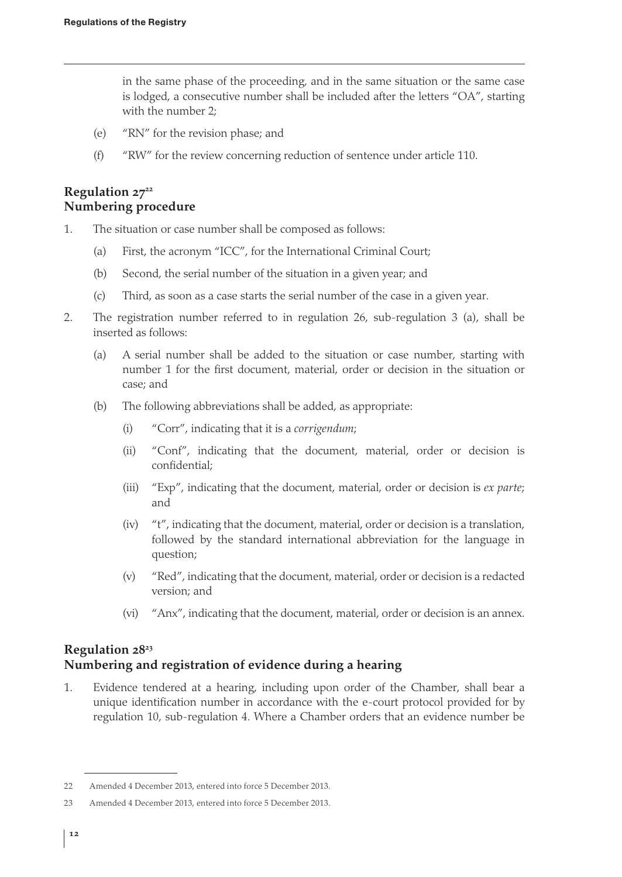<span id="page-22-0"></span>in the same phase of the proceeding, and in the same situation or the same case is lodged, a consecutive number shall be included after the letters "OA", starting with the number 2;

- (e) "RN" for the revision phase; and
- (f) "RW" for the review concerning reduction of sentence under article 110.

#### **Regulation 2722 Numbering procedure**

- 1. The situation or case number shall be composed as follows:
	- (a) First, the acronym "ICC", for the International Criminal Court;
	- (b) Second, the serial number of the situation in a given year; and
	- (c) Third, as soon as a case starts the serial number of the case in a given year.
- 2. The registration number referred to in regulation 26, sub-regulation 3 (a), shall be inserted as follows:
	- (a) A serial number shall be added to the situation or case number, starting with number 1 for the first document, material, order or decision in the situation or case; and
	- (b) The following abbreviations shall be added, as appropriate:
		- (i) "Corr", indicating that it is a *corrigendum*;
		- (ii) "Conf", indicating that the document, material, order or decision is confidential;
		- (iii) "Exp", indicating that the document, material, order or decision is *ex parte*; and
		- (iv) "t", indicating that the document, material, order or decision is a translation, followed by the standard international abbreviation for the language in question;
		- (v) "Red", indicating that the document, material, order or decision is a redacted version; and
		- (vi) "Anx", indicating that the document, material, order or decision is an annex.

#### **Regulation 2823 Numbering and registration of evidence during a hearing**

1. Evidence tendered at a hearing, including upon order of the Chamber, shall bear a unique identification number in accordance with the e-court protocol provided for by regulation 10, sub-regulation 4. Where a Chamber orders that an evidence number be

<sup>22</sup> Amended 4 December 2013, entered into force 5 December 2013.

<sup>23</sup> Amended 4 December 2013, entered into force 5 December 2013.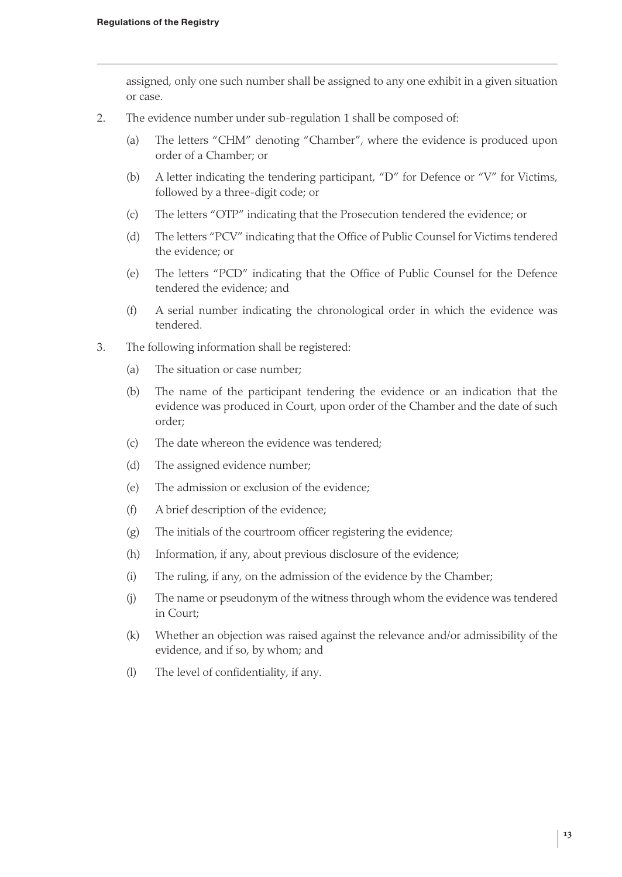assigned, only one such number shall be assigned to any one exhibit in a given situation or case.

- 2. The evidence number under sub-regulation 1 shall be composed of:
	- (a) The letters "CHM" denoting "Chamber", where the evidence is produced upon order of a Chamber; or
	- (b) A letter indicating the tendering participant, "D" for Defence or "V" for Victims, followed by a three-digit code; or
	- (c) The letters "OTP" indicating that the Prosecution tendered the evidence; or
	- (d) The letters "PCV" indicating that the Office of Public Counsel for Victims tendered the evidence; or
	- (e) The letters "PCD" indicating that the Office of Public Counsel for the Defence tendered the evidence; and
	- (f) A serial number indicating the chronological order in which the evidence was tendered.
- 3. The following information shall be registered:
	- (a) The situation or case number;
	- (b) The name of the participant tendering the evidence or an indication that the evidence was produced in Court, upon order of the Chamber and the date of such order;
	- (c) The date whereon the evidence was tendered;
	- (d) The assigned evidence number;
	- (e) The admission or exclusion of the evidence;
	- (f) A brief description of the evidence;
	- (g) The initials of the courtroom officer registering the evidence;
	- (h) Information, if any, about previous disclosure of the evidence;
	- (i) The ruling, if any, on the admission of the evidence by the Chamber;
	- (j) The name or pseudonym of the witness through whom the evidence was tendered in Court;
	- (k) Whether an objection was raised against the relevance and/or admissibility of the evidence, and if so, by whom; and
	- (l) The level of confidentiality, if any.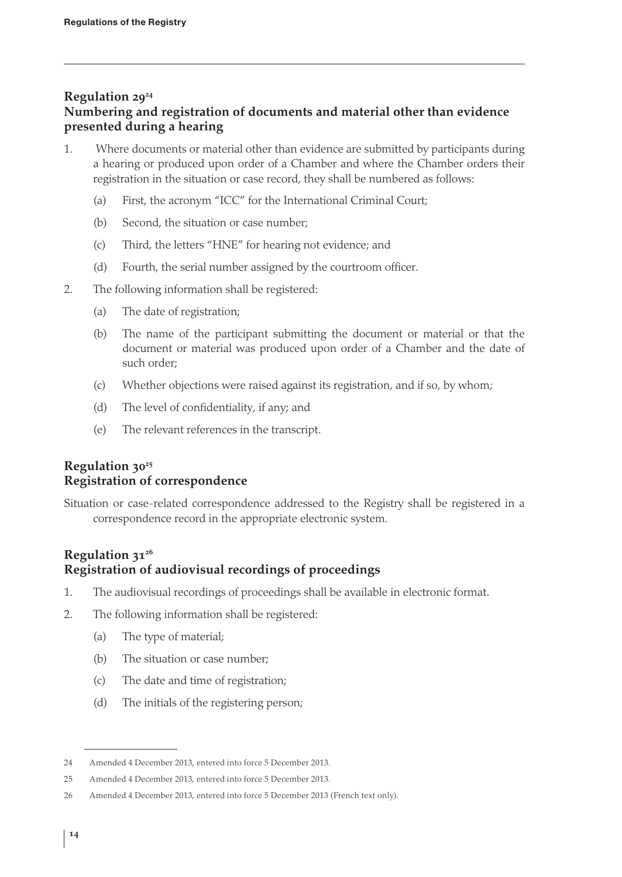#### <span id="page-24-0"></span>**Regulation 2924 Numbering and registration of documents and material other than evidence presented during a hearing**

- 1. Where documents or material other than evidence are submitted by participants during a hearing or produced upon order of a Chamber and where the Chamber orders their registration in the situation or case record, they shall be numbered as follows:
	- (a) First, the acronym "ICC" for the International Criminal Court;
	- (b) Second, the situation or case number;
	- (c) Third, the letters "HNE" for hearing not evidence; and
	- (d) Fourth, the serial number assigned by the courtroom officer.
- 2. The following information shall be registered:
	- (a) The date of registration;
	- (b) The name of the participant submitting the document or material or that the document or material was produced upon order of a Chamber and the date of such order;
	- (c) Whether objections were raised against its registration, and if so, by whom;
	- (d) The level of confidentiality, if any; and
	- (e) The relevant references in the transcript.

#### **Regulation 3025 Registration of correspondence**

Situation or case-related correspondence addressed to the Registry shall be registered in a correspondence record in the appropriate electronic system.

# **Regulation 3126 Registration of audiovisual recordings of proceedings**

- 1. The audiovisual recordings of proceedings shall be available in electronic format.
- 2. The following information shall be registered:
	- (a) The type of material;
	- (b) The situation or case number;
	- (c) The date and time of registration;
	- (d) The initials of the registering person;

<sup>24</sup> Amended 4 December 2013, entered into force 5 December 2013.

<sup>25</sup> Amended 4 December 2013, entered into force 5 December 2013.

<sup>26</sup> Amended 4 December 2013, entered into force 5 December 2013 (French text only).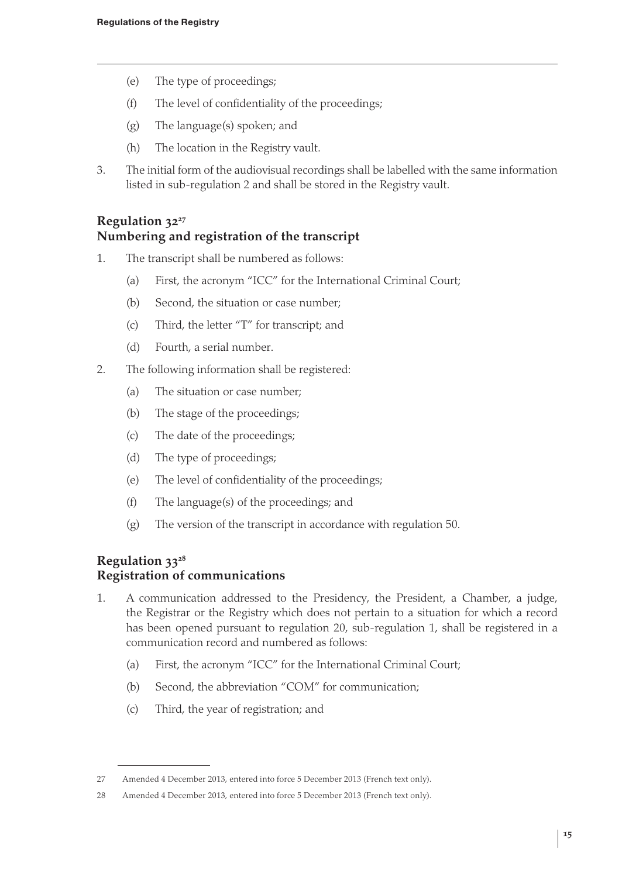- <span id="page-25-0"></span>(e) The type of proceedings;
- (f) The level of confidentiality of the proceedings;
- (g) The language(s) spoken; and
- (h) The location in the Registry vault.
- 3. The initial form of the audiovisual recordings shall be labelled with the same information listed in sub-regulation 2 and shall be stored in the Registry vault.

# **Regulation 3227 Numbering and registration of the transcript**

- 1. The transcript shall be numbered as follows:
	- (a) First, the acronym "ICC" for the International Criminal Court;
	- (b) Second, the situation or case number;
	- (c) Third, the letter "T" for transcript; and
	- (d) Fourth, a serial number.
- 2. The following information shall be registered:
	- (a) The situation or case number;
	- (b) The stage of the proceedings;
	- (c) The date of the proceedings;
	- (d) The type of proceedings;
	- (e) The level of confidentiality of the proceedings;
	- (f) The language(s) of the proceedings; and
	- (g) The version of the transcript in accordance with regulation 50.

#### **Regulation 3328 Registration of communications**

- 1. A communication addressed to the Presidency, the President, a Chamber, a judge, the Registrar or the Registry which does not pertain to a situation for which a record has been opened pursuant to regulation 20, sub-regulation 1, shall be registered in a communication record and numbered as follows:
	- (a) First, the acronym "ICC" for the International Criminal Court;
	- (b) Second, the abbreviation "COM" for communication;
	- (c) Third, the year of registration; and

<sup>27</sup> Amended 4 December 2013, entered into force 5 December 2013 (French text only).

<sup>28</sup> Amended 4 December 2013, entered into force 5 December 2013 (French text only).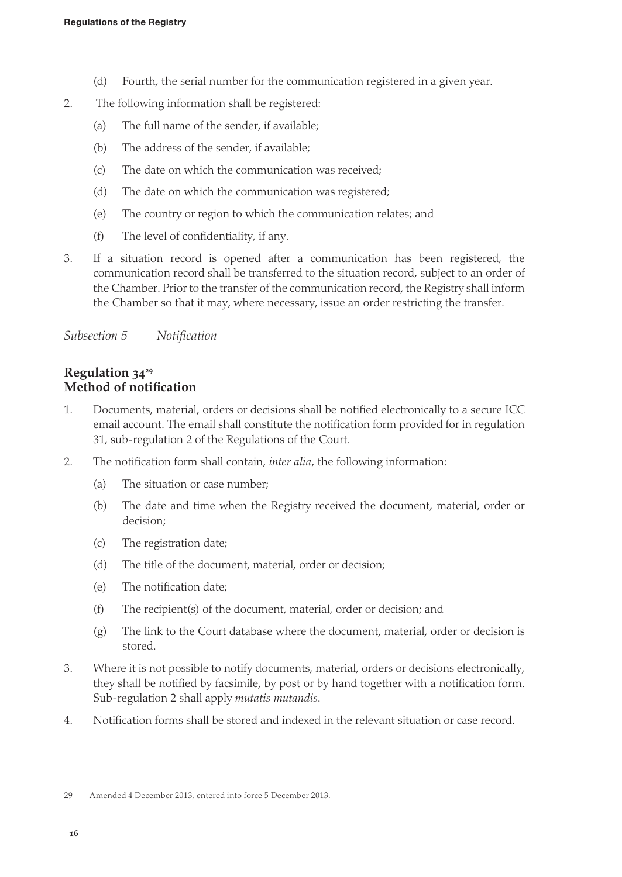- (d) Fourth, the serial number for the communication registered in a given year.
- <span id="page-26-0"></span>2. The following information shall be registered:
	- (a) The full name of the sender, if available;
	- (b) The address of the sender, if available;
	- (c) The date on which the communication was received;
	- (d) The date on which the communication was registered;
	- (e) The country or region to which the communication relates; and
	- (f) The level of confidentiality, if any.
- 3. If a situation record is opened after a communication has been registered, the communication record shall be transferred to the situation record, subject to an order of the Chamber. Prior to the transfer of the communication record, the Registry shall inform the Chamber so that it may, where necessary, issue an order restricting the transfer.

*Subsection 5 Notification*

#### **Regulation 3429 Method of notification**

- 1. Documents, material, orders or decisions shall be notified electronically to a secure ICC email account. The email shall constitute the notification form provided for in regulation 31, sub-regulation 2 of the Regulations of the Court.
- 2. The notification form shall contain, *inter alia*, the following information:
	- (a) The situation or case number;
	- (b) The date and time when the Registry received the document, material, order or decision;
	- (c) The registration date;
	- (d) The title of the document, material, order or decision;
	- (e) The notification date;
	- (f) The recipient(s) of the document, material, order or decision; and
	- (g) The link to the Court database where the document, material, order or decision is stored.
- 3. Where it is not possible to notify documents, material, orders or decisions electronically, they shall be notified by facsimile, by post or by hand together with a notification form. Sub-regulation 2 shall apply *mutatis mutandis*.
- 4. Notification forms shall be stored and indexed in the relevant situation or case record.

<sup>29</sup> Amended 4 December 2013, entered into force 5 December 2013.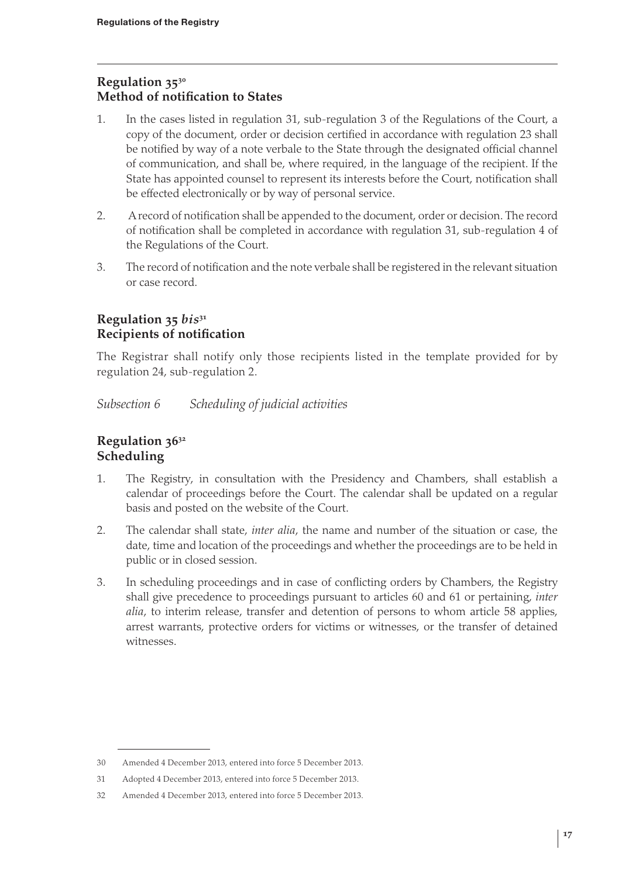# <span id="page-27-0"></span>**Regulation 3530 Method of notification to States**

- 1. In the cases listed in regulation 31, sub-regulation 3 of the Regulations of the Court, a copy of the document, order or decision certified in accordance with regulation 23 shall be notified by way of a note verbale to the State through the designated official channel of communication, and shall be, where required, in the language of the recipient. If the State has appointed counsel to represent its interests before the Court, notification shall be effected electronically or by way of personal service.
- 2. A record of notification shall be appended to the document, order or decision. The record of notification shall be completed in accordance with regulation 31, sub-regulation 4 of the Regulations of the Court.
- 3. The record of notification and the note verbale shall be registered in the relevant situation or case record.

# **Regulation 35** *bis***<sup>31</sup> Recipients of notification**

The Registrar shall notify only those recipients listed in the template provided for by regulation 24, sub-regulation 2.

*Subsection 6 Scheduling of judicial activities*

# **Regulation 3632 Scheduling**

- 1. The Registry, in consultation with the Presidency and Chambers, shall establish a calendar of proceedings before the Court. The calendar shall be updated on a regular basis and posted on the website of the Court.
- 2. The calendar shall state, *inter alia*, the name and number of the situation or case, the date, time and location of the proceedings and whether the proceedings are to be held in public or in closed session.
- 3. In scheduling proceedings and in case of conflicting orders by Chambers, the Registry shall give precedence to proceedings pursuant to articles 60 and 61 or pertaining, *inter alia*, to interim release, transfer and detention of persons to whom article 58 applies, arrest warrants, protective orders for victims or witnesses, or the transfer of detained witnesses.

<sup>30</sup> Amended 4 December 2013, entered into force 5 December 2013.

<sup>31</sup> Adopted 4 December 2013, entered into force 5 December 2013.

<sup>32</sup> Amended 4 December 2013, entered into force 5 December 2013.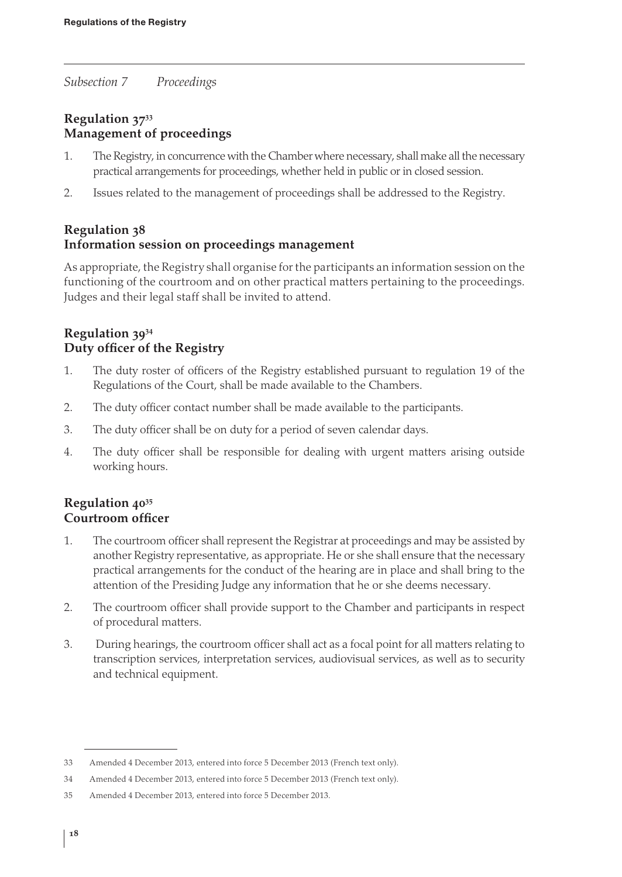<span id="page-28-0"></span>*Subsection 7 Proceedings*

# **Regulation 3733 Management of proceedings**

- 1. The Registry, in concurrence with the Chamber where necessary, shall make all the necessary practical arrangements for proceedings, whether held in public or in closed session.
- 2. Issues related to the management of proceedings shall be addressed to the Registry.

# **Regulation 38 Information session on proceedings management**

As appropriate, the Registry shall organise for the participants an information session on the functioning of the courtroom and on other practical matters pertaining to the proceedings. Judges and their legal staff shall be invited to attend.

# **Regulation 3934 Duty officer of the Registry**

- 1. The duty roster of officers of the Registry established pursuant to regulation 19 of the Regulations of the Court, shall be made available to the Chambers.
- 2. The duty officer contact number shall be made available to the participants.
- 3. The duty officer shall be on duty for a period of seven calendar days.
- 4. The duty officer shall be responsible for dealing with urgent matters arising outside working hours.

# **Regulation 4035 Courtroom officer**

- 1. The courtroom officer shall represent the Registrar at proceedings and may be assisted by another Registry representative, as appropriate. He or she shall ensure that the necessary practical arrangements for the conduct of the hearing are in place and shall bring to the attention of the Presiding Judge any information that he or she deems necessary.
- 2. The courtroom officer shall provide support to the Chamber and participants in respect of procedural matters.
- 3. During hearings, the courtroom officer shall act as a focal point for all matters relating to transcription services, interpretation services, audiovisual services, as well as to security and technical equipment.

<sup>33</sup> Amended 4 December 2013, entered into force 5 December 2013 (French text only).

<sup>34</sup> Amended 4 December 2013, entered into force 5 December 2013 (French text only).

<sup>35</sup> Amended 4 December 2013, entered into force 5 December 2013.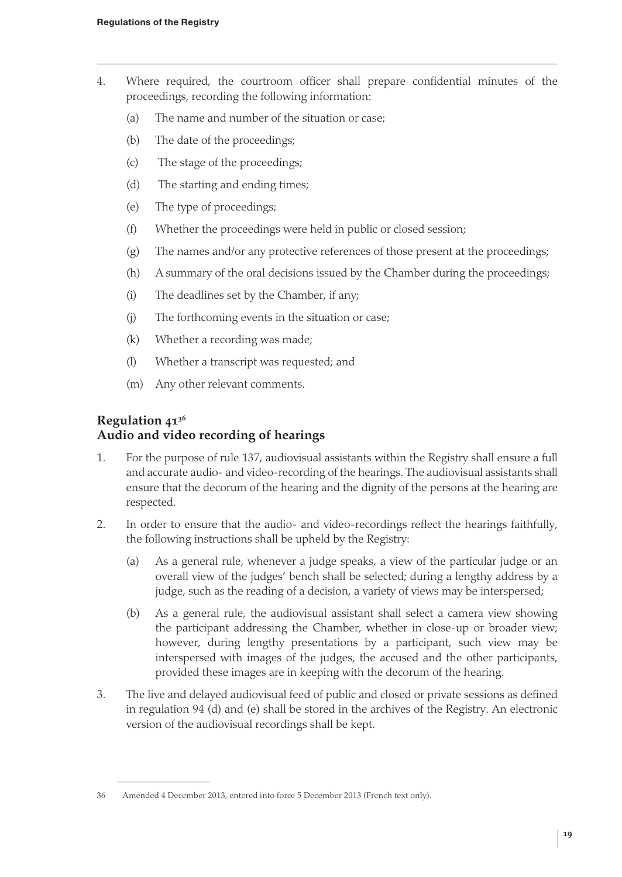- <span id="page-29-0"></span>4. Where required, the courtroom officer shall prepare confidential minutes of the proceedings, recording the following information:
	- (a) The name and number of the situation or case;
	- (b) The date of the proceedings;
	- (c) The stage of the proceedings;
	- (d) The starting and ending times;
	- (e) The type of proceedings;
	- (f) Whether the proceedings were held in public or closed session;
	- (g) The names and/or any protective references of those present at the proceedings;
	- (h) A summary of the oral decisions issued by the Chamber during the proceedings;
	- (i) The deadlines set by the Chamber, if any;
	- (j) The forthcoming events in the situation or case;
	- (k) Whether a recording was made;
	- (l) Whether a transcript was requested; and
	- (m) Any other relevant comments.

# **Regulation 4136 Audio and video recording of hearings**

- 1. For the purpose of rule 137, audiovisual assistants within the Registry shall ensure a full and accurate audio- and video-recording of the hearings. The audiovisual assistants shall ensure that the decorum of the hearing and the dignity of the persons at the hearing are respected.
- 2. In order to ensure that the audio- and video-recordings reflect the hearings faithfully, the following instructions shall be upheld by the Registry:
	- (a) As a general rule, whenever a judge speaks, a view of the particular judge or an overall view of the judges' bench shall be selected; during a lengthy address by a judge, such as the reading of a decision, a variety of views may be interspersed;
	- (b) As a general rule, the audiovisual assistant shall select a camera view showing the participant addressing the Chamber, whether in close-up or broader view; however, during lengthy presentations by a participant, such view may be interspersed with images of the judges, the accused and the other participants, provided these images are in keeping with the decorum of the hearing.
- 3. The live and delayed audiovisual feed of public and closed or private sessions as defined in regulation 94 (d) and (e) shall be stored in the archives of the Registry. An electronic version of the audiovisual recordings shall be kept.

<sup>36</sup> Amended 4 December 2013, entered into force 5 December 2013 (French text only).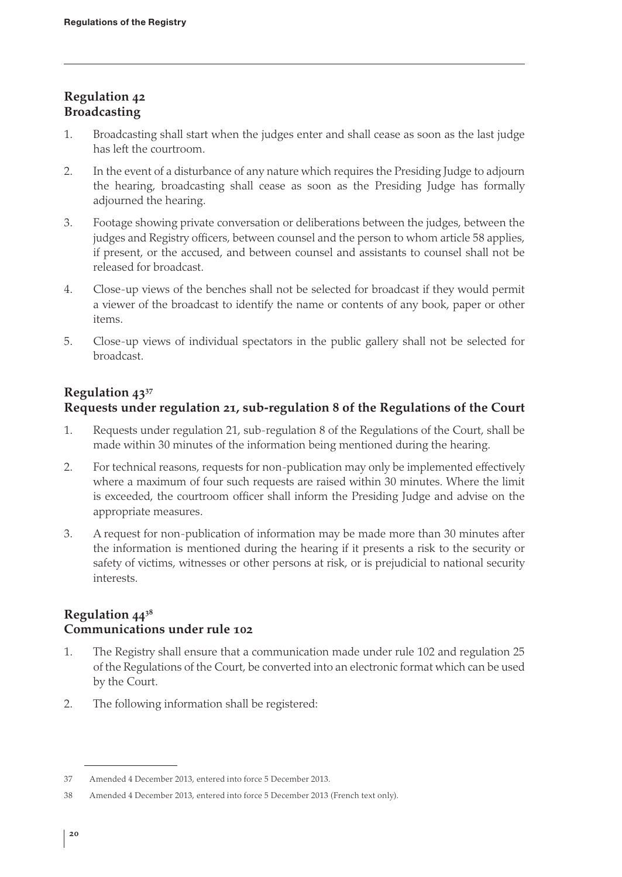#### <span id="page-30-0"></span>**Regulation 42 Broadcasting**

- 1. Broadcasting shall start when the judges enter and shall cease as soon as the last judge has left the courtroom.
- 2. In the event of a disturbance of any nature which requires the Presiding Judge to adjourn the hearing, broadcasting shall cease as soon as the Presiding Judge has formally adjourned the hearing.
- 3. Footage showing private conversation or deliberations between the judges, between the judges and Registry officers, between counsel and the person to whom article 58 applies, if present, or the accused, and between counsel and assistants to counsel shall not be released for broadcast.
- 4. Close-up views of the benches shall not be selected for broadcast if they would permit a viewer of the broadcast to identify the name or contents of any book, paper or other items.
- 5. Close-up views of individual spectators in the public gallery shall not be selected for broadcast.

#### **Regulation 4337 Requests under regulation 21, sub-regulation 8 of the Regulations of the Court**

- 1. Requests under regulation 21, sub-regulation 8 of the Regulations of the Court, shall be made within 30 minutes of the information being mentioned during the hearing.
- 2. For technical reasons, requests for non-publication may only be implemented effectively where a maximum of four such requests are raised within 30 minutes. Where the limit is exceeded, the courtroom officer shall inform the Presiding Judge and advise on the appropriate measures.
- 3. A request for non-publication of information may be made more than 30 minutes after the information is mentioned during the hearing if it presents a risk to the security or safety of victims, witnesses or other persons at risk, or is prejudicial to national security interests.

# **Regulation 4438 Communications under rule 102**

- 1. The Registry shall ensure that a communication made under rule 102 and regulation 25 of the Regulations of the Court, be converted into an electronic format which can be used by the Court.
- 2. The following information shall be registered:

<sup>37</sup> Amended 4 December 2013, entered into force 5 December 2013.

<sup>38</sup> Amended 4 December 2013, entered into force 5 December 2013 (French text only).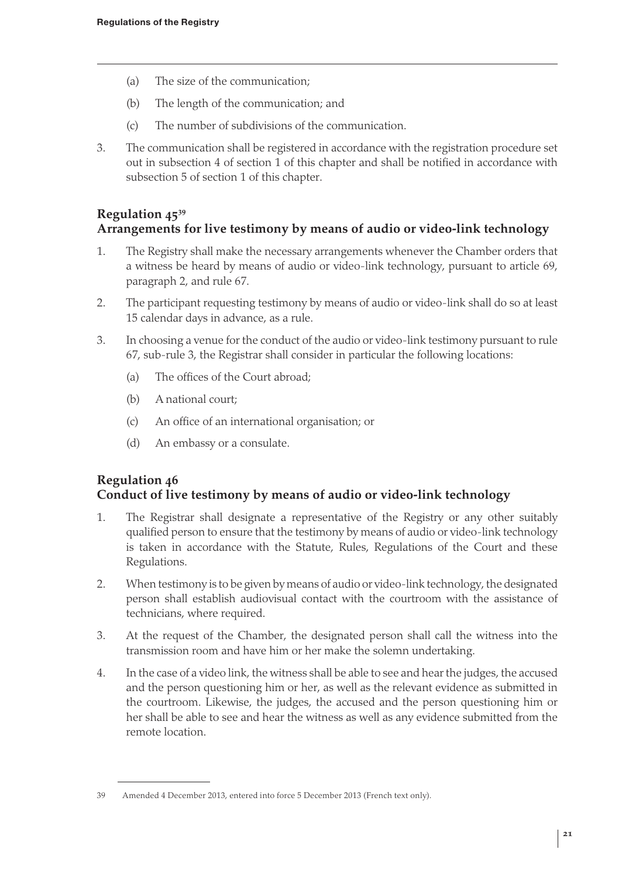- <span id="page-31-0"></span>(a) The size of the communication;
- (b) The length of the communication; and
- (c) The number of subdivisions of the communication.
- 3. The communication shall be registered in accordance with the registration procedure set out in subsection 4 of section 1 of this chapter and shall be notified in accordance with subsection 5 of section 1 of this chapter.

#### **Regulation 4539 Arrangements for live testimony by means of audio or video-link technology**

- 1. The Registry shall make the necessary arrangements whenever the Chamber orders that a witness be heard by means of audio or video-link technology, pursuant to article 69, paragraph 2, and rule 67.
- 2. The participant requesting testimony by means of audio or video-link shall do so at least 15 calendar days in advance, as a rule.
- 3. In choosing a venue for the conduct of the audio or video-link testimony pursuant to rule 67, sub-rule 3, the Registrar shall consider in particular the following locations:
	- (a) The offices of the Court abroad;
	- (b) A national court;
	- (c) An office of an international organisation; or
	- (d) An embassy or a consulate.

#### **Regulation 46 Conduct of live testimony by means of audio or video-link technology**

- 1. The Registrar shall designate a representative of the Registry or any other suitably qualified person to ensure that the testimony by means of audio or video-link technology is taken in accordance with the Statute, Rules, Regulations of the Court and these Regulations.
- 2. When testimony is to be given by means of audio or video-link technology, the designated person shall establish audiovisual contact with the courtroom with the assistance of technicians, where required.
- 3. At the request of the Chamber, the designated person shall call the witness into the transmission room and have him or her make the solemn undertaking.
- 4. In the case of a video link, the witness shall be able to see and hear the judges, the accused and the person questioning him or her, as well as the relevant evidence as submitted in the courtroom. Likewise, the judges, the accused and the person questioning him or her shall be able to see and hear the witness as well as any evidence submitted from the remote location.

<sup>39</sup> Amended 4 December 2013, entered into force 5 December 2013 (French text only).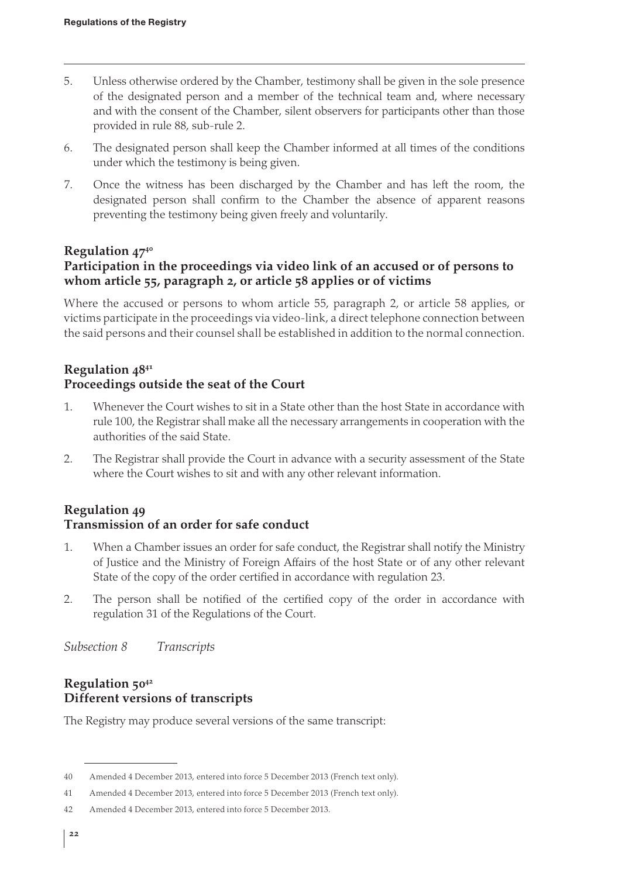- <span id="page-32-0"></span>5. Unless otherwise ordered by the Chamber, testimony shall be given in the sole presence of the designated person and a member of the technical team and, where necessary and with the consent of the Chamber, silent observers for participants other than those provided in rule 88, sub-rule 2.
- 6. The designated person shall keep the Chamber informed at all times of the conditions under which the testimony is being given.
- 7. Once the witness has been discharged by the Chamber and has left the room, the designated person shall confirm to the Chamber the absence of apparent reasons preventing the testimony being given freely and voluntarily.

# **Regulation 4740**

# **Participation in the proceedings via video link of an accused or of persons to whom article 55, paragraph 2, or article 58 applies or of victims**

Where the accused or persons to whom article 55, paragraph 2, or article 58 applies, or victims participate in the proceedings via video-link, a direct telephone connection between the said persons and their counsel shall be established in addition to the normal connection.

#### **Regulation 4841 Proceedings outside the seat of the Court**

- 1. Whenever the Court wishes to sit in a State other than the host State in accordance with rule 100, the Registrar shall make all the necessary arrangements in cooperation with the authorities of the said State.
- 2. The Registrar shall provide the Court in advance with a security assessment of the State where the Court wishes to sit and with any other relevant information.

#### **Regulation 49 Transmission of an order for safe conduct**

- 1. When a Chamber issues an order for safe conduct, the Registrar shall notify the Ministry of Justice and the Ministry of Foreign Affairs of the host State or of any other relevant State of the copy of the order certified in accordance with regulation 23.
- 2. The person shall be notified of the certified copy of the order in accordance with regulation 31 of the Regulations of the Court.

*Subsection 8 Transcripts*

#### **Regulation 5042 Different versions of transcripts**

The Registry may produce several versions of the same transcript:

<sup>40</sup> Amended 4 December 2013, entered into force 5 December 2013 (French text only).

<sup>41</sup> Amended 4 December 2013, entered into force 5 December 2013 (French text only).

<sup>42</sup> Amended 4 December 2013, entered into force 5 December 2013.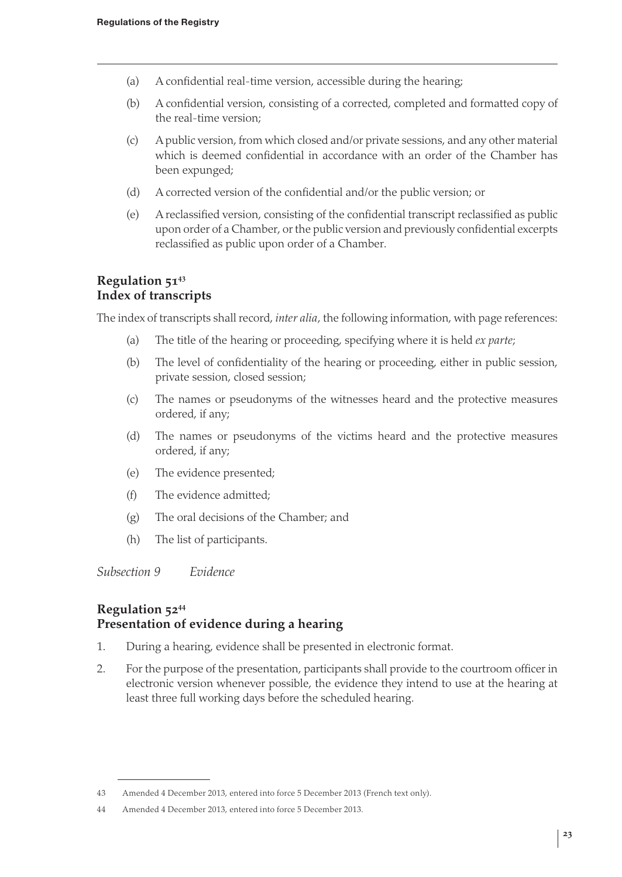- <span id="page-33-0"></span>(a) A confidential real-time version, accessible during the hearing;
- (b) A confidential version, consisting of a corrected, completed and formatted copy of the real-time version;
- (c) A public version, from which closed and/or private sessions, and any other material which is deemed confidential in accordance with an order of the Chamber has been expunged;
- (d) A corrected version of the confidential and/or the public version; or
- (e) A reclassified version, consisting of the confidential transcript reclassified as public upon order of a Chamber, or the public version and previously confidential excerpts reclassified as public upon order of a Chamber.

#### **Regulation 5143 Index of transcripts**

The index of transcripts shall record, *inter alia*, the following information, with page references:

- (a) The title of the hearing or proceeding, specifying where it is held *ex parte*;
- (b) The level of confidentiality of the hearing or proceeding, either in public session, private session, closed session;
- (c) The names or pseudonyms of the witnesses heard and the protective measures ordered, if any;
- (d) The names or pseudonyms of the victims heard and the protective measures ordered, if any;
- (e) The evidence presented;
- (f) The evidence admitted;
- (g) The oral decisions of the Chamber; and
- (h) The list of participants.

*Subsection 9 Evidence*

#### **Regulation 5244 Presentation of evidence during a hearing**

- 1. During a hearing, evidence shall be presented in electronic format.
- 2. For the purpose of the presentation, participants shall provide to the courtroom officer in electronic version whenever possible, the evidence they intend to use at the hearing at least three full working days before the scheduled hearing.

<sup>43</sup> Amended 4 December 2013, entered into force 5 December 2013 (French text only).

<sup>44</sup> Amended 4 December 2013, entered into force 5 December 2013.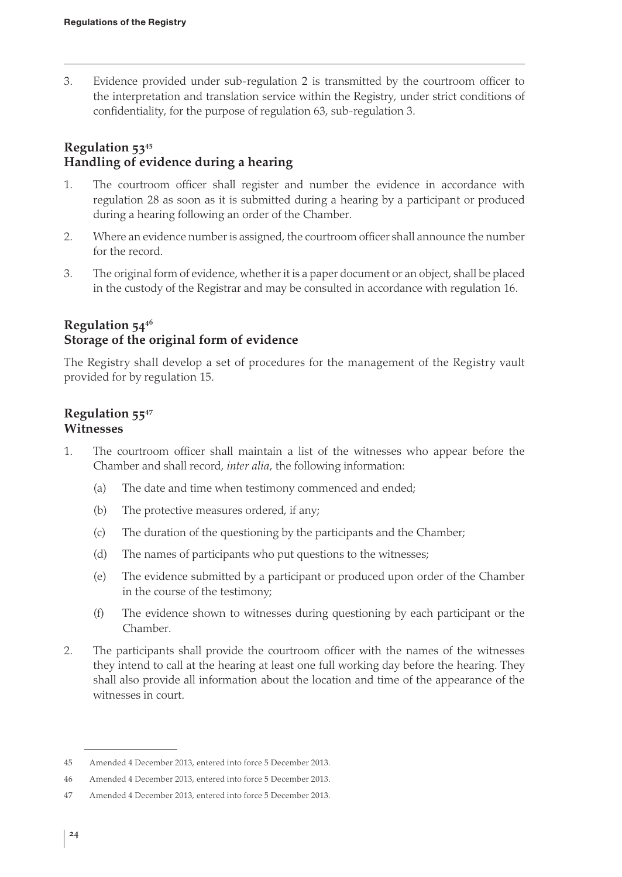<span id="page-34-0"></span>3. Evidence provided under sub-regulation 2 is transmitted by the courtroom officer to the interpretation and translation service within the Registry, under strict conditions of confidentiality, for the purpose of regulation 63, sub-regulation 3.

#### **Regulation 5345 Handling of evidence during a hearing**

- 1. The courtroom officer shall register and number the evidence in accordance with regulation 28 as soon as it is submitted during a hearing by a participant or produced during a hearing following an order of the Chamber.
- 2. Where an evidence number is assigned, the courtroom officer shall announce the number for the record.
- 3. The original form of evidence, whether it is a paper document or an object, shall be placed in the custody of the Registrar and may be consulted in accordance with regulation 16.

# **Regulation 5446 Storage of the original form of evidence**

The Registry shall develop a set of procedures for the management of the Registry vault provided for by regulation 15.

# **Regulation 5547 Witnesses**

- 1. The courtroom officer shall maintain a list of the witnesses who appear before the Chamber and shall record, *inter alia*, the following information:
	- (a) The date and time when testimony commenced and ended;
	- (b) The protective measures ordered, if any;
	- (c) The duration of the questioning by the participants and the Chamber;
	- (d) The names of participants who put questions to the witnesses;
	- (e) The evidence submitted by a participant or produced upon order of the Chamber in the course of the testimony;
	- (f) The evidence shown to witnesses during questioning by each participant or the Chamber.
- 2. The participants shall provide the courtroom officer with the names of the witnesses they intend to call at the hearing at least one full working day before the hearing. They shall also provide all information about the location and time of the appearance of the witnesses in court.

<sup>45</sup> Amended 4 December 2013, entered into force 5 December 2013.

<sup>46</sup> Amended 4 December 2013, entered into force 5 December 2013.

<sup>47</sup> Amended 4 December 2013, entered into force 5 December 2013.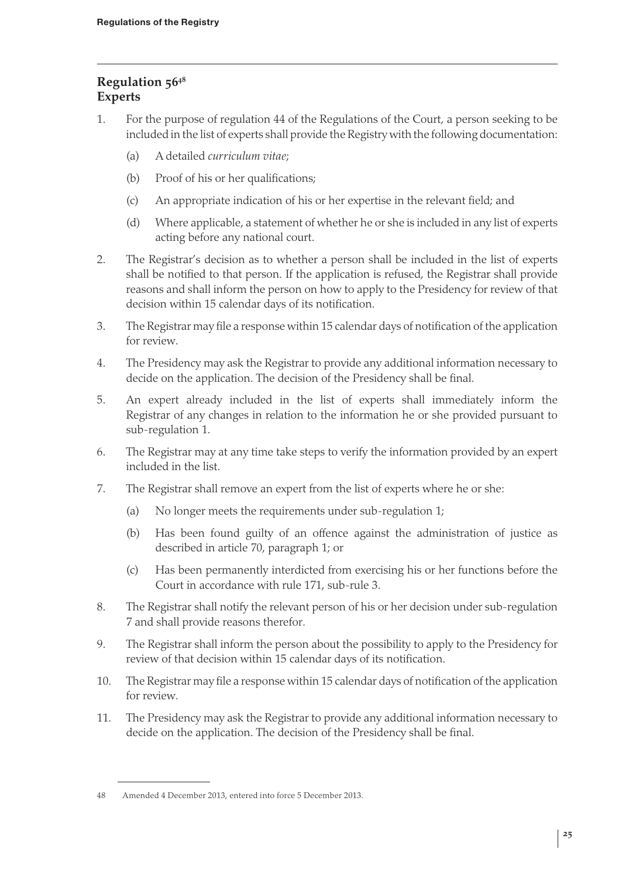# <span id="page-35-0"></span>**Regulation 5648 Experts**

- 1. For the purpose of regulation 44 of the Regulations of the Court, a person seeking to be included in the list of experts shall provide the Registry with the following documentation:
	- (a) A detailed *curriculum vitae*;
	- (b) Proof of his or her qualifications;
	- (c) An appropriate indication of his or her expertise in the relevant field; and
	- (d) Where applicable, a statement of whether he or she is included in any list of experts acting before any national court.
- 2. The Registrar's decision as to whether a person shall be included in the list of experts shall be notified to that person. If the application is refused, the Registrar shall provide reasons and shall inform the person on how to apply to the Presidency for review of that decision within 15 calendar days of its notification.
- 3. The Registrar may file a response within 15 calendar days of notification of the application for review.
- 4. The Presidency may ask the Registrar to provide any additional information necessary to decide on the application. The decision of the Presidency shall be final.
- 5. An expert already included in the list of experts shall immediately inform the Registrar of any changes in relation to the information he or she provided pursuant to sub-regulation 1.
- 6. The Registrar may at any time take steps to verify the information provided by an expert included in the list.
- 7. The Registrar shall remove an expert from the list of experts where he or she:
	- (a) No longer meets the requirements under sub-regulation 1;
	- (b) Has been found guilty of an offence against the administration of justice as described in article 70, paragraph 1; or
	- (c) Has been permanently interdicted from exercising his or her functions before the Court in accordance with rule 171, sub-rule 3.
- 8. The Registrar shall notify the relevant person of his or her decision under sub-regulation 7 and shall provide reasons therefor.
- 9. The Registrar shall inform the person about the possibility to apply to the Presidency for review of that decision within 15 calendar days of its notification.
- 10. The Registrar may file a response within 15 calendar days of notification of the application for review.
- 11. The Presidency may ask the Registrar to provide any additional information necessary to decide on the application. The decision of the Presidency shall be final.

<sup>48</sup> Amended 4 December 2013, entered into force 5 December 2013.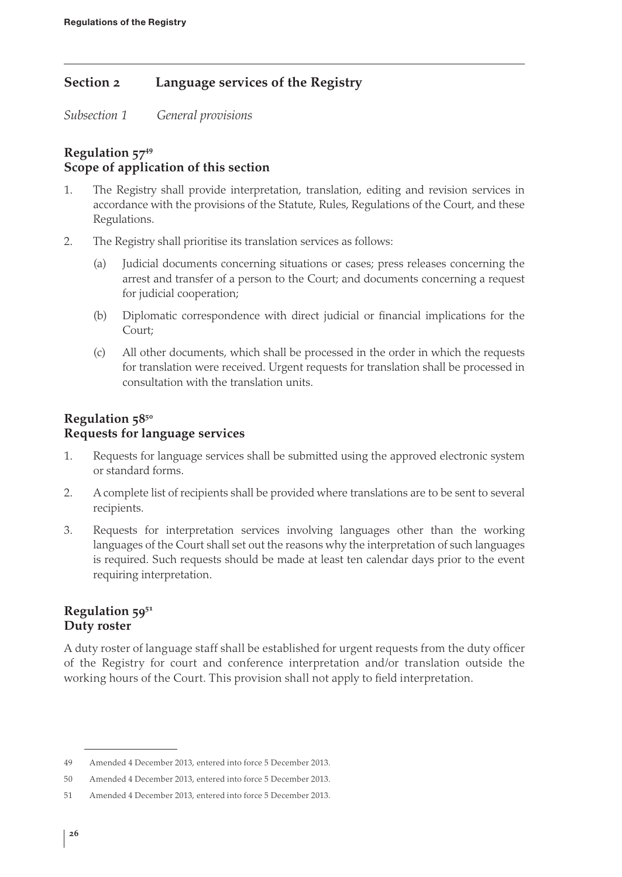### **Section 2 Language services of the Registry**

*Subsection 1 General provisions*

### **Regulation 5749 Scope of application of this section**

- 1. The Registry shall provide interpretation, translation, editing and revision services in accordance with the provisions of the Statute, Rules, Regulations of the Court, and these Regulations.
- 2. The Registry shall prioritise its translation services as follows:
	- (a) Judicial documents concerning situations or cases; press releases concerning the arrest and transfer of a person to the Court; and documents concerning a request for judicial cooperation;
	- (b) Diplomatic correspondence with direct judicial or financial implications for the Court;
	- (c) All other documents, which shall be processed in the order in which the requests for translation were received. Urgent requests for translation shall be processed in consultation with the translation units.

### **Regulation 5850 Requests for language services**

- 1. Requests for language services shall be submitted using the approved electronic system or standard forms.
- 2. A complete list of recipients shall be provided where translations are to be sent to several recipients.
- 3. Requests for interpretation services involving languages other than the working languages of the Court shall set out the reasons why the interpretation of such languages is required. Such requests should be made at least ten calendar days prior to the event requiring interpretation.

#### **Regulation 5951 Duty roster**

A duty roster of language staff shall be established for urgent requests from the duty officer of the Registry for court and conference interpretation and/or translation outside the working hours of the Court. This provision shall not apply to field interpretation.

<sup>49</sup> Amended 4 December 2013, entered into force 5 December 2013.

<sup>50</sup> Amended 4 December 2013, entered into force 5 December 2013.

<sup>51</sup> Amended 4 December 2013, entered into force 5 December 2013.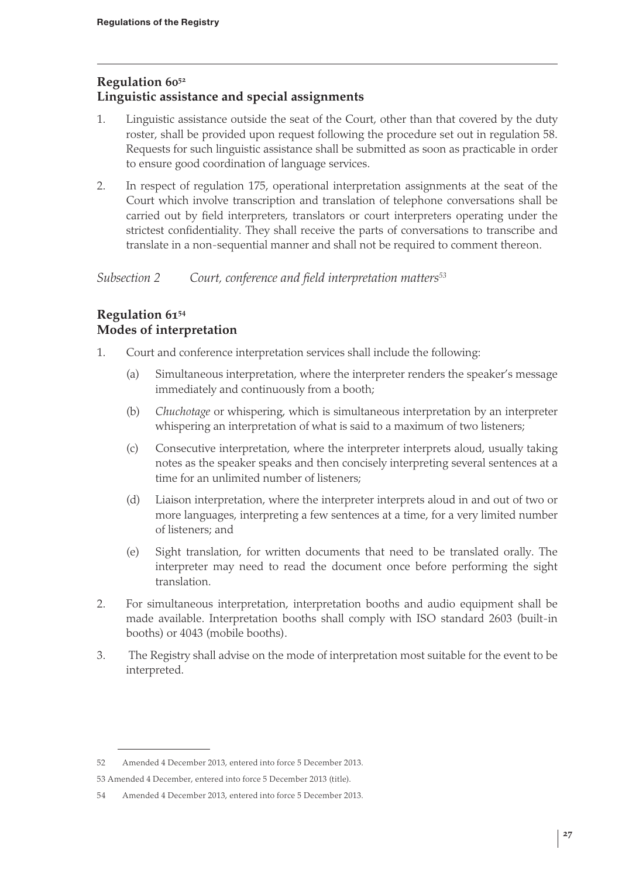# **Regulation 6052 Linguistic assistance and special assignments**

- 1. Linguistic assistance outside the seat of the Court, other than that covered by the duty roster, shall be provided upon request following the procedure set out in regulation 58. Requests for such linguistic assistance shall be submitted as soon as practicable in order to ensure good coordination of language services.
- 2. In respect of regulation 175, operational interpretation assignments at the seat of the Court which involve transcription and translation of telephone conversations shall be carried out by field interpreters, translators or court interpreters operating under the strictest confidentiality. They shall receive the parts of conversations to transcribe and translate in a non-sequential manner and shall not be required to comment thereon.

*Subsection 2 Court, conference and field interpretation matters53*

#### **Regulation 6154 Modes of interpretation**

- 1. Court and conference interpretation services shall include the following:
	- (a) Simultaneous interpretation, where the interpreter renders the speaker's message immediately and continuously from a booth;
	- (b) *Chuchotage* or whispering, which is simultaneous interpretation by an interpreter whispering an interpretation of what is said to a maximum of two listeners;
	- (c) Consecutive interpretation, where the interpreter interprets aloud, usually taking notes as the speaker speaks and then concisely interpreting several sentences at a time for an unlimited number of listeners;
	- (d) Liaison interpretation, where the interpreter interprets aloud in and out of two or more languages, interpreting a few sentences at a time, for a very limited number of listeners; and
	- (e) Sight translation, for written documents that need to be translated orally. The interpreter may need to read the document once before performing the sight translation.
- 2. For simultaneous interpretation, interpretation booths and audio equipment shall be made available. Interpretation booths shall comply with ISO standard 2603 (built-in booths) or 4043 (mobile booths).
- 3. The Registry shall advise on the mode of interpretation most suitable for the event to be interpreted.

<sup>52</sup> Amended 4 December 2013, entered into force 5 December 2013.

<sup>53</sup> Amended 4 December, entered into force 5 December 2013 (title).

<sup>54</sup> Amended 4 December 2013, entered into force 5 December 2013.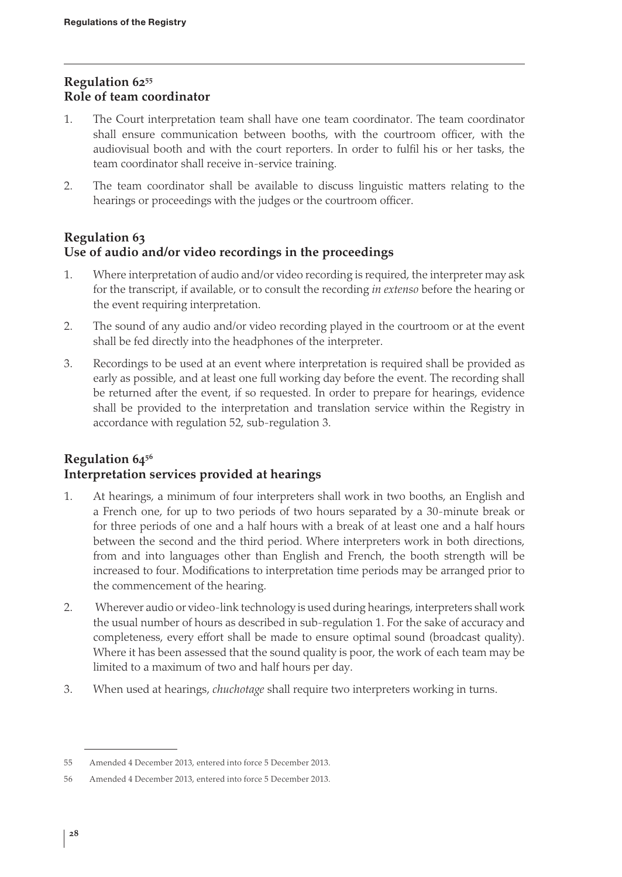# **Regulation 6255 Role of team coordinator**

- 1. The Court interpretation team shall have one team coordinator. The team coordinator shall ensure communication between booths, with the courtroom officer, with the audiovisual booth and with the court reporters. In order to fulfil his or her tasks, the team coordinator shall receive in-service training.
- 2. The team coordinator shall be available to discuss linguistic matters relating to the hearings or proceedings with the judges or the courtroom officer.

## **Regulation 63 Use of audio and/or video recordings in the proceedings**

- 1. Where interpretation of audio and/or video recording is required, the interpreter may ask for the transcript, if available, or to consult the recording *in extenso* before the hearing or the event requiring interpretation.
- 2. The sound of any audio and/or video recording played in the courtroom or at the event shall be fed directly into the headphones of the interpreter.
- 3. Recordings to be used at an event where interpretation is required shall be provided as early as possible, and at least one full working day before the event. The recording shall be returned after the event, if so requested. In order to prepare for hearings, evidence shall be provided to the interpretation and translation service within the Registry in accordance with regulation 52, sub-regulation 3.

#### **Regulation 6456 Interpretation services provided at hearings**

- 1. At hearings, a minimum of four interpreters shall work in two booths, an English and a French one, for up to two periods of two hours separated by a 30-minute break or for three periods of one and a half hours with a break of at least one and a half hours between the second and the third period. Where interpreters work in both directions, from and into languages other than English and French, the booth strength will be increased to four. Modifications to interpretation time periods may be arranged prior to the commencement of the hearing.
- 2. Wherever audio or video-link technology is used during hearings, interpreters shall work the usual number of hours as described in sub-regulation 1. For the sake of accuracy and completeness, every effort shall be made to ensure optimal sound (broadcast quality). Where it has been assessed that the sound quality is poor, the work of each team may be limited to a maximum of two and half hours per day.
- 3. When used at hearings, *chuchotage* shall require two interpreters working in turns.

<sup>55</sup> Amended 4 December 2013, entered into force 5 December 2013.

<sup>56</sup> Amended 4 December 2013, entered into force 5 December 2013.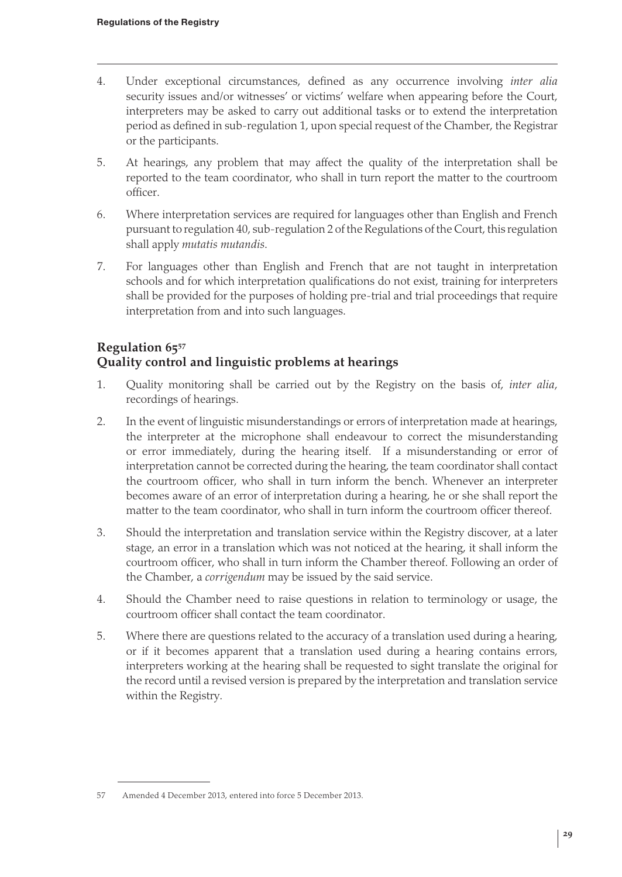- 4. Under exceptional circumstances, defined as any occurrence involving *inter alia* security issues and/or witnesses' or victims' welfare when appearing before the Court, interpreters may be asked to carry out additional tasks or to extend the interpretation period as defined in sub-regulation 1, upon special request of the Chamber, the Registrar or the participants.
- 5. At hearings, any problem that may affect the quality of the interpretation shall be reported to the team coordinator, who shall in turn report the matter to the courtroom officer.
- 6. Where interpretation services are required for languages other than English and French pursuant to regulation 40, sub-regulation 2 of the Regulations of the Court, this regulation shall apply *mutatis mutandis*.
- 7. For languages other than English and French that are not taught in interpretation schools and for which interpretation qualifications do not exist, training for interpreters shall be provided for the purposes of holding pre-trial and trial proceedings that require interpretation from and into such languages.

# **Regulation 6557 Quality control and linguistic problems at hearings**

- 1. Quality monitoring shall be carried out by the Registry on the basis of, *inter alia*, recordings of hearings.
- 2. In the event of linguistic misunderstandings or errors of interpretation made at hearings, the interpreter at the microphone shall endeavour to correct the misunderstanding or error immediately, during the hearing itself. If a misunderstanding or error of interpretation cannot be corrected during the hearing, the team coordinator shall contact the courtroom officer, who shall in turn inform the bench. Whenever an interpreter becomes aware of an error of interpretation during a hearing, he or she shall report the matter to the team coordinator, who shall in turn inform the courtroom officer thereof.
- 3. Should the interpretation and translation service within the Registry discover, at a later stage, an error in a translation which was not noticed at the hearing, it shall inform the courtroom officer, who shall in turn inform the Chamber thereof. Following an order of the Chamber, a *corrigendum* may be issued by the said service.
- 4. Should the Chamber need to raise questions in relation to terminology or usage, the courtroom officer shall contact the team coordinator.
- 5. Where there are questions related to the accuracy of a translation used during a hearing, or if it becomes apparent that a translation used during a hearing contains errors, interpreters working at the hearing shall be requested to sight translate the original for the record until a revised version is prepared by the interpretation and translation service within the Registry.

<sup>57</sup> Amended 4 December 2013, entered into force 5 December 2013.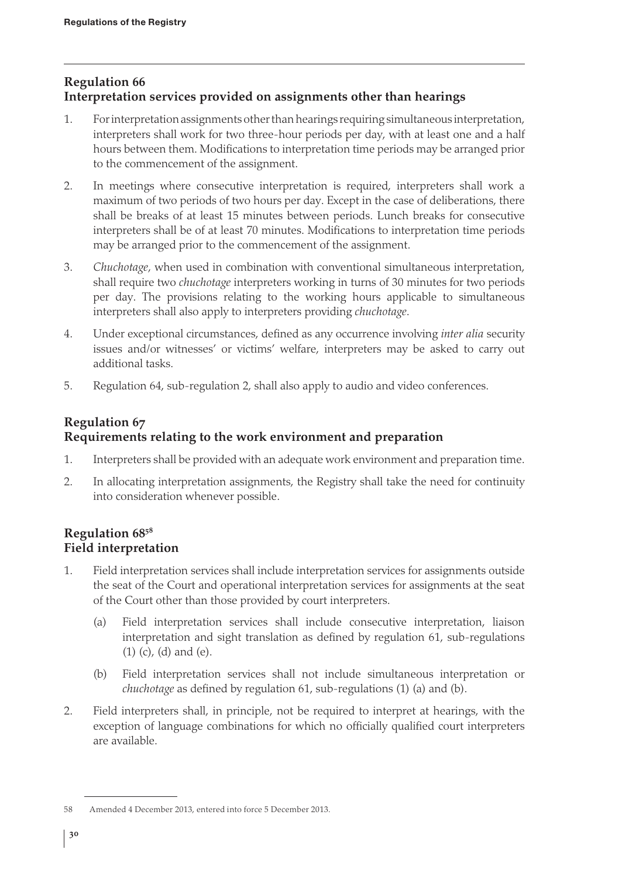# **Regulation 66 Interpretation services provided on assignments other than hearings**

- 1. For interpretation assignments other than hearings requiring simultaneous interpretation, interpreters shall work for two three-hour periods per day, with at least one and a half hours between them. Modifications to interpretation time periods may be arranged prior to the commencement of the assignment.
- 2. In meetings where consecutive interpretation is required, interpreters shall work a maximum of two periods of two hours per day. Except in the case of deliberations, there shall be breaks of at least 15 minutes between periods. Lunch breaks for consecutive interpreters shall be of at least 70 minutes. Modifications to interpretation time periods may be arranged prior to the commencement of the assignment.
- 3. *Chuchotage*, when used in combination with conventional simultaneous interpretation, shall require two *chuchotage* interpreters working in turns of 30 minutes for two periods per day. The provisions relating to the working hours applicable to simultaneous interpreters shall also apply to interpreters providing *chuchotage*.
- 4. Under exceptional circumstances, defined as any occurrence involving *inter alia* security issues and/or witnesses' or victims' welfare, interpreters may be asked to carry out additional tasks.
- 5. Regulation 64, sub-regulation 2, shall also apply to audio and video conferences.

# **Regulation 67 Requirements relating to the work environment and preparation**

- 1. Interpreters shall be provided with an adequate work environment and preparation time.
- 2. In allocating interpretation assignments, the Registry shall take the need for continuity into consideration whenever possible.

## **Regulation 6858 Field interpretation**

- 1. Field interpretation services shall include interpretation services for assignments outside the seat of the Court and operational interpretation services for assignments at the seat of the Court other than those provided by court interpreters.
	- (a) Field interpretation services shall include consecutive interpretation, liaison interpretation and sight translation as defined by regulation 61, sub-regulations (1) (c), (d) and (e).
	- (b) Field interpretation services shall not include simultaneous interpretation or *chuchotage* as defined by regulation 61, sub-regulations (1) (a) and (b).
- 2. Field interpreters shall, in principle, not be required to interpret at hearings, with the exception of language combinations for which no officially qualified court interpreters are available.

<sup>58</sup> Amended 4 December 2013, entered into force 5 December 2013.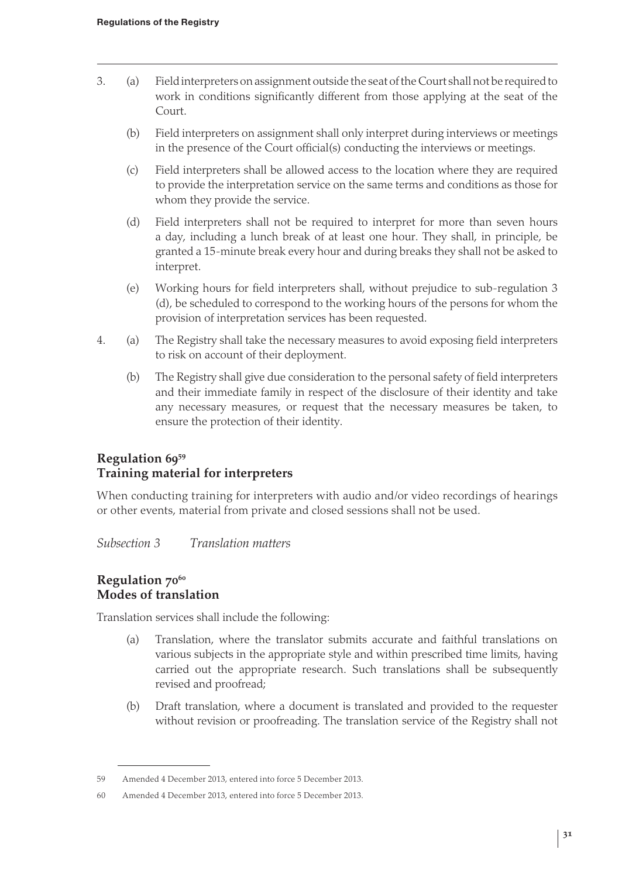- 3. (a) Field interpreters on assignment outside the seat of the Court shall not be required to work in conditions significantly different from those applying at the seat of the Court.
	- (b) Field interpreters on assignment shall only interpret during interviews or meetings in the presence of the Court official(s) conducting the interviews or meetings.
	- (c) Field interpreters shall be allowed access to the location where they are required to provide the interpretation service on the same terms and conditions as those for whom they provide the service.
	- (d) Field interpreters shall not be required to interpret for more than seven hours a day, including a lunch break of at least one hour. They shall, in principle, be granted a 15-minute break every hour and during breaks they shall not be asked to interpret.
	- (e) Working hours for field interpreters shall, without prejudice to sub-regulation 3 (d), be scheduled to correspond to the working hours of the persons for whom the provision of interpretation services has been requested.
- 4. (a) The Registry shall take the necessary measures to avoid exposing field interpreters to risk on account of their deployment.
	- (b) The Registry shall give due consideration to the personal safety of field interpreters and their immediate family in respect of the disclosure of their identity and take any necessary measures, or request that the necessary measures be taken, to ensure the protection of their identity.

#### **Regulation 6959 Training material for interpreters**

When conducting training for interpreters with audio and/or video recordings of hearings or other events, material from private and closed sessions shall not be used.

*Subsection 3 Translation matters*

#### **Regulation 70<sup>60</sup> Modes of translation**

Translation services shall include the following:

- (a) Translation, where the translator submits accurate and faithful translations on various subjects in the appropriate style and within prescribed time limits, having carried out the appropriate research. Such translations shall be subsequently revised and proofread;
- (b) Draft translation, where a document is translated and provided to the requester without revision or proofreading. The translation service of the Registry shall not

<sup>59</sup> Amended 4 December 2013, entered into force 5 December 2013.

<sup>60</sup> Amended 4 December 2013, entered into force 5 December 2013.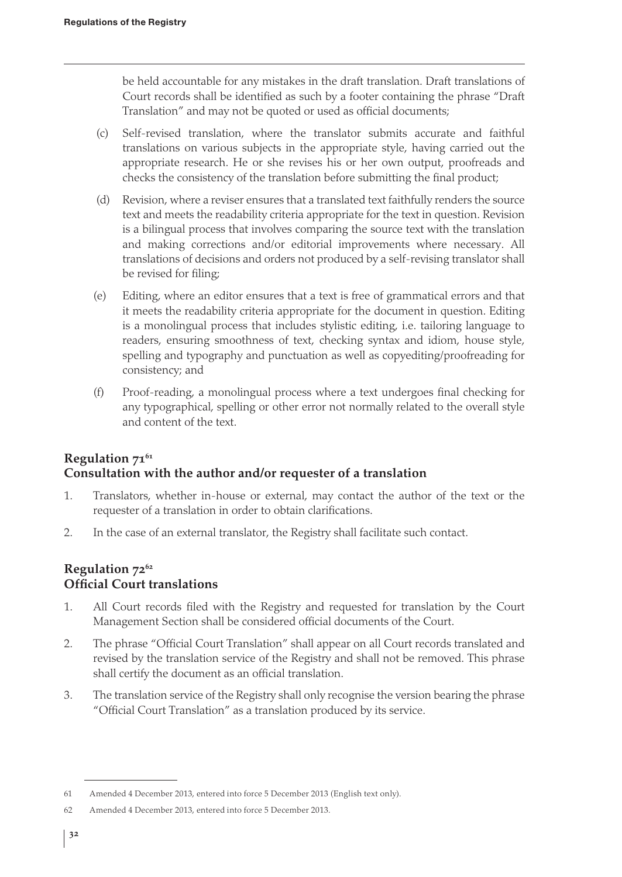be held accountable for any mistakes in the draft translation. Draft translations of Court records shall be identified as such by a footer containing the phrase "Draft Translation" and may not be quoted or used as official documents;

- (c) Self-revised translation, where the translator submits accurate and faithful translations on various subjects in the appropriate style, having carried out the appropriate research. He or she revises his or her own output, proofreads and checks the consistency of the translation before submitting the final product;
- (d) Revision, where a reviser ensures that a translated text faithfully renders the source text and meets the readability criteria appropriate for the text in question. Revision is a bilingual process that involves comparing the source text with the translation and making corrections and/or editorial improvements where necessary. All translations of decisions and orders not produced by a self-revising translator shall be revised for filing;
- (e) Editing, where an editor ensures that a text is free of grammatical errors and that it meets the readability criteria appropriate for the document in question. Editing is a monolingual process that includes stylistic editing, i.e. tailoring language to readers, ensuring smoothness of text, checking syntax and idiom, house style, spelling and typography and punctuation as well as copyediting/proofreading for consistency; and
- (f) Proof-reading, a monolingual process where a text undergoes final checking for any typographical, spelling or other error not normally related to the overall style and content of the text.

#### **Regulation 7161 Consultation with the author and/or requester of a translation**

- 1. Translators, whether in-house or external, may contact the author of the text or the requester of a translation in order to obtain clarifications.
- 2. In the case of an external translator, the Registry shall facilitate such contact.

#### **Regulation 7262 Official Court translations**

- 1. All Court records filed with the Registry and requested for translation by the Court Management Section shall be considered official documents of the Court.
- 2. The phrase "Official Court Translation" shall appear on all Court records translated and revised by the translation service of the Registry and shall not be removed. This phrase shall certify the document as an official translation.
- 3. The translation service of the Registry shall only recognise the version bearing the phrase "Official Court Translation" as a translation produced by its service.

<sup>61</sup> Amended 4 December 2013, entered into force 5 December 2013 (English text only).

<sup>62</sup> Amended 4 December 2013, entered into force 5 December 2013.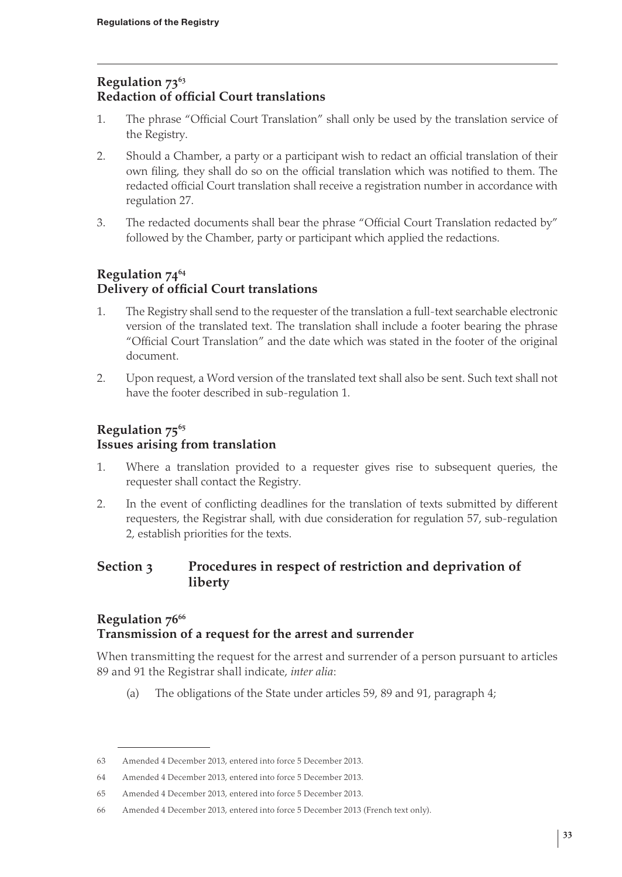# **Regulation 7363 Redaction of official Court translations**

- 1. The phrase "Official Court Translation" shall only be used by the translation service of the Registry.
- 2. Should a Chamber, a party or a participant wish to redact an official translation of their own filing, they shall do so on the official translation which was notified to them. The redacted official Court translation shall receive a registration number in accordance with regulation 27.
- 3. The redacted documents shall bear the phrase "Official Court Translation redacted by" followed by the Chamber, party or participant which applied the redactions.

# **Regulation 7464 Delivery of official Court translations**

- 1. The Registry shall send to the requester of the translation a full-text searchable electronic version of the translated text. The translation shall include a footer bearing the phrase "Official Court Translation" and the date which was stated in the footer of the original document.
- 2. Upon request, a Word version of the translated text shall also be sent. Such text shall not have the footer described in sub-regulation 1.

#### **Regulation 7565 Issues arising from translation**

- 1. Where a translation provided to a requester gives rise to subsequent queries, the requester shall contact the Registry.
- 2. In the event of conflicting deadlines for the translation of texts submitted by different requesters, the Registrar shall, with due consideration for regulation 57, sub-regulation 2, establish priorities for the texts.

# **Section 3 Procedures in respect of restriction and deprivation of liberty**

## **Regulation 7666 Transmission of a request for the arrest and surrender**

When transmitting the request for the arrest and surrender of a person pursuant to articles 89 and 91 the Registrar shall indicate, *inter alia*:

(a) The obligations of the State under articles 59, 89 and 91, paragraph 4;

<sup>63</sup> Amended 4 December 2013, entered into force 5 December 2013.

<sup>64</sup> Amended 4 December 2013, entered into force 5 December 2013.

<sup>65</sup> Amended 4 December 2013, entered into force 5 December 2013.

<sup>66</sup> Amended 4 December 2013, entered into force 5 December 2013 (French text only).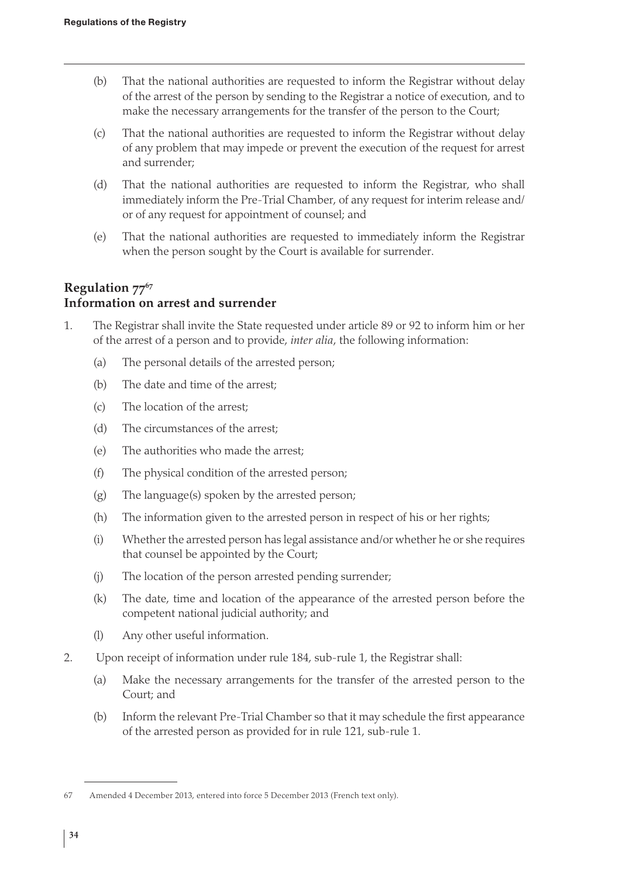- (b) That the national authorities are requested to inform the Registrar without delay of the arrest of the person by sending to the Registrar a notice of execution, and to make the necessary arrangements for the transfer of the person to the Court;
- (c) That the national authorities are requested to inform the Registrar without delay of any problem that may impede or prevent the execution of the request for arrest and surrender;
- (d) That the national authorities are requested to inform the Registrar, who shall immediately inform the Pre-Trial Chamber, of any request for interim release and/ or of any request for appointment of counsel; and
- (e) That the national authorities are requested to immediately inform the Registrar when the person sought by the Court is available for surrender.

### **Regulation 7767 Information on arrest and surrender**

- 1. The Registrar shall invite the State requested under article 89 or 92 to inform him or her of the arrest of a person and to provide, *inter alia*, the following information:
	- (a) The personal details of the arrested person;
	- (b) The date and time of the arrest;
	- (c) The location of the arrest;
	- (d) The circumstances of the arrest;
	- (e) The authorities who made the arrest;
	- (f) The physical condition of the arrested person;
	- (g) The language(s) spoken by the arrested person;
	- (h) The information given to the arrested person in respect of his or her rights;
	- (i) Whether the arrested person has legal assistance and/or whether he or she requires that counsel be appointed by the Court;
	- (j) The location of the person arrested pending surrender;
	- (k) The date, time and location of the appearance of the arrested person before the competent national judicial authority; and
	- (l) Any other useful information.
- 2. Upon receipt of information under rule 184, sub-rule 1, the Registrar shall:
	- (a) Make the necessary arrangements for the transfer of the arrested person to the Court; and
	- (b) Inform the relevant Pre-Trial Chamber so that it may schedule the first appearance of the arrested person as provided for in rule 121, sub-rule 1.

<sup>67</sup> Amended 4 December 2013, entered into force 5 December 2013 (French text only).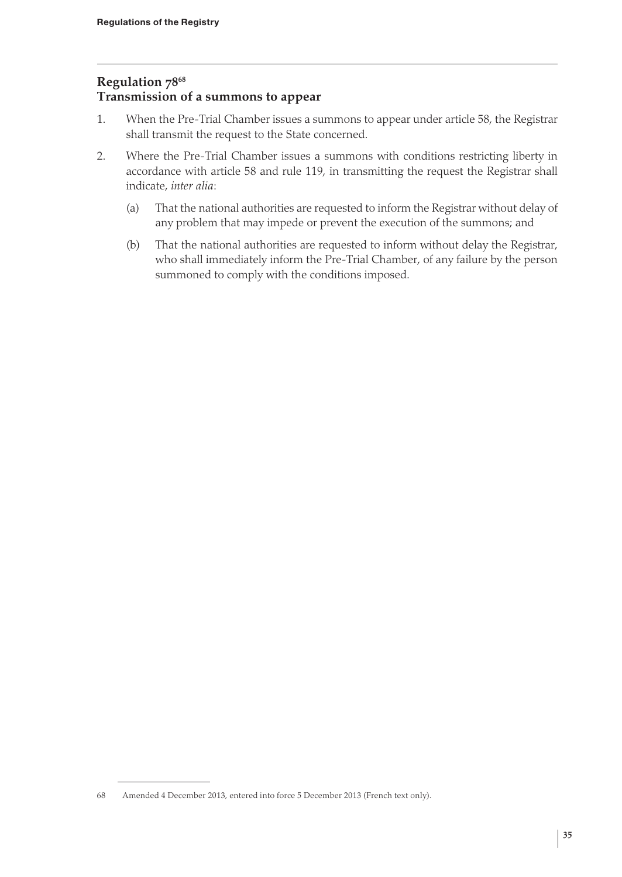# **Regulation 7868 Transmission of a summons to appear**

- 1. When the Pre-Trial Chamber issues a summons to appear under article 58, the Registrar shall transmit the request to the State concerned.
- 2. Where the Pre-Trial Chamber issues a summons with conditions restricting liberty in accordance with article 58 and rule 119, in transmitting the request the Registrar shall indicate, *inter alia*:
	- (a) That the national authorities are requested to inform the Registrar without delay of any problem that may impede or prevent the execution of the summons; and
	- (b) That the national authorities are requested to inform without delay the Registrar, who shall immediately inform the Pre-Trial Chamber, of any failure by the person summoned to comply with the conditions imposed.

<sup>68</sup> Amended 4 December 2013, entered into force 5 December 2013 (French text only).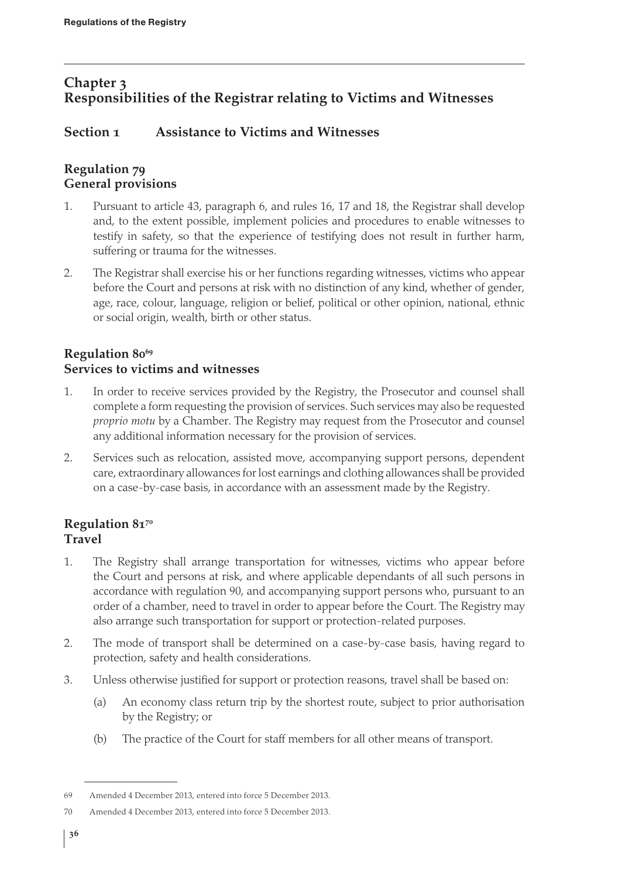# **Chapter 3 Responsibilities of the Registrar relating to Victims and Witnesses**

## **Section 1 Assistance to Victims and Witnesses**

# **Regulation 79 General provisions**

- 1. Pursuant to article 43, paragraph 6, and rules 16, 17 and 18, the Registrar shall develop and, to the extent possible, implement policies and procedures to enable witnesses to testify in safety, so that the experience of testifying does not result in further harm, suffering or trauma for the witnesses.
- 2. The Registrar shall exercise his or her functions regarding witnesses, victims who appear before the Court and persons at risk with no distinction of any kind, whether of gender, age, race, colour, language, religion or belief, political or other opinion, national, ethnic or social origin, wealth, birth or other status.

## **Regulation 8069 Services to victims and witnesses**

- 1. In order to receive services provided by the Registry, the Prosecutor and counsel shall complete a form requesting the provision of services. Such services may also be requested *proprio motu* by a Chamber. The Registry may request from the Prosecutor and counsel any additional information necessary for the provision of services.
- 2. Services such as relocation, assisted move, accompanying support persons, dependent care, extraordinary allowances for lost earnings and clothing allowances shall be provided on a case-by-case basis, in accordance with an assessment made by the Registry.

## **Regulation 8170 Travel**

- 1. The Registry shall arrange transportation for witnesses, victims who appear before the Court and persons at risk, and where applicable dependants of all such persons in accordance with regulation 90, and accompanying support persons who, pursuant to an order of a chamber, need to travel in order to appear before the Court. The Registry may also arrange such transportation for support or protection-related purposes.
- 2. The mode of transport shall be determined on a case-by-case basis, having regard to protection, safety and health considerations.
- 3. Unless otherwise justified for support or protection reasons, travel shall be based on:
	- (a) An economy class return trip by the shortest route, subject to prior authorisation by the Registry; or
	- (b) The practice of the Court for staff members for all other means of transport.

<sup>69</sup> Amended 4 December 2013, entered into force 5 December 2013.

<sup>70</sup> Amended 4 December 2013, entered into force 5 December 2013.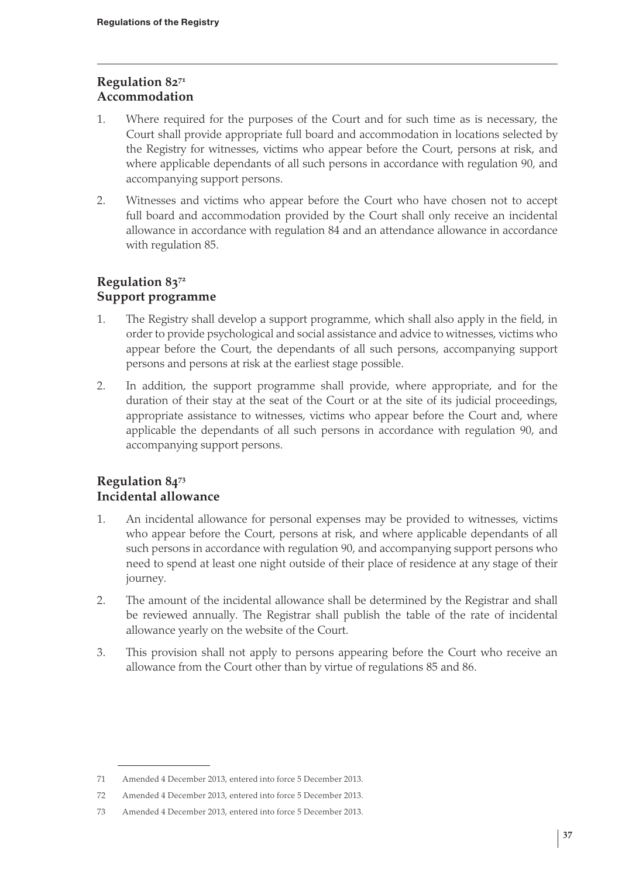# **Regulation 8271 Accommodation**

- 1. Where required for the purposes of the Court and for such time as is necessary, the Court shall provide appropriate full board and accommodation in locations selected by the Registry for witnesses, victims who appear before the Court, persons at risk, and where applicable dependants of all such persons in accordance with regulation 90, and accompanying support persons.
- 2. Witnesses and victims who appear before the Court who have chosen not to accept full board and accommodation provided by the Court shall only receive an incidental allowance in accordance with regulation 84 and an attendance allowance in accordance with regulation 85.

## **Regulation 8372 Support programme**

- 1. The Registry shall develop a support programme, which shall also apply in the field, in order to provide psychological and social assistance and advice to witnesses, victims who appear before the Court, the dependants of all such persons, accompanying support persons and persons at risk at the earliest stage possible.
- 2. In addition, the support programme shall provide, where appropriate, and for the duration of their stay at the seat of the Court or at the site of its judicial proceedings, appropriate assistance to witnesses, victims who appear before the Court and, where applicable the dependants of all such persons in accordance with regulation 90, and accompanying support persons.

## **Regulation 8473 Incidental allowance**

- 1. An incidental allowance for personal expenses may be provided to witnesses, victims who appear before the Court, persons at risk, and where applicable dependants of all such persons in accordance with regulation 90, and accompanying support persons who need to spend at least one night outside of their place of residence at any stage of their journey.
- 2. The amount of the incidental allowance shall be determined by the Registrar and shall be reviewed annually. The Registrar shall publish the table of the rate of incidental allowance yearly on the website of the Court.
- 3. This provision shall not apply to persons appearing before the Court who receive an allowance from the Court other than by virtue of regulations 85 and 86.

<sup>71</sup> Amended 4 December 2013, entered into force 5 December 2013.

<sup>72</sup> Amended 4 December 2013, entered into force 5 December 2013.

<sup>73</sup> Amended 4 December 2013, entered into force 5 December 2013.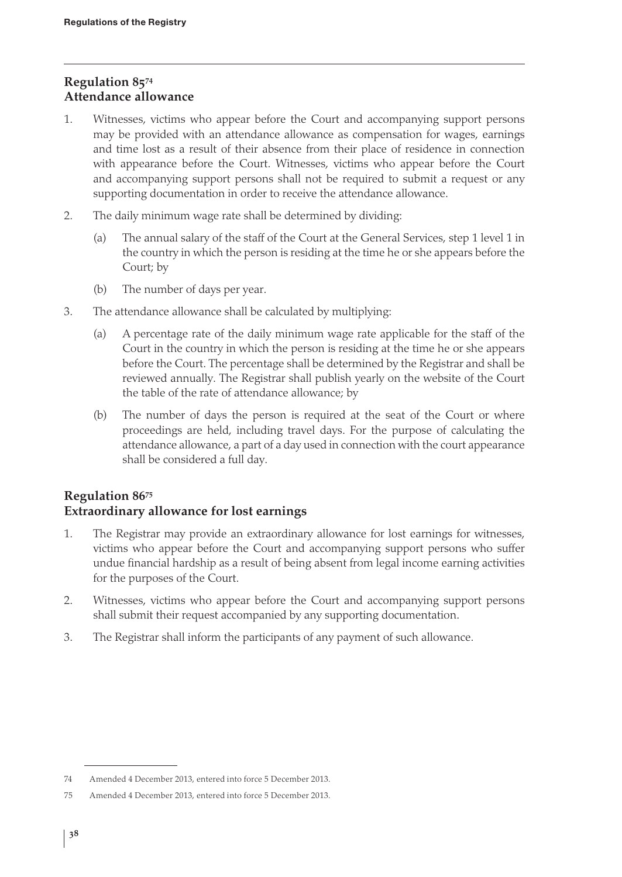# **Regulation 8574 Attendance allowance**

- 1. Witnesses, victims who appear before the Court and accompanying support persons may be provided with an attendance allowance as compensation for wages, earnings and time lost as a result of their absence from their place of residence in connection with appearance before the Court. Witnesses, victims who appear before the Court and accompanying support persons shall not be required to submit a request or any supporting documentation in order to receive the attendance allowance.
- 2. The daily minimum wage rate shall be determined by dividing:
	- (a) The annual salary of the staff of the Court at the General Services, step 1 level 1 in the country in which the person is residing at the time he or she appears before the Court; by
	- (b) The number of days per year.
- 3. The attendance allowance shall be calculated by multiplying:
	- (a) A percentage rate of the daily minimum wage rate applicable for the staff of the Court in the country in which the person is residing at the time he or she appears before the Court. The percentage shall be determined by the Registrar and shall be reviewed annually. The Registrar shall publish yearly on the website of the Court the table of the rate of attendance allowance; by
	- (b) The number of days the person is required at the seat of the Court or where proceedings are held, including travel days. For the purpose of calculating the attendance allowance, a part of a day used in connection with the court appearance shall be considered a full day.

## **Regulation 8675 Extraordinary allowance for lost earnings**

- 1. The Registrar may provide an extraordinary allowance for lost earnings for witnesses, victims who appear before the Court and accompanying support persons who suffer undue financial hardship as a result of being absent from legal income earning activities for the purposes of the Court.
- 2. Witnesses, victims who appear before the Court and accompanying support persons shall submit their request accompanied by any supporting documentation.
- 3. The Registrar shall inform the participants of any payment of such allowance.

<sup>74</sup> Amended 4 December 2013, entered into force 5 December 2013.

<sup>75</sup> Amended 4 December 2013, entered into force 5 December 2013.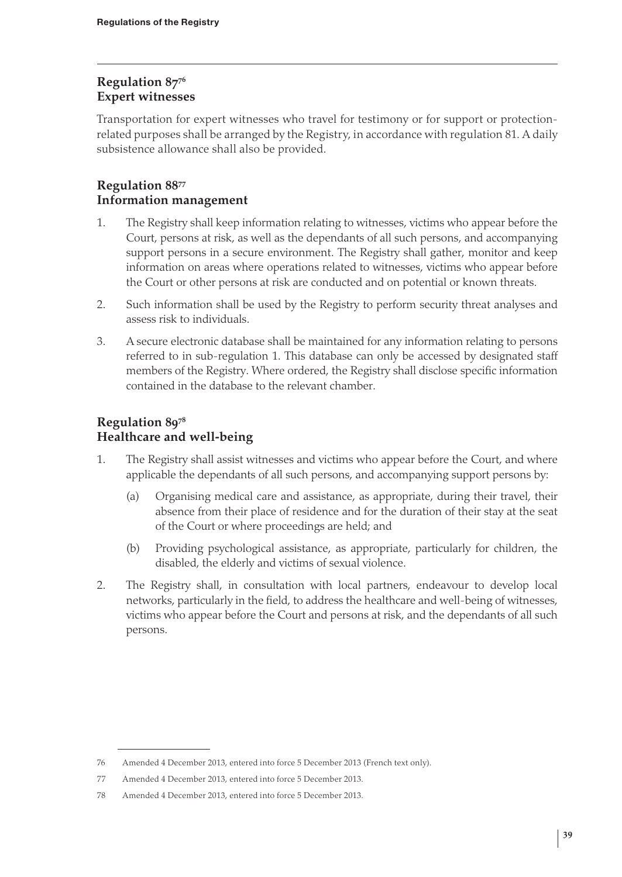# **Regulation 8776 Expert witnesses**

Transportation for expert witnesses who travel for testimony or for support or protectionrelated purposes shall be arranged by the Registry, in accordance with regulation 81. A daily subsistence allowance shall also be provided.

### **Regulation 8877 Information management**

- 1. The Registry shall keep information relating to witnesses, victims who appear before the Court, persons at risk, as well as the dependants of all such persons, and accompanying support persons in a secure environment. The Registry shall gather, monitor and keep information on areas where operations related to witnesses, victims who appear before the Court or other persons at risk are conducted and on potential or known threats.
- 2. Such information shall be used by the Registry to perform security threat analyses and assess risk to individuals.
- 3. A secure electronic database shall be maintained for any information relating to persons referred to in sub-regulation 1. This database can only be accessed by designated staff members of the Registry. Where ordered, the Registry shall disclose specific information contained in the database to the relevant chamber.

# **Regulation 8978 Healthcare and well-being**

- 1. The Registry shall assist witnesses and victims who appear before the Court, and where applicable the dependants of all such persons, and accompanying support persons by:
	- (a) Organising medical care and assistance, as appropriate, during their travel, their absence from their place of residence and for the duration of their stay at the seat of the Court or where proceedings are held; and
	- (b) Providing psychological assistance, as appropriate, particularly for children, the disabled, the elderly and victims of sexual violence.
- 2. The Registry shall, in consultation with local partners, endeavour to develop local networks, particularly in the field, to address the healthcare and well-being of witnesses, victims who appear before the Court and persons at risk, and the dependants of all such persons.

<sup>76</sup> Amended 4 December 2013, entered into force 5 December 2013 (French text only).

<sup>77</sup> Amended 4 December 2013, entered into force 5 December 2013.

<sup>78</sup> Amended 4 December 2013, entered into force 5 December 2013.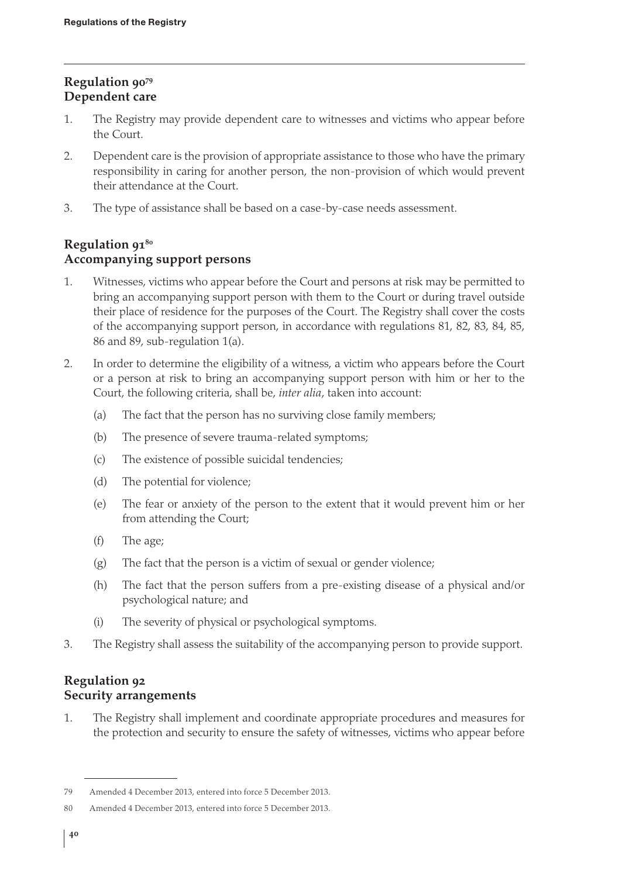# **Regulation 9079 Dependent care**

- 1. The Registry may provide dependent care to witnesses and victims who appear before the Court.
- 2. Dependent care is the provision of appropriate assistance to those who have the primary responsibility in caring for another person, the non-provision of which would prevent their attendance at the Court.
- 3. The type of assistance shall be based on a case-by-case needs assessment.

## **Regulation 9180 Accompanying support persons**

- 1. Witnesses, victims who appear before the Court and persons at risk may be permitted to bring an accompanying support person with them to the Court or during travel outside their place of residence for the purposes of the Court. The Registry shall cover the costs of the accompanying support person, in accordance with regulations 81, 82, 83, 84, 85, 86 and 89, sub-regulation 1(a).
- 2. In order to determine the eligibility of a witness, a victim who appears before the Court or a person at risk to bring an accompanying support person with him or her to the Court, the following criteria, shall be, *inter alia*, taken into account:
	- (a) The fact that the person has no surviving close family members;
	- (b) The presence of severe trauma-related symptoms;
	- (c) The existence of possible suicidal tendencies;
	- (d) The potential for violence;
	- (e) The fear or anxiety of the person to the extent that it would prevent him or her from attending the Court;
	- (f) The age;
	- (g) The fact that the person is a victim of sexual or gender violence;
	- (h) The fact that the person suffers from a pre-existing disease of a physical and/or psychological nature; and
	- (i) The severity of physical or psychological symptoms.
- 3. The Registry shall assess the suitability of the accompanying person to provide support.

#### **Regulation 92 Security arrangements**

1. The Registry shall implement and coordinate appropriate procedures and measures for the protection and security to ensure the safety of witnesses, victims who appear before

<sup>79</sup> Amended 4 December 2013, entered into force 5 December 2013.

<sup>80</sup> Amended 4 December 2013, entered into force 5 December 2013.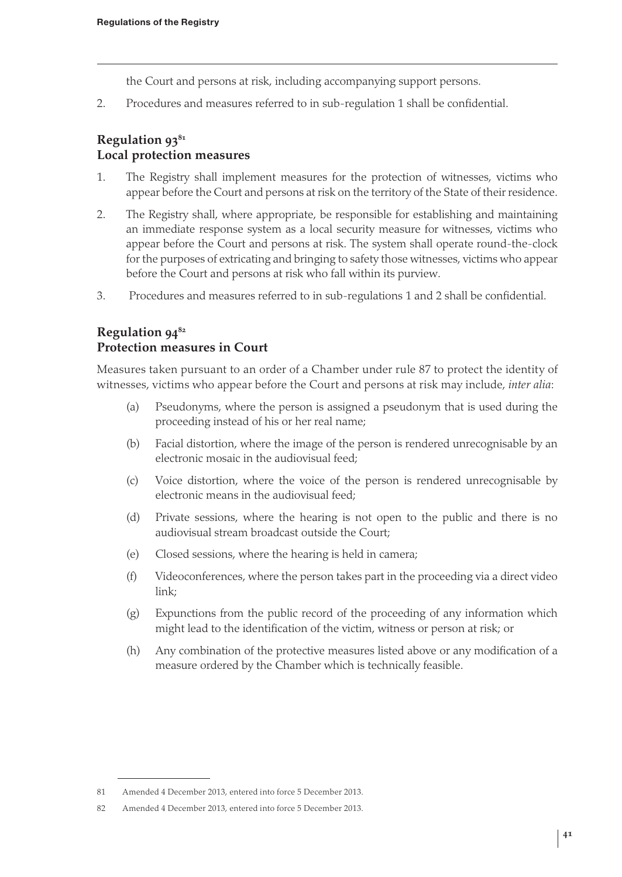the Court and persons at risk, including accompanying support persons.

2. Procedures and measures referred to in sub-regulation 1 shall be confidential.

#### **Regulation 9381 Local protection measures**

- 1. The Registry shall implement measures for the protection of witnesses, victims who appear before the Court and persons at risk on the territory of the State of their residence.
- 2. The Registry shall, where appropriate, be responsible for establishing and maintaining an immediate response system as a local security measure for witnesses, victims who appear before the Court and persons at risk. The system shall operate round-the-clock for the purposes of extricating and bringing to safety those witnesses, victims who appear before the Court and persons at risk who fall within its purview.
- 3. Procedures and measures referred to in sub-regulations 1 and 2 shall be confidential.

#### **Regulation 9482 Protection measures in Court**

Measures taken pursuant to an order of a Chamber under rule 87 to protect the identity of witnesses, victims who appear before the Court and persons at risk may include, *inter alia*:

- (a) Pseudonyms, where the person is assigned a pseudonym that is used during the proceeding instead of his or her real name;
- (b) Facial distortion, where the image of the person is rendered unrecognisable by an electronic mosaic in the audiovisual feed;
- (c) Voice distortion, where the voice of the person is rendered unrecognisable by electronic means in the audiovisual feed;
- (d) Private sessions, where the hearing is not open to the public and there is no audiovisual stream broadcast outside the Court;
- (e) Closed sessions, where the hearing is held in camera;
- (f) Videoconferences, where the person takes part in the proceeding via a direct video link;
- (g) Expunctions from the public record of the proceeding of any information which might lead to the identification of the victim, witness or person at risk; or
- (h) Any combination of the protective measures listed above or any modification of a measure ordered by the Chamber which is technically feasible.

<sup>81</sup> Amended 4 December 2013, entered into force 5 December 2013.

<sup>82</sup> Amended 4 December 2013, entered into force 5 December 2013.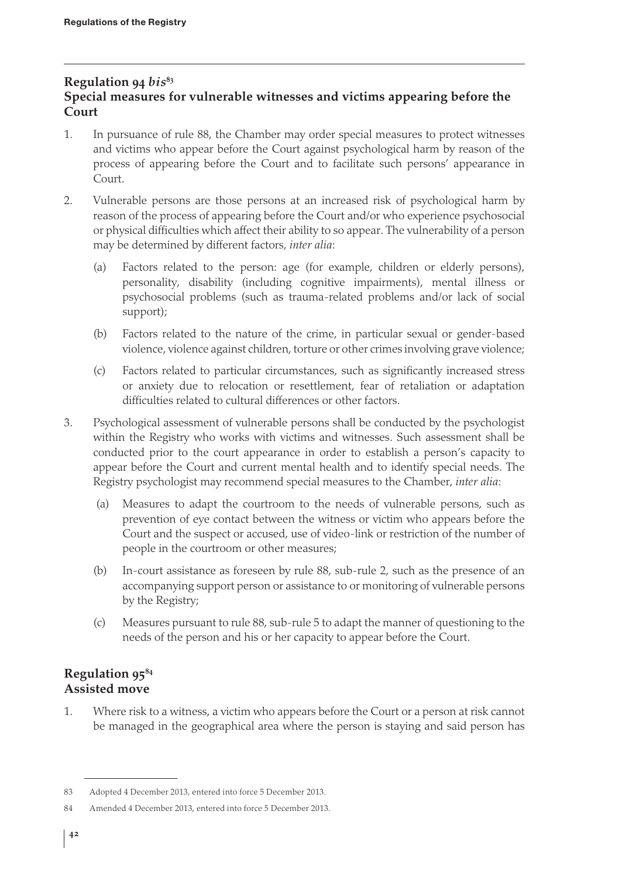# **Regulation 94** *bis***<sup>83</sup> Special measures for vulnerable witnesses and victims appearing before the Court**

- 1. In pursuance of rule 88, the Chamber may order special measures to protect witnesses and victims who appear before the Court against psychological harm by reason of the process of appearing before the Court and to facilitate such persons' appearance in Court.
- 2. Vulnerable persons are those persons at an increased risk of psychological harm by reason of the process of appearing before the Court and/or who experience psychosocial or physical difficulties which affect their ability to so appear. The vulnerability of a person may be determined by different factors, *inter alia*:
	- (a) Factors related to the person: age (for example, children or elderly persons), personality, disability (including cognitive impairments), mental illness or psychosocial problems (such as trauma-related problems and/or lack of social support);
	- (b) Factors related to the nature of the crime, in particular sexual or gender-based violence, violence against children, torture or other crimes involving grave violence;
	- (c) Factors related to particular circumstances, such as significantly increased stress or anxiety due to relocation or resettlement, fear of retaliation or adaptation difficulties related to cultural differences or other factors.
- 3. Psychological assessment of vulnerable persons shall be conducted by the psychologist within the Registry who works with victims and witnesses. Such assessment shall be conducted prior to the court appearance in order to establish a person's capacity to appear before the Court and current mental health and to identify special needs. The Registry psychologist may recommend special measures to the Chamber, *inter alia*:
	- (a) Measures to adapt the courtroom to the needs of vulnerable persons, such as prevention of eye contact between the witness or victim who appears before the Court and the suspect or accused, use of video-link or restriction of the number of people in the courtroom or other measures;
	- (b) In-court assistance as foreseen by rule 88, sub-rule 2, such as the presence of an accompanying support person or assistance to or monitoring of vulnerable persons by the Registry;
	- (c) Measures pursuant to rule 88, sub-rule 5 to adapt the manner of questioning to the needs of the person and his or her capacity to appear before the Court.

## **Regulation 9584 Assisted move**

1. Where risk to a witness, a victim who appears before the Court or a person at risk cannot be managed in the geographical area where the person is staying and said person has

<sup>83</sup> Adopted 4 December 2013, entered into force 5 December 2013.

<sup>84</sup> Amended 4 December 2013, entered into force 5 December 2013.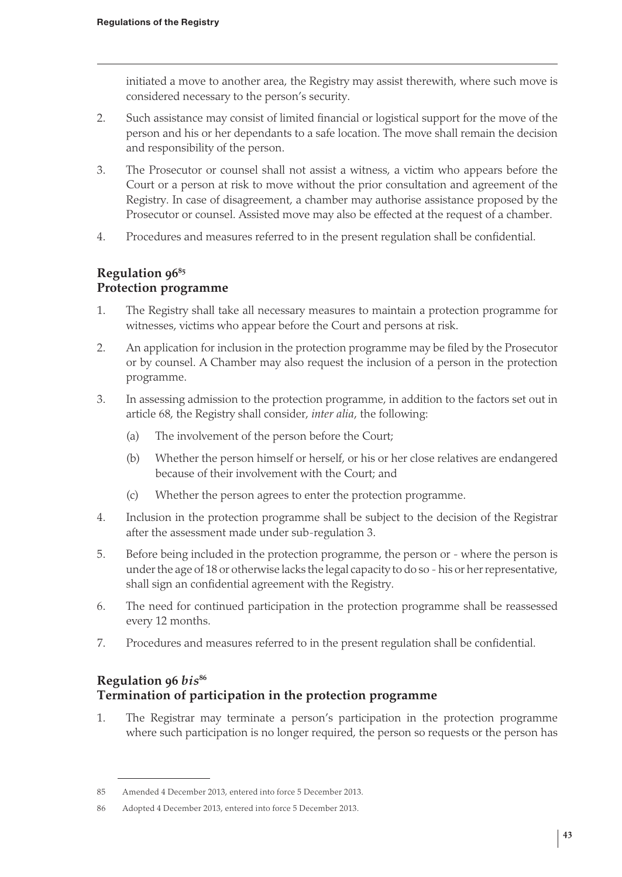initiated a move to another area, the Registry may assist therewith, where such move is considered necessary to the person's security.

- 2. Such assistance may consist of limited financial or logistical support for the move of the person and his or her dependants to a safe location. The move shall remain the decision and responsibility of the person.
- 3. The Prosecutor or counsel shall not assist a witness, a victim who appears before the Court or a person at risk to move without the prior consultation and agreement of the Registry. In case of disagreement, a chamber may authorise assistance proposed by the Prosecutor or counsel. Assisted move may also be effected at the request of a chamber.
- 4. Procedures and measures referred to in the present regulation shall be confidential.

# **Regulation 9685 Protection programme**

- 1. The Registry shall take all necessary measures to maintain a protection programme for witnesses, victims who appear before the Court and persons at risk.
- 2. An application for inclusion in the protection programme may be filed by the Prosecutor or by counsel. A Chamber may also request the inclusion of a person in the protection programme.
- 3. In assessing admission to the protection programme, in addition to the factors set out in article 68, the Registry shall consider, *inter alia*, the following:
	- (a) The involvement of the person before the Court;
	- (b) Whether the person himself or herself, or his or her close relatives are endangered because of their involvement with the Court; and
	- (c) Whether the person agrees to enter the protection programme.
- 4. Inclusion in the protection programme shall be subject to the decision of the Registrar after the assessment made under sub-regulation 3.
- 5. Before being included in the protection programme, the person or where the person is under the age of 18 or otherwise lacks the legal capacity to do so - his or her representative, shall sign an confidential agreement with the Registry.
- 6. The need for continued participation in the protection programme shall be reassessed every 12 months.
- 7. Procedures and measures referred to in the present regulation shall be confidential.

#### **Regulation 96** *bis***<sup>86</sup> Termination of participation in the protection programme**

1. The Registrar may terminate a person's participation in the protection programme where such participation is no longer required, the person so requests or the person has

<sup>85</sup> Amended 4 December 2013, entered into force 5 December 2013.

<sup>86</sup> Adopted 4 December 2013, entered into force 5 December 2013.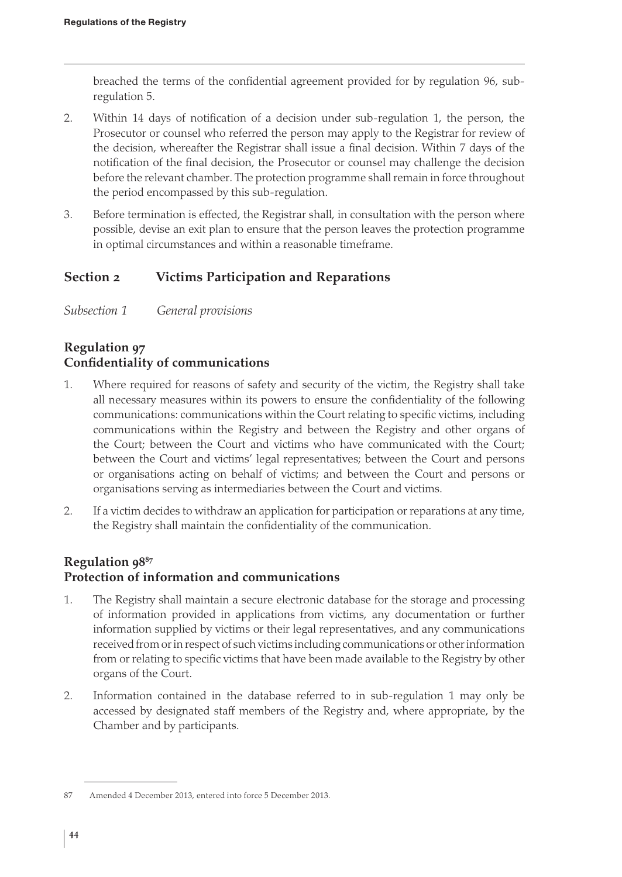breached the terms of the confidential agreement provided for by regulation 96, subregulation 5.

- 2. Within 14 days of notification of a decision under sub-regulation 1, the person, the Prosecutor or counsel who referred the person may apply to the Registrar for review of the decision, whereafter the Registrar shall issue a final decision. Within 7 days of the notification of the final decision, the Prosecutor or counsel may challenge the decision before the relevant chamber. The protection programme shall remain in force throughout the period encompassed by this sub-regulation.
- 3. Before termination is effected, the Registrar shall, in consultation with the person where possible, devise an exit plan to ensure that the person leaves the protection programme in optimal circumstances and within a reasonable timeframe.

# **Section 2 Victims Participation and Reparations**

*Subsection 1 General provisions*

# **Regulation 97 Confidentiality of communications**

- 1. Where required for reasons of safety and security of the victim, the Registry shall take all necessary measures within its powers to ensure the confidentiality of the following communications: communications within the Court relating to specific victims, including communications within the Registry and between the Registry and other organs of the Court; between the Court and victims who have communicated with the Court; between the Court and victims' legal representatives; between the Court and persons or organisations acting on behalf of victims; and between the Court and persons or organisations serving as intermediaries between the Court and victims.
- 2. If a victim decides to withdraw an application for participation or reparations at any time, the Registry shall maintain the confidentiality of the communication.

#### **Regulation 9887 Protection of information and communications**

- 1. The Registry shall maintain a secure electronic database for the storage and processing of information provided in applications from victims, any documentation or further information supplied by victims or their legal representatives, and any communications received from or in respect of such victims including communications or other information from or relating to specific victims that have been made available to the Registry by other organs of the Court.
- 2. Information contained in the database referred to in sub-regulation 1 may only be accessed by designated staff members of the Registry and, where appropriate, by the Chamber and by participants.

<sup>87</sup> Amended 4 December 2013, entered into force 5 December 2013.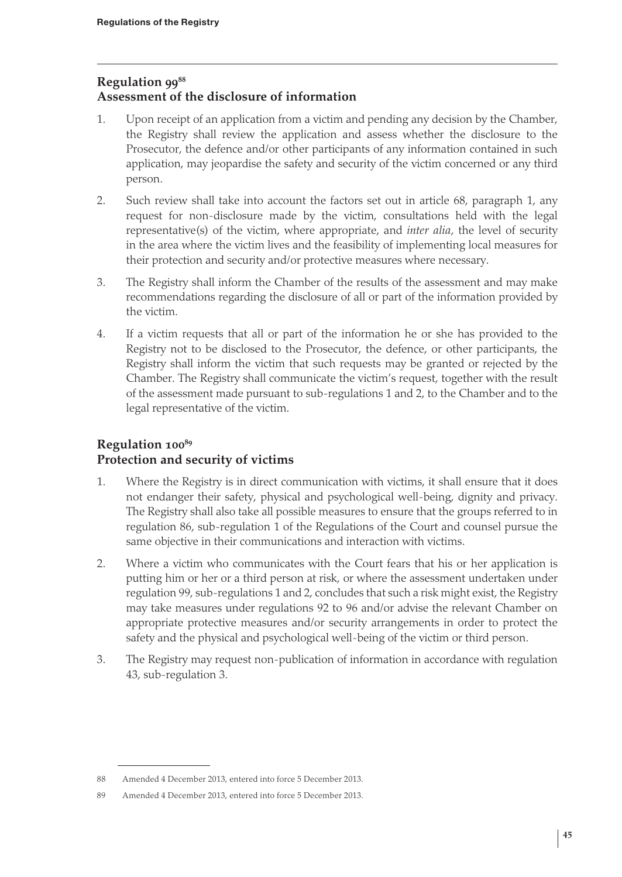## **Regulation 9988 Assessment of the disclosure of information**

- 1. Upon receipt of an application from a victim and pending any decision by the Chamber, the Registry shall review the application and assess whether the disclosure to the Prosecutor, the defence and/or other participants of any information contained in such application, may jeopardise the safety and security of the victim concerned or any third person.
- 2. Such review shall take into account the factors set out in article 68, paragraph 1, any request for non-disclosure made by the victim, consultations held with the legal representative(s) of the victim, where appropriate, and *inter alia*, the level of security in the area where the victim lives and the feasibility of implementing local measures for their protection and security and/or protective measures where necessary.
- 3. The Registry shall inform the Chamber of the results of the assessment and may make recommendations regarding the disclosure of all or part of the information provided by the victim.
- 4. If a victim requests that all or part of the information he or she has provided to the Registry not to be disclosed to the Prosecutor, the defence, or other participants, the Registry shall inform the victim that such requests may be granted or rejected by the Chamber. The Registry shall communicate the victim's request, together with the result of the assessment made pursuant to sub-regulations 1 and 2, to the Chamber and to the legal representative of the victim.

# **Regulation 10089 Protection and security of victims**

- 1. Where the Registry is in direct communication with victims, it shall ensure that it does not endanger their safety, physical and psychological well-being, dignity and privacy. The Registry shall also take all possible measures to ensure that the groups referred to in regulation 86, sub-regulation 1 of the Regulations of the Court and counsel pursue the same objective in their communications and interaction with victims.
- 2. Where a victim who communicates with the Court fears that his or her application is putting him or her or a third person at risk, or where the assessment undertaken under regulation 99, sub-regulations 1 and 2, concludes that such a risk might exist, the Registry may take measures under regulations 92 to 96 and/or advise the relevant Chamber on appropriate protective measures and/or security arrangements in order to protect the safety and the physical and psychological well-being of the victim or third person.
- 3. The Registry may request non-publication of information in accordance with regulation 43, sub-regulation 3.

<sup>88</sup> Amended 4 December 2013, entered into force 5 December 2013.

<sup>89</sup> Amended 4 December 2013, entered into force 5 December 2013.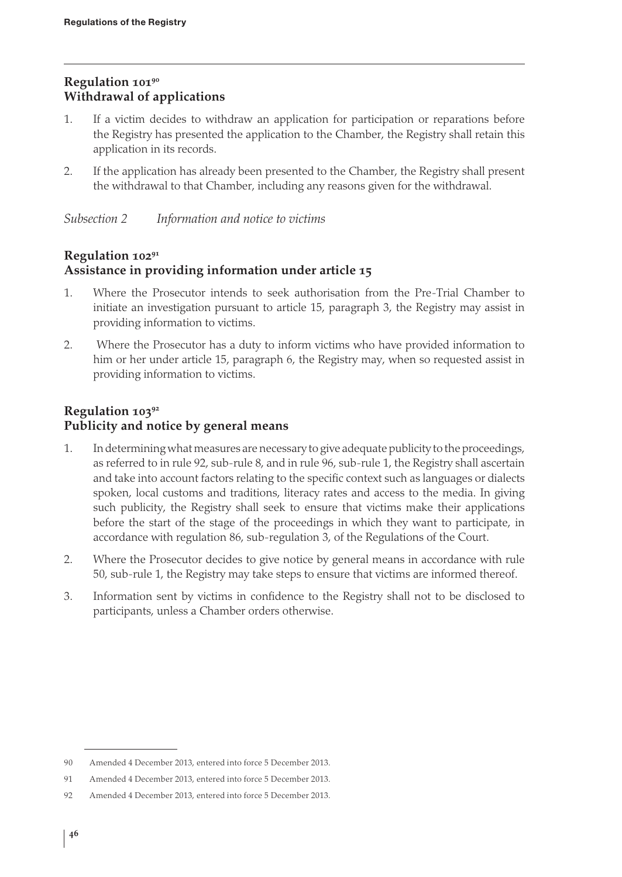# **Regulation 10190 Withdrawal of applications**

- 1. If a victim decides to withdraw an application for participation or reparations before the Registry has presented the application to the Chamber, the Registry shall retain this application in its records.
- 2. If the application has already been presented to the Chamber, the Registry shall present the withdrawal to that Chamber, including any reasons given for the withdrawal.

*Subsection 2 Information and notice to victims*

#### **Regulation 10291 Assistance in providing information under article 15**

- 1. Where the Prosecutor intends to seek authorisation from the Pre-Trial Chamber to initiate an investigation pursuant to article 15, paragraph 3, the Registry may assist in providing information to victims.
- 2. Where the Prosecutor has a duty to inform victims who have provided information to him or her under article 15, paragraph 6, the Registry may, when so requested assist in providing information to victims.

#### **Regulation 10392 Publicity and notice by general means**

- 1. In determining what measures are necessary to give adequate publicity to the proceedings, as referred to in rule 92, sub-rule 8, and in rule 96, sub-rule 1, the Registry shall ascertain and take into account factors relating to the specific context such as languages or dialects spoken, local customs and traditions, literacy rates and access to the media. In giving such publicity, the Registry shall seek to ensure that victims make their applications before the start of the stage of the proceedings in which they want to participate, in accordance with regulation 86, sub-regulation 3, of the Regulations of the Court.
- 2. Where the Prosecutor decides to give notice by general means in accordance with rule 50, sub-rule 1, the Registry may take steps to ensure that victims are informed thereof.
- 3. Information sent by victims in confidence to the Registry shall not to be disclosed to participants, unless a Chamber orders otherwise.

<sup>90</sup> Amended 4 December 2013, entered into force 5 December 2013.

<sup>91</sup> Amended 4 December 2013, entered into force 5 December 2013.

<sup>92</sup> Amended 4 December 2013, entered into force 5 December 2013.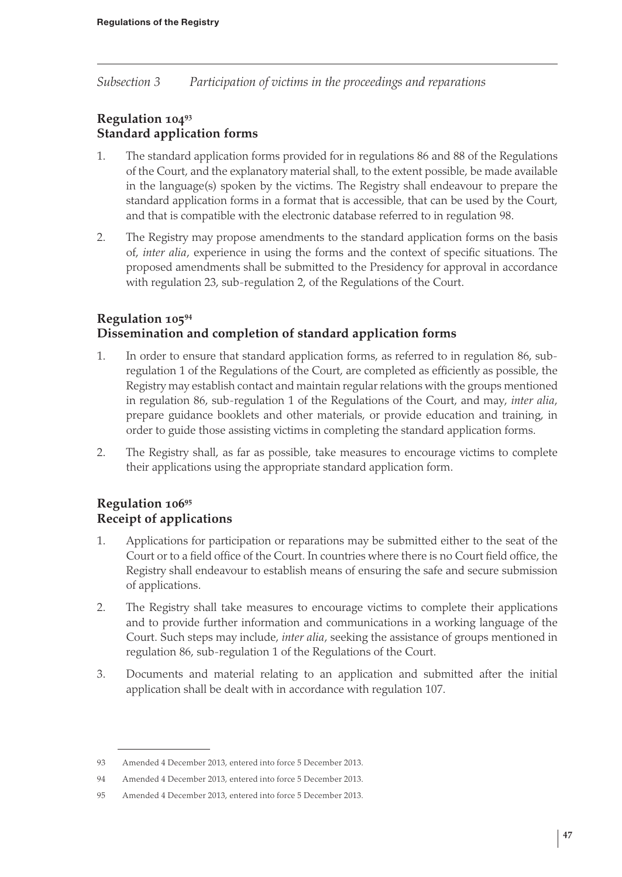*Subsection 3 Participation of victims in the proceedings and reparations* 

## **Regulation 10493 Standard application forms**

- 1. The standard application forms provided for in regulations 86 and 88 of the Regulations of the Court, and the explanatory material shall, to the extent possible, be made available in the language(s) spoken by the victims. The Registry shall endeavour to prepare the standard application forms in a format that is accessible, that can be used by the Court, and that is compatible with the electronic database referred to in regulation 98.
- 2. The Registry may propose amendments to the standard application forms on the basis of, *inter alia*, experience in using the forms and the context of specific situations. The proposed amendments shall be submitted to the Presidency for approval in accordance with regulation 23, sub-regulation 2, of the Regulations of the Court.

#### **Regulation 10594 Dissemination and completion of standard application forms**

- 1. In order to ensure that standard application forms, as referred to in regulation 86, subregulation 1 of the Regulations of the Court, are completed as efficiently as possible, the Registry may establish contact and maintain regular relations with the groups mentioned in regulation 86, sub-regulation 1 of the Regulations of the Court, and may, *inter alia*, prepare guidance booklets and other materials, or provide education and training, in order to guide those assisting victims in completing the standard application forms.
- 2. The Registry shall, as far as possible, take measures to encourage victims to complete their applications using the appropriate standard application form.

# **Regulation 10695 Receipt of applications**

- 1. Applications for participation or reparations may be submitted either to the seat of the Court or to a field office of the Court. In countries where there is no Court field office, the Registry shall endeavour to establish means of ensuring the safe and secure submission of applications.
- 2. The Registry shall take measures to encourage victims to complete their applications and to provide further information and communications in a working language of the Court. Such steps may include, *inter alia*, seeking the assistance of groups mentioned in regulation 86, sub-regulation 1 of the Regulations of the Court.
- 3. Documents and material relating to an application and submitted after the initial application shall be dealt with in accordance with regulation 107.

<sup>93</sup> Amended 4 December 2013, entered into force 5 December 2013.

<sup>94</sup> Amended 4 December 2013, entered into force 5 December 2013.

<sup>95</sup> Amended 4 December 2013, entered into force 5 December 2013.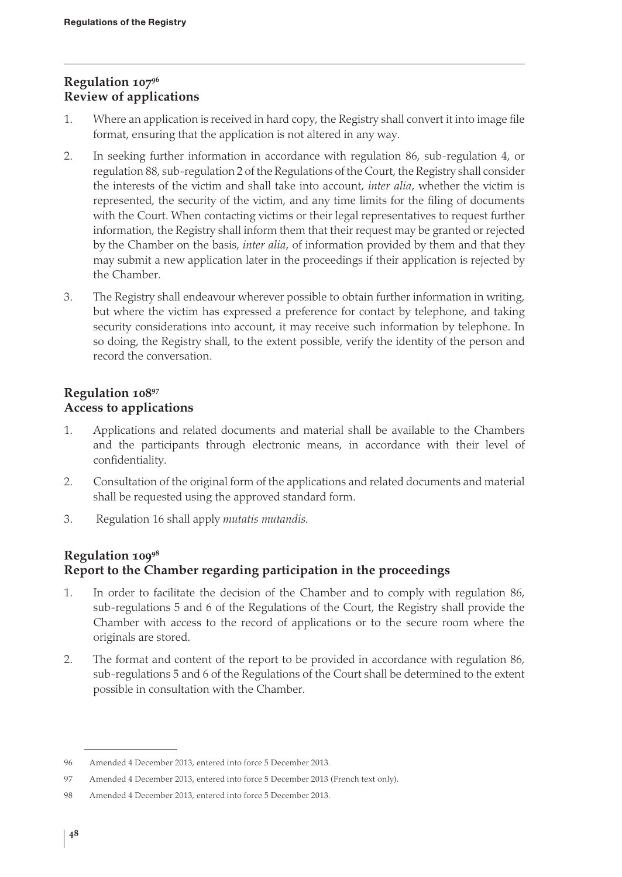# **Regulation 10796 Review of applications**

- 1. Where an application is received in hard copy, the Registry shall convert it into image file format, ensuring that the application is not altered in any way.
- 2. In seeking further information in accordance with regulation 86, sub-regulation 4, or regulation 88, sub-regulation 2 of the Regulations of the Court, the Registry shall consider the interests of the victim and shall take into account, *inter alia*, whether the victim is represented, the security of the victim, and any time limits for the filing of documents with the Court. When contacting victims or their legal representatives to request further information, the Registry shall inform them that their request may be granted or rejected by the Chamber on the basis, *inter alia*, of information provided by them and that they may submit a new application later in the proceedings if their application is rejected by the Chamber.
- 3. The Registry shall endeavour wherever possible to obtain further information in writing, but where the victim has expressed a preference for contact by telephone, and taking security considerations into account, it may receive such information by telephone. In so doing, the Registry shall, to the extent possible, verify the identity of the person and record the conversation.

#### **Regulation 10897 Access to applications**

- 1. Applications and related documents and material shall be available to the Chambers and the participants through electronic means, in accordance with their level of confidentiality.
- 2. Consultation of the original form of the applications and related documents and material shall be requested using the approved standard form.
- 3. Regulation 16 shall apply *mutatis mutandis*.

# **Regulation 10998 Report to the Chamber regarding participation in the proceedings**

- 1. In order to facilitate the decision of the Chamber and to comply with regulation 86, sub-regulations 5 and 6 of the Regulations of the Court, the Registry shall provide the Chamber with access to the record of applications or to the secure room where the originals are stored.
- 2. The format and content of the report to be provided in accordance with regulation 86, sub-regulations 5 and 6 of the Regulations of the Court shall be determined to the extent possible in consultation with the Chamber.

<sup>96</sup> Amended 4 December 2013, entered into force 5 December 2013.

<sup>97</sup> Amended 4 December 2013, entered into force 5 December 2013 (French text only).

<sup>98</sup> Amended 4 December 2013, entered into force 5 December 2013.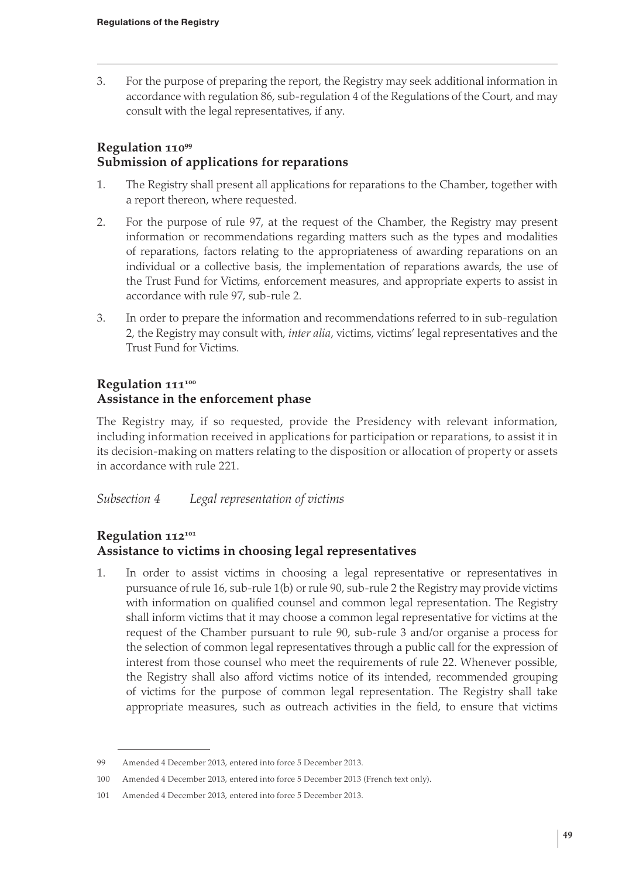3. For the purpose of preparing the report, the Registry may seek additional information in accordance with regulation 86, sub-regulation 4 of the Regulations of the Court, and may consult with the legal representatives, if any.

#### **Regulation 11099 Submission of applications for reparations**

- 1. The Registry shall present all applications for reparations to the Chamber, together with a report thereon, where requested.
- 2. For the purpose of rule 97, at the request of the Chamber, the Registry may present information or recommendations regarding matters such as the types and modalities of reparations, factors relating to the appropriateness of awarding reparations on an individual or a collective basis, the implementation of reparations awards, the use of the Trust Fund for Victims, enforcement measures, and appropriate experts to assist in accordance with rule 97, sub-rule 2.
- 3. In order to prepare the information and recommendations referred to in sub-regulation 2, the Registry may consult with, *inter alia*, victims, victims' legal representatives and the Trust Fund for Victims.

## **Regulation 111100 Assistance in the enforcement phase**

The Registry may, if so requested, provide the Presidency with relevant information, including information received in applications for participation or reparations, to assist it in its decision-making on matters relating to the disposition or allocation of property or assets in accordance with rule 221.

*Subsection 4 Legal representation of victims*

#### **Regulation 112101 Assistance to victims in choosing legal representatives**

1. In order to assist victims in choosing a legal representative or representatives in pursuance of rule 16, sub-rule 1(b) or rule 90, sub-rule 2 the Registry may provide victims with information on qualified counsel and common legal representation. The Registry shall inform victims that it may choose a common legal representative for victims at the request of the Chamber pursuant to rule 90, sub-rule 3 and/or organise a process for the selection of common legal representatives through a public call for the expression of interest from those counsel who meet the requirements of rule 22. Whenever possible, the Registry shall also afford victims notice of its intended, recommended grouping of victims for the purpose of common legal representation. The Registry shall take appropriate measures, such as outreach activities in the field, to ensure that victims

<sup>99</sup> Amended 4 December 2013, entered into force 5 December 2013.

<sup>100</sup> Amended 4 December 2013, entered into force 5 December 2013 (French text only).

<sup>101</sup> Amended 4 December 2013, entered into force 5 December 2013.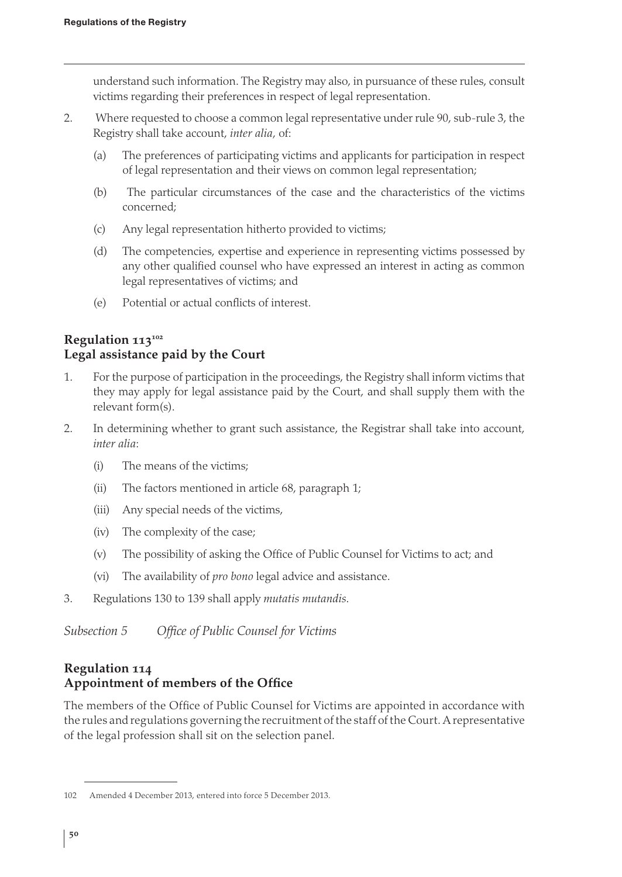understand such information. The Registry may also, in pursuance of these rules, consult victims regarding their preferences in respect of legal representation.

- 2. Where requested to choose a common legal representative under rule 90, sub-rule 3, the Registry shall take account, *inter alia*, of:
	- (a) The preferences of participating victims and applicants for participation in respect of legal representation and their views on common legal representation;
	- (b) The particular circumstances of the case and the characteristics of the victims concerned;
	- (c) Any legal representation hitherto provided to victims;
	- (d) The competencies, expertise and experience in representing victims possessed by any other qualified counsel who have expressed an interest in acting as common legal representatives of victims; and
	- (e) Potential or actual conflicts of interest.

### **Regulation 113102 Legal assistance paid by the Court**

- 1. For the purpose of participation in the proceedings, the Registry shall inform victims that they may apply for legal assistance paid by the Court, and shall supply them with the relevant form(s).
- 2. In determining whether to grant such assistance, the Registrar shall take into account, *inter alia*:
	- (i) The means of the victims;
	- (ii) The factors mentioned in article 68, paragraph 1;
	- (iii) Any special needs of the victims,
	- (iv) The complexity of the case;
	- (v) The possibility of asking the Office of Public Counsel for Victims to act; and
	- (vi) The availability of *pro bono* legal advice and assistance.
- 3. Regulations 130 to 139 shall apply *mutatis mutandis*.

*Subsection 5 Office of Public Counsel for Victims*

## **Regulation 114 Appointment of members of the Office**

The members of the Office of Public Counsel for Victims are appointed in accordance with the rules and regulations governing the recruitment of the staff of the Court. A representative of the legal profession shall sit on the selection panel.

<sup>102</sup> Amended 4 December 2013, entered into force 5 December 2013.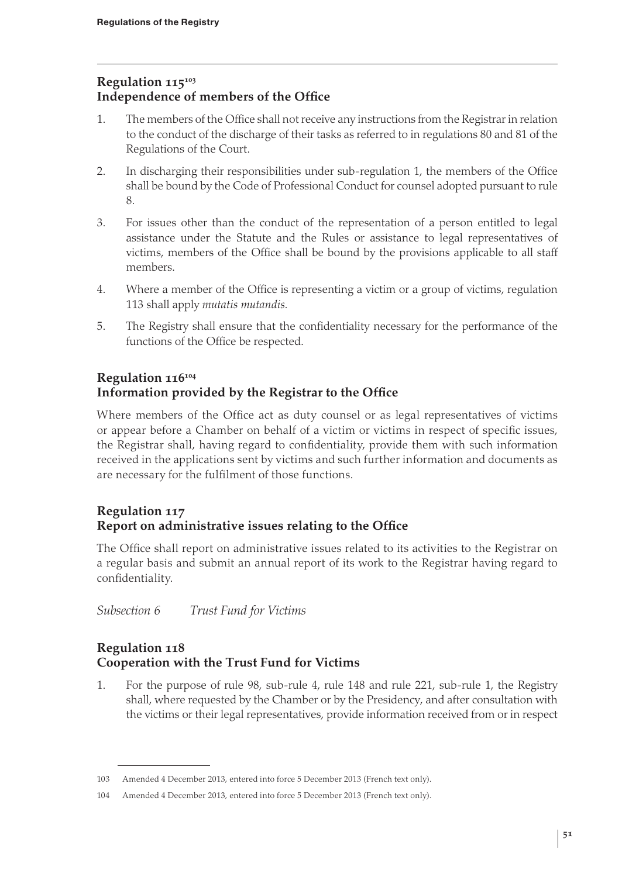# **Regulation 115103 Independence of members of the Office**

- 1. The members of the Office shall not receive any instructions from the Registrar in relation to the conduct of the discharge of their tasks as referred to in regulations 80 and 81 of the Regulations of the Court.
- 2. In discharging their responsibilities under sub-regulation 1, the members of the Office shall be bound by the Code of Professional Conduct for counsel adopted pursuant to rule 8.
- 3. For issues other than the conduct of the representation of a person entitled to legal assistance under the Statute and the Rules or assistance to legal representatives of victims, members of the Office shall be bound by the provisions applicable to all staff members.
- 4. Where a member of the Office is representing a victim or a group of victims, regulation 113 shall apply *mutatis mutandis*.
- 5. The Registry shall ensure that the confidentiality necessary for the performance of the functions of the Office be respected.

### **Regulation 116104 Information provided by the Registrar to the Office**

Where members of the Office act as duty counsel or as legal representatives of victims or appear before a Chamber on behalf of a victim or victims in respect of specific issues, the Registrar shall, having regard to confidentiality, provide them with such information received in the applications sent by victims and such further information and documents as are necessary for the fulfilment of those functions.

#### **Regulation 117 Report on administrative issues relating to the Office**

The Office shall report on administrative issues related to its activities to the Registrar on a regular basis and submit an annual report of its work to the Registrar having regard to confidentiality.

*Subsection 6 Trust Fund for Victims*

#### **Regulation 118 Cooperation with the Trust Fund for Victims**

1. For the purpose of rule 98, sub-rule 4, rule 148 and rule 221, sub-rule 1, the Registry shall, where requested by the Chamber or by the Presidency, and after consultation with the victims or their legal representatives, provide information received from or in respect

<sup>103</sup> Amended 4 December 2013, entered into force 5 December 2013 (French text only).

<sup>104</sup> Amended 4 December 2013, entered into force 5 December 2013 (French text only).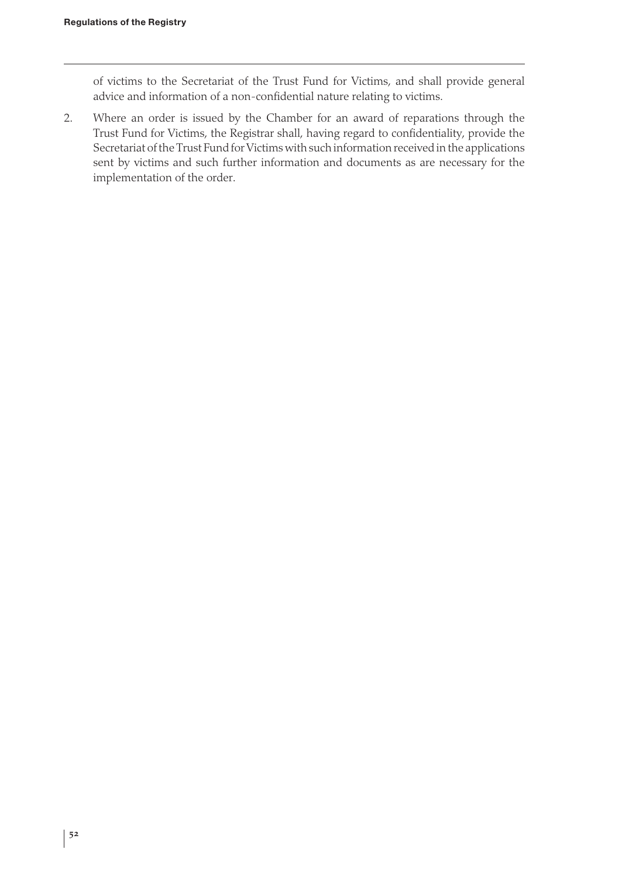of victims to the Secretariat of the Trust Fund for Victims, and shall provide general advice and information of a non-confidential nature relating to victims.

2. Where an order is issued by the Chamber for an award of reparations through the Trust Fund for Victims, the Registrar shall, having regard to confidentiality, provide the Secretariat of the Trust Fund for Victims with such information received in the applications sent by victims and such further information and documents as are necessary for the implementation of the order.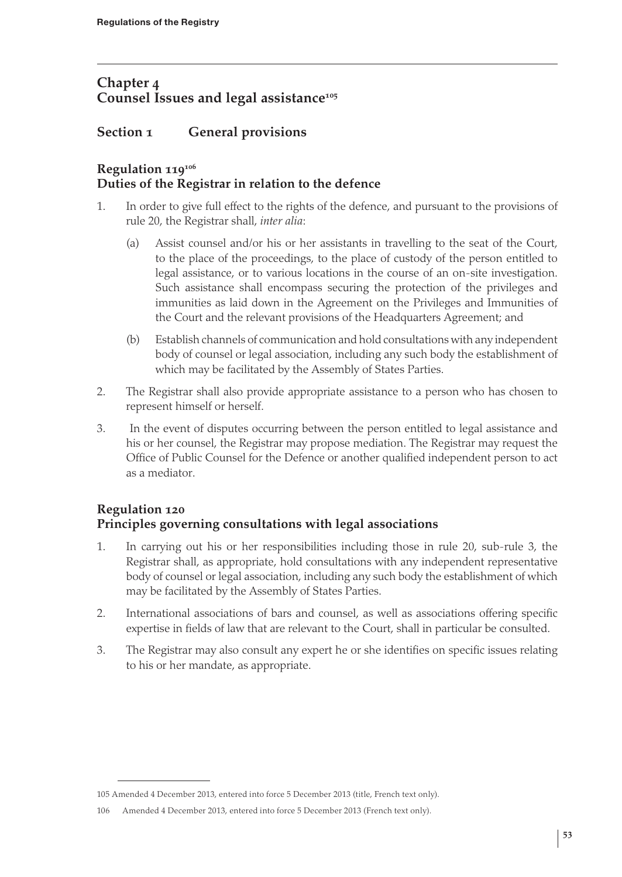# **Chapter 4**  Counsel Issues and legal assistance<sup>105</sup>

# **Section 1 General provisions**

#### **Regulation 119106 Duties of the Registrar in relation to the defence**

- 1. In order to give full effect to the rights of the defence, and pursuant to the provisions of rule 20, the Registrar shall, *inter alia*:
	- (a) Assist counsel and/or his or her assistants in travelling to the seat of the Court, to the place of the proceedings, to the place of custody of the person entitled to legal assistance, or to various locations in the course of an on-site investigation. Such assistance shall encompass securing the protection of the privileges and immunities as laid down in the Agreement on the Privileges and Immunities of the Court and the relevant provisions of the Headquarters Agreement; and
	- (b) Establish channels of communication and hold consultations with any independent body of counsel or legal association, including any such body the establishment of which may be facilitated by the Assembly of States Parties.
- 2. The Registrar shall also provide appropriate assistance to a person who has chosen to represent himself or herself.
- 3. In the event of disputes occurring between the person entitled to legal assistance and his or her counsel, the Registrar may propose mediation. The Registrar may request the Office of Public Counsel for the Defence or another qualified independent person to act as a mediator.

## **Regulation 120 Principles governing consultations with legal associations**

- 1. In carrying out his or her responsibilities including those in rule 20, sub-rule 3, the Registrar shall, as appropriate, hold consultations with any independent representative body of counsel or legal association, including any such body the establishment of which may be facilitated by the Assembly of States Parties.
- 2. International associations of bars and counsel, as well as associations offering specific expertise in fields of law that are relevant to the Court, shall in particular be consulted.
- 3. The Registrar may also consult any expert he or she identifies on specific issues relating to his or her mandate, as appropriate.

<sup>105</sup> Amended 4 December 2013, entered into force 5 December 2013 (title, French text only).

<sup>106</sup> Amended 4 December 2013, entered into force 5 December 2013 (French text only).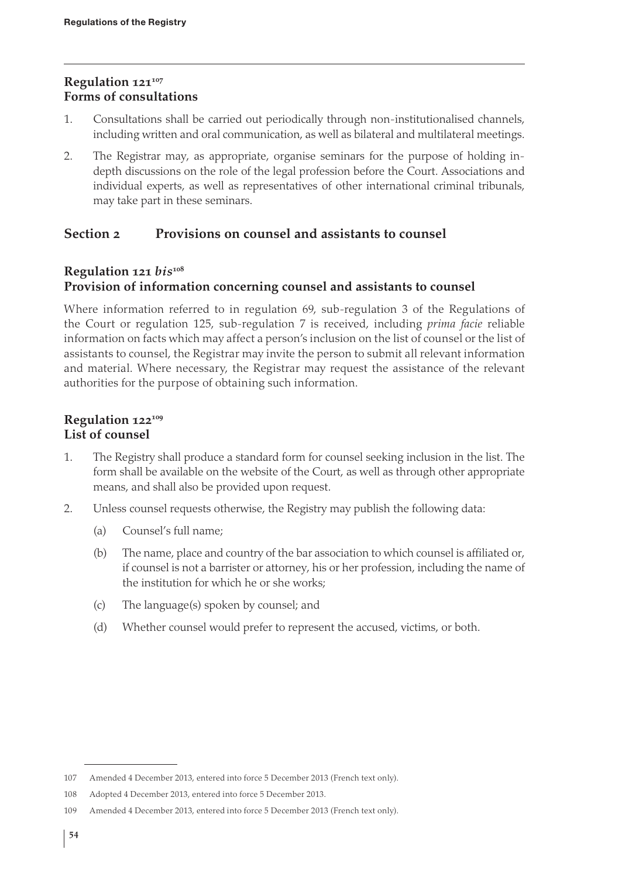# **Regulation 121107 Forms of consultations**

- 1. Consultations shall be carried out periodically through non-institutionalised channels, including written and oral communication, as well as bilateral and multilateral meetings.
- 2. The Registrar may, as appropriate, organise seminars for the purpose of holding indepth discussions on the role of the legal profession before the Court. Associations and individual experts, as well as representatives of other international criminal tribunals, may take part in these seminars.

#### **Section 2 Provisions on counsel and assistants to counsel**

#### **Regulation 121** *bis***<sup>108</sup> Provision of information concerning counsel and assistants to counsel**

Where information referred to in regulation 69, sub-regulation 3 of the Regulations of the Court or regulation 125, sub-regulation 7 is received, including *prima facie* reliable information on facts which may affect a person's inclusion on the list of counsel or the list of assistants to counsel, the Registrar may invite the person to submit all relevant information and material. Where necessary, the Registrar may request the assistance of the relevant authorities for the purpose of obtaining such information.

#### **Regulation 122109 List of counsel**

- 1. The Registry shall produce a standard form for counsel seeking inclusion in the list. The form shall be available on the website of the Court, as well as through other appropriate means, and shall also be provided upon request.
- 2. Unless counsel requests otherwise, the Registry may publish the following data:
	- (a) Counsel's full name;
	- (b) The name, place and country of the bar association to which counsel is affiliated or, if counsel is not a barrister or attorney, his or her profession, including the name of the institution for which he or she works;
	- (c) The language(s) spoken by counsel; and
	- (d) Whether counsel would prefer to represent the accused, victims, or both.

<sup>107</sup> Amended 4 December 2013, entered into force 5 December 2013 (French text only).

<sup>108</sup> Adopted 4 December 2013, entered into force 5 December 2013.

<sup>109</sup> Amended 4 December 2013, entered into force 5 December 2013 (French text only).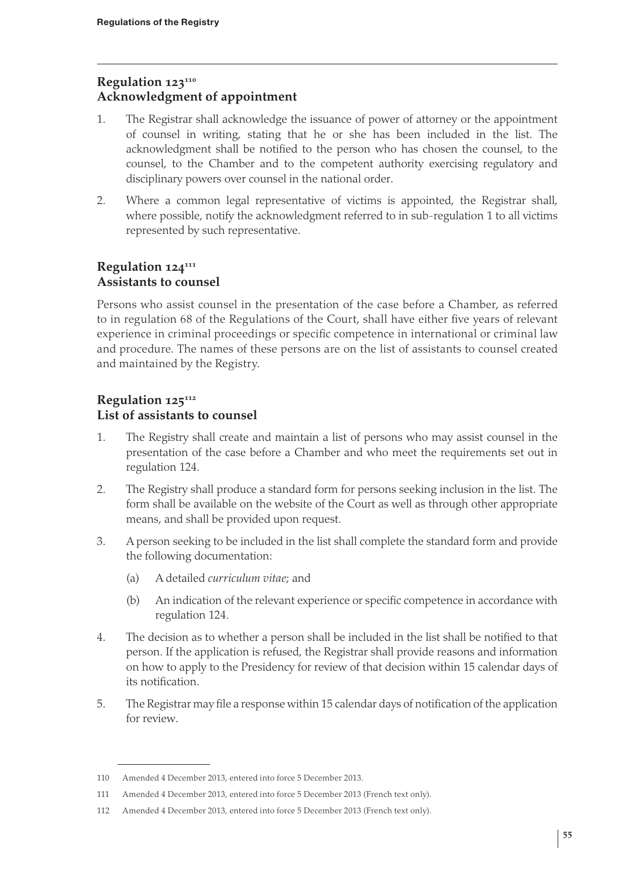# **Regulation 123110 Acknowledgment of appointment**

- 1. The Registrar shall acknowledge the issuance of power of attorney or the appointment of counsel in writing, stating that he or she has been included in the list. The acknowledgment shall be notified to the person who has chosen the counsel, to the counsel, to the Chamber and to the competent authority exercising regulatory and disciplinary powers over counsel in the national order.
- 2. Where a common legal representative of victims is appointed, the Registrar shall, where possible, notify the acknowledgment referred to in sub-regulation 1 to all victims represented by such representative.

#### **Regulation 124111 Assistants to counsel**

Persons who assist counsel in the presentation of the case before a Chamber, as referred to in regulation 68 of the Regulations of the Court, shall have either five years of relevant experience in criminal proceedings or specific competence in international or criminal law and procedure. The names of these persons are on the list of assistants to counsel created and maintained by the Registry.

#### **Regulation 125112 List of assistants to counsel**

- 1. The Registry shall create and maintain a list of persons who may assist counsel in the presentation of the case before a Chamber and who meet the requirements set out in regulation 124.
- 2. The Registry shall produce a standard form for persons seeking inclusion in the list. The form shall be available on the website of the Court as well as through other appropriate means, and shall be provided upon request.
- 3. A person seeking to be included in the list shall complete the standard form and provide the following documentation:
	- (a) A detailed *curriculum vitae*; and
	- (b) An indication of the relevant experience or specific competence in accordance with regulation 124.
- 4. The decision as to whether a person shall be included in the list shall be notified to that person. If the application is refused, the Registrar shall provide reasons and information on how to apply to the Presidency for review of that decision within 15 calendar days of its notification.
- 5. The Registrar may file a response within 15 calendar days of notification of the application for review.

<sup>110</sup> Amended 4 December 2013, entered into force 5 December 2013.

<sup>111</sup> Amended 4 December 2013, entered into force 5 December 2013 (French text only).

<sup>112</sup> Amended 4 December 2013, entered into force 5 December 2013 (French text only).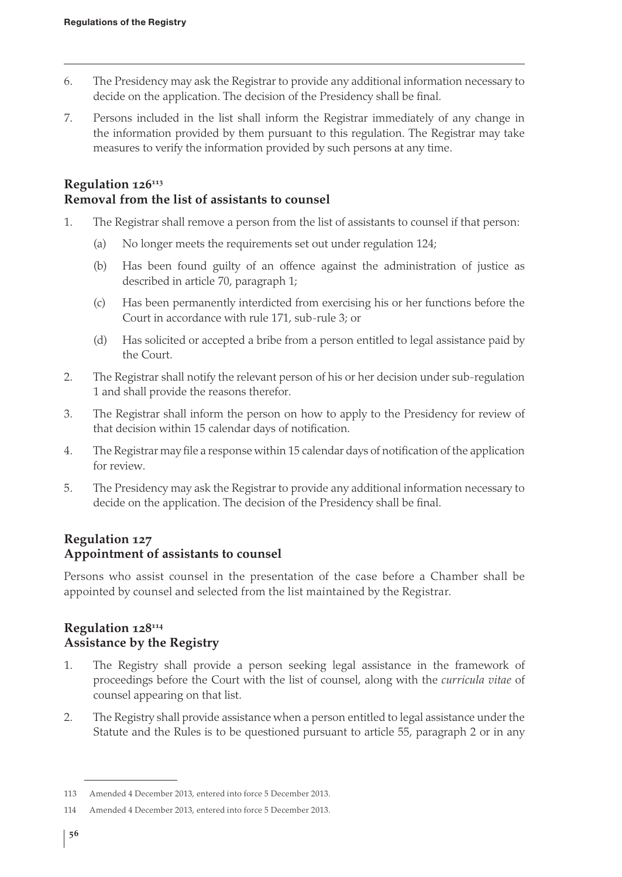- 6. The Presidency may ask the Registrar to provide any additional information necessary to decide on the application. The decision of the Presidency shall be final.
- 7. Persons included in the list shall inform the Registrar immediately of any change in the information provided by them pursuant to this regulation. The Registrar may take measures to verify the information provided by such persons at any time.

## **Regulation 126113 Removal from the list of assistants to counsel**

- 1. The Registrar shall remove a person from the list of assistants to counsel if that person:
	- (a) No longer meets the requirements set out under regulation 124;
	- (b) Has been found guilty of an offence against the administration of justice as described in article 70, paragraph 1;
	- (c) Has been permanently interdicted from exercising his or her functions before the Court in accordance with rule 171, sub-rule 3; or
	- (d) Has solicited or accepted a bribe from a person entitled to legal assistance paid by the Court.
- 2. The Registrar shall notify the relevant person of his or her decision under sub-regulation 1 and shall provide the reasons therefor.
- 3. The Registrar shall inform the person on how to apply to the Presidency for review of that decision within 15 calendar days of notification.
- 4. The Registrar may file a response within 15 calendar days of notification of the application for review.
- 5. The Presidency may ask the Registrar to provide any additional information necessary to decide on the application. The decision of the Presidency shall be final.

#### **Regulation 127 Appointment of assistants to counsel**

Persons who assist counsel in the presentation of the case before a Chamber shall be appointed by counsel and selected from the list maintained by the Registrar.

## **Regulation 128114 Assistance by the Registry**

- 1. The Registry shall provide a person seeking legal assistance in the framework of proceedings before the Court with the list of counsel, along with the *curricula vitae* of counsel appearing on that list.
- 2. The Registry shall provide assistance when a person entitled to legal assistance under the Statute and the Rules is to be questioned pursuant to article 55, paragraph 2 or in any

<sup>113</sup> Amended 4 December 2013, entered into force 5 December 2013.

<sup>114</sup> Amended 4 December 2013, entered into force 5 December 2013.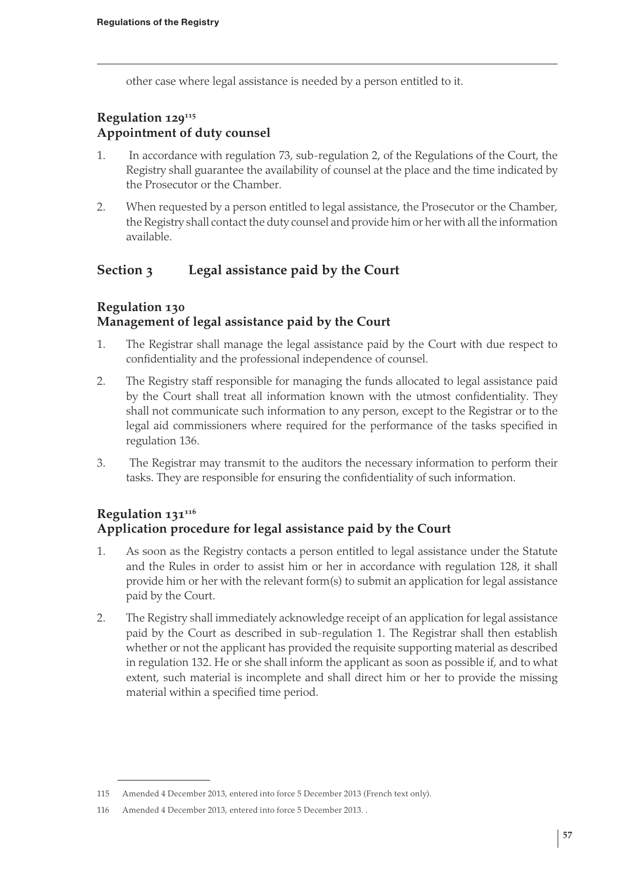other case where legal assistance is needed by a person entitled to it.

### **Regulation 129115 Appointment of duty counsel**

- 1. In accordance with regulation 73, sub-regulation 2, of the Regulations of the Court, the Registry shall guarantee the availability of counsel at the place and the time indicated by the Prosecutor or the Chamber.
- 2. When requested by a person entitled to legal assistance, the Prosecutor or the Chamber, the Registry shall contact the duty counsel and provide him or her with all the information available.

## **Section 3 Legal assistance paid by the Court**

#### **Regulation 130 Management of legal assistance paid by the Court**

- 1. The Registrar shall manage the legal assistance paid by the Court with due respect to confidentiality and the professional independence of counsel.
- 2. The Registry staff responsible for managing the funds allocated to legal assistance paid by the Court shall treat all information known with the utmost confidentiality. They shall not communicate such information to any person, except to the Registrar or to the legal aid commissioners where required for the performance of the tasks specified in regulation 136.
- 3. The Registrar may transmit to the auditors the necessary information to perform their tasks. They are responsible for ensuring the confidentiality of such information.

#### **Regulation 131116 Application procedure for legal assistance paid by the Court**

- 1. As soon as the Registry contacts a person entitled to legal assistance under the Statute and the Rules in order to assist him or her in accordance with regulation 128, it shall provide him or her with the relevant form(s) to submit an application for legal assistance paid by the Court.
- 2. The Registry shall immediately acknowledge receipt of an application for legal assistance paid by the Court as described in sub-regulation 1. The Registrar shall then establish whether or not the applicant has provided the requisite supporting material as described in regulation 132. He or she shall inform the applicant as soon as possible if, and to what extent, such material is incomplete and shall direct him or her to provide the missing material within a specified time period.

<sup>115</sup> Amended 4 December 2013, entered into force 5 December 2013 (French text only).

<sup>116</sup> Amended 4 December 2013, entered into force 5 December 2013. .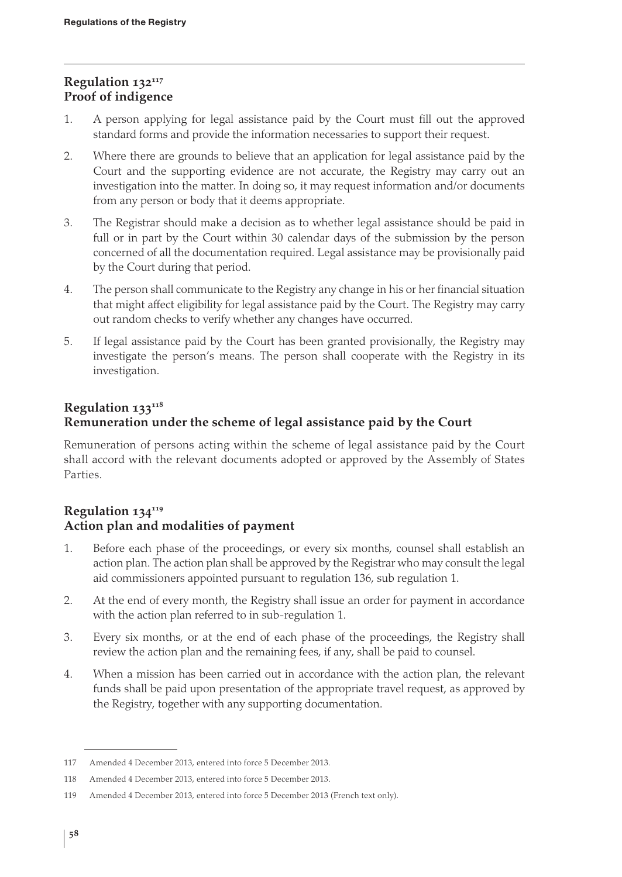# **Regulation 132117 Proof of indigence**

- 1. A person applying for legal assistance paid by the Court must fill out the approved standard forms and provide the information necessaries to support their request.
- 2. Where there are grounds to believe that an application for legal assistance paid by the Court and the supporting evidence are not accurate, the Registry may carry out an investigation into the matter. In doing so, it may request information and/or documents from any person or body that it deems appropriate.
- 3. The Registrar should make a decision as to whether legal assistance should be paid in full or in part by the Court within 30 calendar days of the submission by the person concerned of all the documentation required. Legal assistance may be provisionally paid by the Court during that period.
- 4. The person shall communicate to the Registry any change in his or her financial situation that might affect eligibility for legal assistance paid by the Court. The Registry may carry out random checks to verify whether any changes have occurred.
- 5. If legal assistance paid by the Court has been granted provisionally, the Registry may investigate the person's means. The person shall cooperate with the Registry in its investigation.

### **Regulation 133118 Remuneration under the scheme of legal assistance paid by the Court**

Remuneration of persons acting within the scheme of legal assistance paid by the Court shall accord with the relevant documents adopted or approved by the Assembly of States Parties.

# **Regulation 134119 Action plan and modalities of payment**

- 1. Before each phase of the proceedings, or every six months, counsel shall establish an action plan. The action plan shall be approved by the Registrar who may consult the legal aid commissioners appointed pursuant to regulation 136, sub regulation 1.
- 2. At the end of every month, the Registry shall issue an order for payment in accordance with the action plan referred to in sub-regulation 1.
- 3. Every six months, or at the end of each phase of the proceedings, the Registry shall review the action plan and the remaining fees, if any, shall be paid to counsel.
- 4. When a mission has been carried out in accordance with the action plan, the relevant funds shall be paid upon presentation of the appropriate travel request, as approved by the Registry, together with any supporting documentation.

<sup>117</sup> Amended 4 December 2013, entered into force 5 December 2013.

<sup>118</sup> Amended 4 December 2013, entered into force 5 December 2013.

<sup>119</sup> Amended 4 December 2013, entered into force 5 December 2013 (French text only).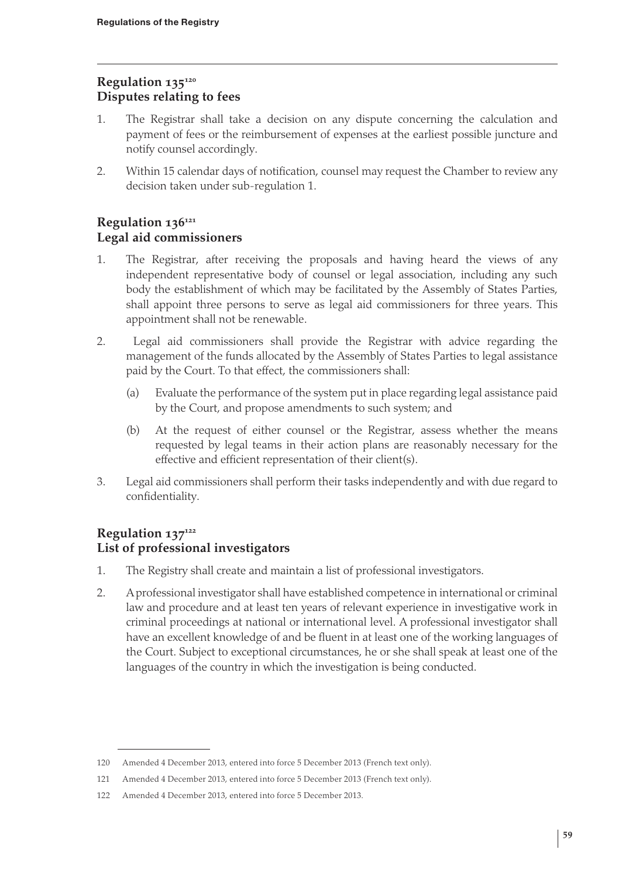# **Regulation 135120 Disputes relating to fees**

- 1. The Registrar shall take a decision on any dispute concerning the calculation and payment of fees or the reimbursement of expenses at the earliest possible juncture and notify counsel accordingly.
- 2. Within 15 calendar days of notification, counsel may request the Chamber to review any decision taken under sub-regulation 1.

#### **Regulation 136121 Legal aid commissioners**

- 1. The Registrar, after receiving the proposals and having heard the views of any independent representative body of counsel or legal association, including any such body the establishment of which may be facilitated by the Assembly of States Parties, shall appoint three persons to serve as legal aid commissioners for three years. This appointment shall not be renewable.
- 2. Legal aid commissioners shall provide the Registrar with advice regarding the management of the funds allocated by the Assembly of States Parties to legal assistance paid by the Court. To that effect, the commissioners shall:
	- (a) Evaluate the performance of the system put in place regarding legal assistance paid by the Court, and propose amendments to such system; and
	- (b) At the request of either counsel or the Registrar, assess whether the means requested by legal teams in their action plans are reasonably necessary for the effective and efficient representation of their client(s).
- 3. Legal aid commissioners shall perform their tasks independently and with due regard to confidentiality.

# **Regulation 137122 List of professional investigators**

- 1. The Registry shall create and maintain a list of professional investigators.
- 2. A professional investigator shall have established competence in international or criminal law and procedure and at least ten years of relevant experience in investigative work in criminal proceedings at national or international level. A professional investigator shall have an excellent knowledge of and be fluent in at least one of the working languages of the Court. Subject to exceptional circumstances, he or she shall speak at least one of the languages of the country in which the investigation is being conducted.

<sup>120</sup> Amended 4 December 2013, entered into force 5 December 2013 (French text only).

<sup>121</sup> Amended 4 December 2013, entered into force 5 December 2013 (French text only).

<sup>122</sup> Amended 4 December 2013, entered into force 5 December 2013.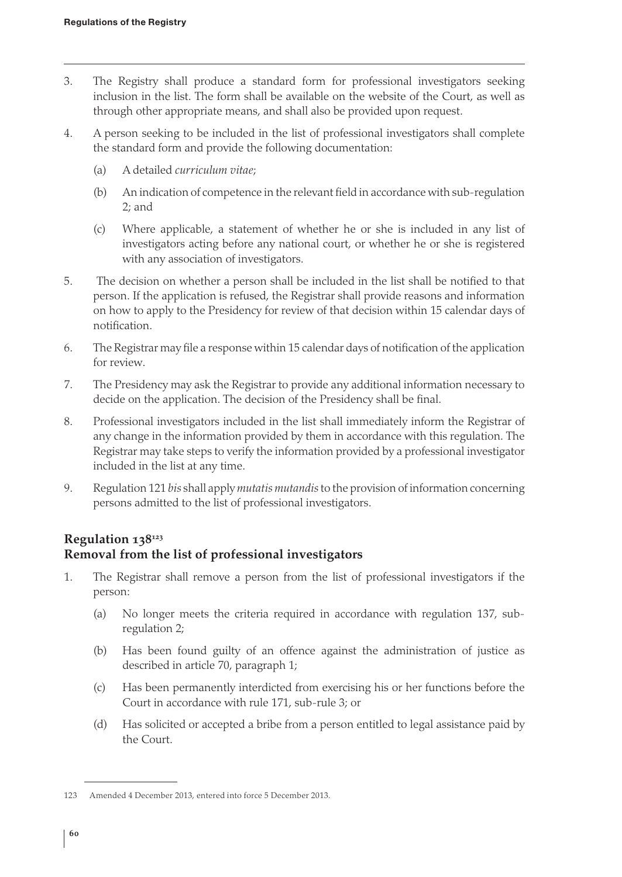- 3. The Registry shall produce a standard form for professional investigators seeking inclusion in the list. The form shall be available on the website of the Court, as well as through other appropriate means, and shall also be provided upon request.
- 4. A person seeking to be included in the list of professional investigators shall complete the standard form and provide the following documentation:
	- (a) A detailed *curriculum vitae*;
	- (b) An indication of competence in the relevant field in accordance with sub-regulation 2; and
	- (c) Where applicable, a statement of whether he or she is included in any list of investigators acting before any national court, or whether he or she is registered with any association of investigators.
- 5. The decision on whether a person shall be included in the list shall be notified to that person. If the application is refused, the Registrar shall provide reasons and information on how to apply to the Presidency for review of that decision within 15 calendar days of notification.
- 6. The Registrar may file a response within 15 calendar days of notification of the application for review.
- 7. The Presidency may ask the Registrar to provide any additional information necessary to decide on the application. The decision of the Presidency shall be final.
- 8. Professional investigators included in the list shall immediately inform the Registrar of any change in the information provided by them in accordance with this regulation. The Registrar may take steps to verify the information provided by a professional investigator included in the list at any time.
- 9. Regulation 121 *bis* shall apply *mutatis mutandis* to the provision of information concerning persons admitted to the list of professional investigators.

## **Regulation 138123 Removal from the list of professional investigators**

- 1. The Registrar shall remove a person from the list of professional investigators if the person:
	- (a) No longer meets the criteria required in accordance with regulation 137, subregulation 2;
	- (b) Has been found guilty of an offence against the administration of justice as described in article 70, paragraph 1;
	- (c) Has been permanently interdicted from exercising his or her functions before the Court in accordance with rule 171, sub-rule 3; or
	- (d) Has solicited or accepted a bribe from a person entitled to legal assistance paid by the Court.

<sup>123</sup> Amended 4 December 2013, entered into force 5 December 2013.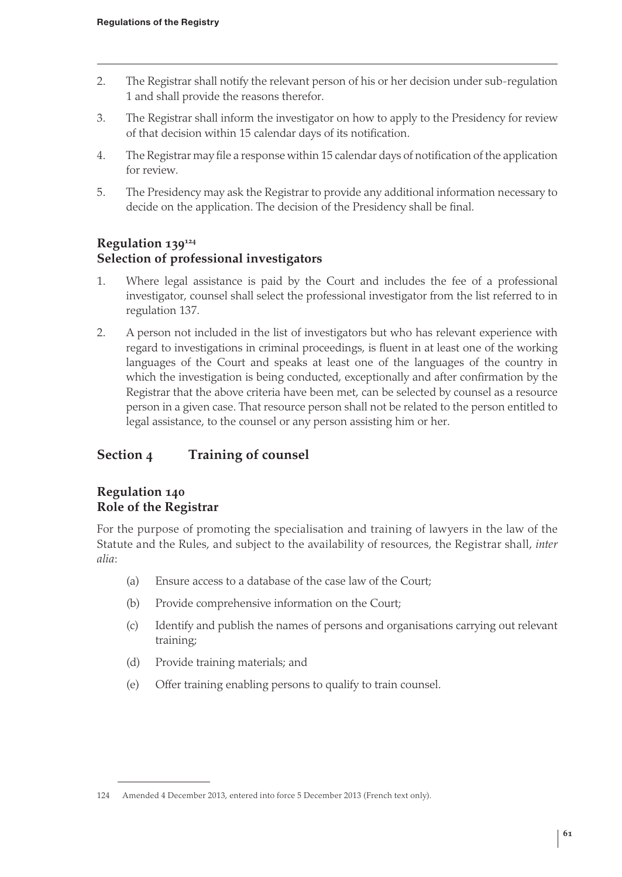- 2. The Registrar shall notify the relevant person of his or her decision under sub-regulation 1 and shall provide the reasons therefor.
- 3. The Registrar shall inform the investigator on how to apply to the Presidency for review of that decision within 15 calendar days of its notification.
- 4. The Registrar may file a response within 15 calendar days of notification of the application for review.
- 5. The Presidency may ask the Registrar to provide any additional information necessary to decide on the application. The decision of the Presidency shall be final.

#### **Regulation 139124 Selection of professional investigators**

- 1. Where legal assistance is paid by the Court and includes the fee of a professional investigator, counsel shall select the professional investigator from the list referred to in regulation 137.
- 2. A person not included in the list of investigators but who has relevant experience with regard to investigations in criminal proceedings, is fluent in at least one of the working languages of the Court and speaks at least one of the languages of the country in which the investigation is being conducted, exceptionally and after confirmation by the Registrar that the above criteria have been met, can be selected by counsel as a resource person in a given case. That resource person shall not be related to the person entitled to legal assistance, to the counsel or any person assisting him or her.

# **Section 4 Training of counsel**

#### **Regulation 140 Role of the Registrar**

For the purpose of promoting the specialisation and training of lawyers in the law of the Statute and the Rules, and subject to the availability of resources, the Registrar shall, *inter alia*:

- (a) Ensure access to a database of the case law of the Court;
- (b) Provide comprehensive information on the Court;
- (c) Identify and publish the names of persons and organisations carrying out relevant training;
- (d) Provide training materials; and
- (e) Offer training enabling persons to qualify to train counsel.

<sup>124</sup> Amended 4 December 2013, entered into force 5 December 2013 (French text only).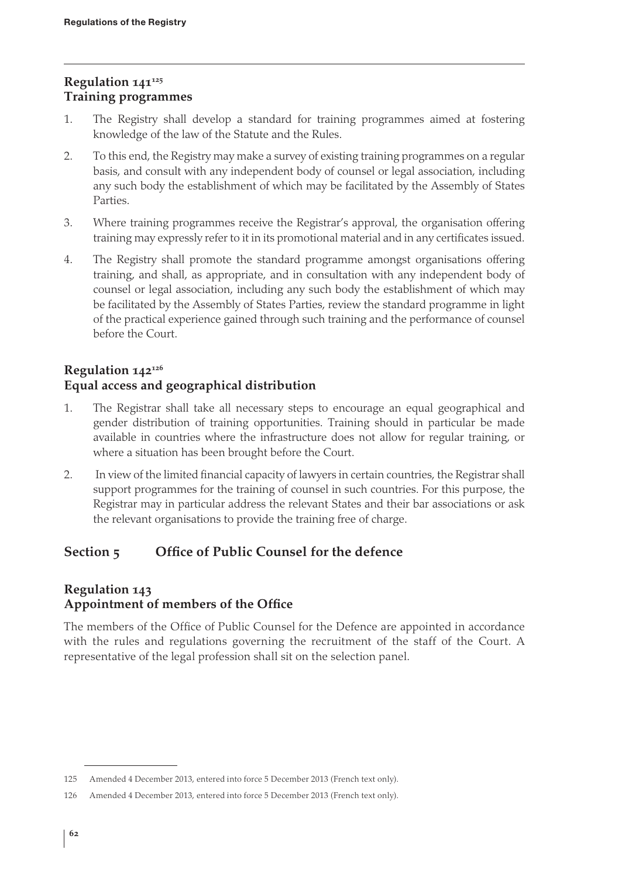## **Regulation 141125 Training programmes**

- 1. The Registry shall develop a standard for training programmes aimed at fostering knowledge of the law of the Statute and the Rules.
- 2. To this end, the Registry may make a survey of existing training programmes on a regular basis, and consult with any independent body of counsel or legal association, including any such body the establishment of which may be facilitated by the Assembly of States Parties.
- 3. Where training programmes receive the Registrar's approval, the organisation offering training may expressly refer to it in its promotional material and in any certificates issued.
- 4. The Registry shall promote the standard programme amongst organisations offering training, and shall, as appropriate, and in consultation with any independent body of counsel or legal association, including any such body the establishment of which may be facilitated by the Assembly of States Parties, review the standard programme in light of the practical experience gained through such training and the performance of counsel before the Court.

### **Regulation 142126 Equal access and geographical distribution**

- 1. The Registrar shall take all necessary steps to encourage an equal geographical and gender distribution of training opportunities. Training should in particular be made available in countries where the infrastructure does not allow for regular training, or where a situation has been brought before the Court.
- 2. In view of the limited financial capacity of lawyers in certain countries, the Registrar shall support programmes for the training of counsel in such countries. For this purpose, the Registrar may in particular address the relevant States and their bar associations or ask the relevant organisations to provide the training free of charge.

## **Section 5 Office of Public Counsel for the defence**

### **Regulation 143 Appointment of members of the Office**

The members of the Office of Public Counsel for the Defence are appointed in accordance with the rules and regulations governing the recruitment of the staff of the Court. A representative of the legal profession shall sit on the selection panel.

<sup>125</sup> Amended 4 December 2013, entered into force 5 December 2013 (French text only).

<sup>126</sup> Amended 4 December 2013, entered into force 5 December 2013 (French text only).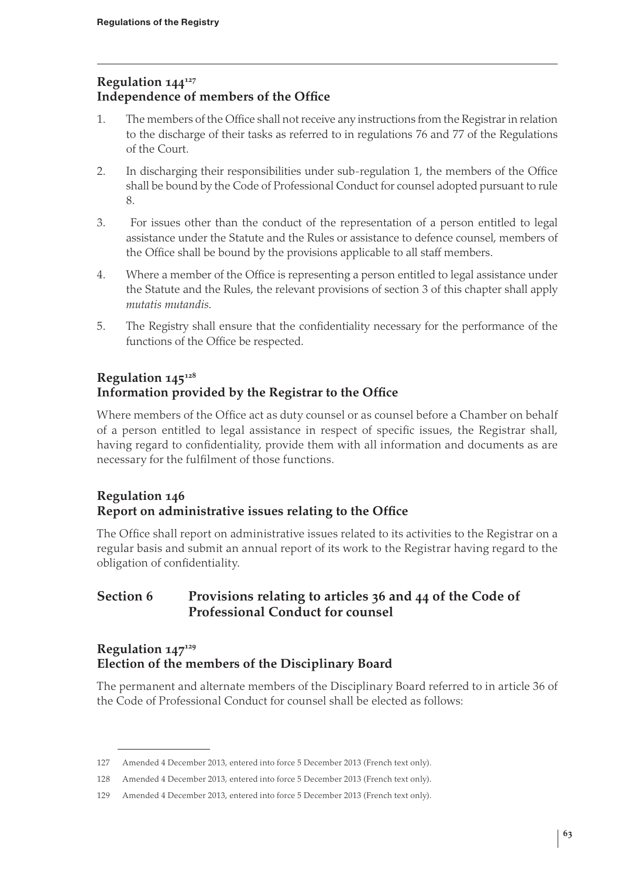# **Regulation 144127 Independence of members of the Office**

- 1. The members of the Office shall not receive any instructions from the Registrar in relation to the discharge of their tasks as referred to in regulations 76 and 77 of the Regulations of the Court.
- 2. In discharging their responsibilities under sub-regulation 1, the members of the Office shall be bound by the Code of Professional Conduct for counsel adopted pursuant to rule 8.
- 3. For issues other than the conduct of the representation of a person entitled to legal assistance under the Statute and the Rules or assistance to defence counsel, members of the Office shall be bound by the provisions applicable to all staff members.
- 4. Where a member of the Office is representing a person entitled to legal assistance under the Statute and the Rules, the relevant provisions of section 3 of this chapter shall apply *mutatis mutandis*.
- 5. The Registry shall ensure that the confidentiality necessary for the performance of the functions of the Office be respected.

### **Regulation 145128 Information provided by the Registrar to the Office**

Where members of the Office act as duty counsel or as counsel before a Chamber on behalf of a person entitled to legal assistance in respect of specific issues, the Registrar shall, having regard to confidentiality, provide them with all information and documents as are necessary for the fulfilment of those functions.

### **Regulation 146 Report on administrative issues relating to the Office**

The Office shall report on administrative issues related to its activities to the Registrar on a regular basis and submit an annual report of its work to the Registrar having regard to the obligation of confidentiality.

### **Section 6 Provisions relating to articles 36 and 44 of the Code of Professional Conduct for counsel**

### **Regulation 147129 Election of the members of the Disciplinary Board**

The permanent and alternate members of the Disciplinary Board referred to in article 36 of the Code of Professional Conduct for counsel shall be elected as follows:

<sup>127</sup> Amended 4 December 2013, entered into force 5 December 2013 (French text only).

<sup>128</sup> Amended 4 December 2013, entered into force 5 December 2013 (French text only).

<sup>129</sup> Amended 4 December 2013, entered into force 5 December 2013 (French text only).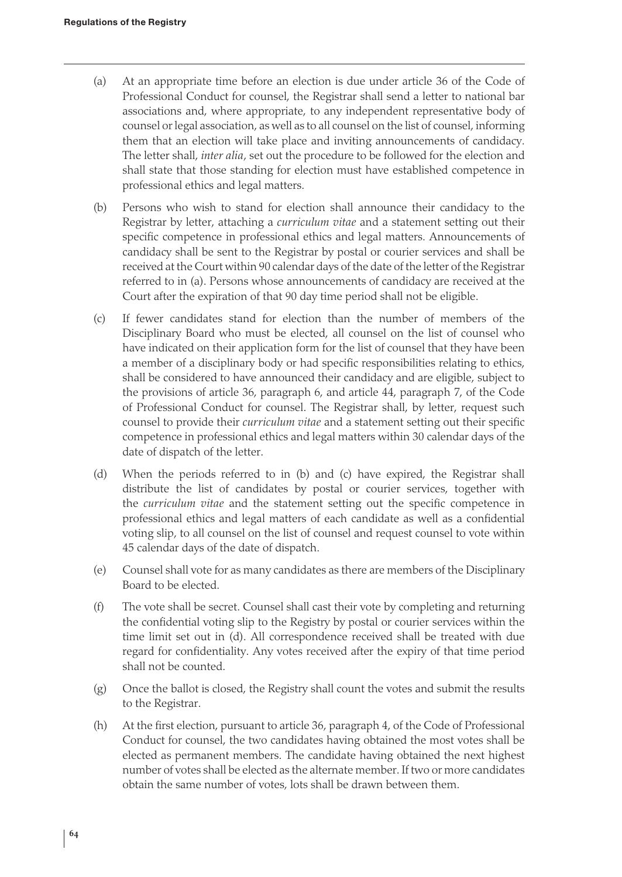- (a) At an appropriate time before an election is due under article 36 of the Code of Professional Conduct for counsel, the Registrar shall send a letter to national bar associations and, where appropriate, to any independent representative body of counsel or legal association, as well as to all counsel on the list of counsel, informing them that an election will take place and inviting announcements of candidacy. The letter shall, *inter alia*, set out the procedure to be followed for the election and shall state that those standing for election must have established competence in professional ethics and legal matters.
- (b) Persons who wish to stand for election shall announce their candidacy to the Registrar by letter, attaching a *curriculum vitae* and a statement setting out their specific competence in professional ethics and legal matters. Announcements of candidacy shall be sent to the Registrar by postal or courier services and shall be received at the Court within 90 calendar days of the date of the letter of the Registrar referred to in (a). Persons whose announcements of candidacy are received at the Court after the expiration of that 90 day time period shall not be eligible.
- (c) If fewer candidates stand for election than the number of members of the Disciplinary Board who must be elected, all counsel on the list of counsel who have indicated on their application form for the list of counsel that they have been a member of a disciplinary body or had specific responsibilities relating to ethics, shall be considered to have announced their candidacy and are eligible, subject to the provisions of article 36, paragraph 6, and article 44, paragraph 7, of the Code of Professional Conduct for counsel. The Registrar shall, by letter, request such counsel to provide their *curriculum vitae* and a statement setting out their specific competence in professional ethics and legal matters within 30 calendar days of the date of dispatch of the letter.
- (d) When the periods referred to in (b) and (c) have expired, the Registrar shall distribute the list of candidates by postal or courier services, together with the *curriculum vitae* and the statement setting out the specific competence in professional ethics and legal matters of each candidate as well as a confidential voting slip, to all counsel on the list of counsel and request counsel to vote within 45 calendar days of the date of dispatch.
- (e) Counsel shall vote for as many candidates as there are members of the Disciplinary Board to be elected.
- (f) The vote shall be secret. Counsel shall cast their vote by completing and returning the confidential voting slip to the Registry by postal or courier services within the time limit set out in (d). All correspondence received shall be treated with due regard for confidentiality. Any votes received after the expiry of that time period shall not be counted.
- (g) Once the ballot is closed, the Registry shall count the votes and submit the results to the Registrar.
- (h) At the first election, pursuant to article 36, paragraph 4, of the Code of Professional Conduct for counsel, the two candidates having obtained the most votes shall be elected as permanent members. The candidate having obtained the next highest number of votes shall be elected as the alternate member. If two or more candidates obtain the same number of votes, lots shall be drawn between them.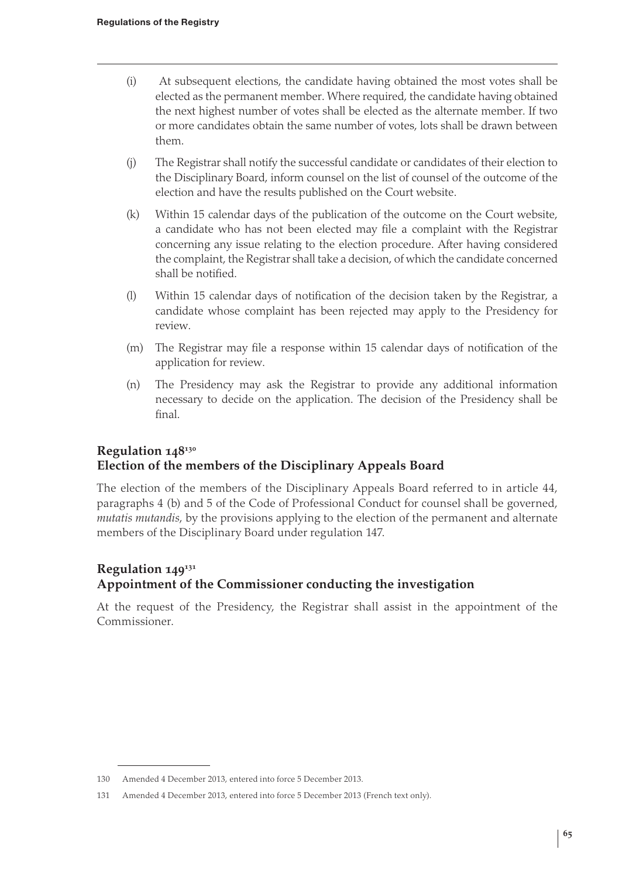- (i) At subsequent elections, the candidate having obtained the most votes shall be elected as the permanent member. Where required, the candidate having obtained the next highest number of votes shall be elected as the alternate member. If two or more candidates obtain the same number of votes, lots shall be drawn between them.
- (j) The Registrar shall notify the successful candidate or candidates of their election to the Disciplinary Board, inform counsel on the list of counsel of the outcome of the election and have the results published on the Court website.
- (k) Within 15 calendar days of the publication of the outcome on the Court website, a candidate who has not been elected may file a complaint with the Registrar concerning any issue relating to the election procedure. After having considered the complaint, the Registrar shall take a decision, of which the candidate concerned shall be notified.
- (l) Within 15 calendar days of notification of the decision taken by the Registrar, a candidate whose complaint has been rejected may apply to the Presidency for review.
- (m) The Registrar may file a response within 15 calendar days of notification of the application for review.
- (n) The Presidency may ask the Registrar to provide any additional information necessary to decide on the application. The decision of the Presidency shall be final.

### **Regulation 148130 Election of the members of the Disciplinary Appeals Board**

The election of the members of the Disciplinary Appeals Board referred to in article 44, paragraphs 4 (b) and 5 of the Code of Professional Conduct for counsel shall be governed, *mutatis mutandis*, by the provisions applying to the election of the permanent and alternate members of the Disciplinary Board under regulation 147.

### **Regulation 149131 Appointment of the Commissioner conducting the investigation**

At the request of the Presidency, the Registrar shall assist in the appointment of the Commissioner.

<sup>130</sup> Amended 4 December 2013, entered into force 5 December 2013.

<sup>131</sup> Amended 4 December 2013, entered into force 5 December 2013 (French text only).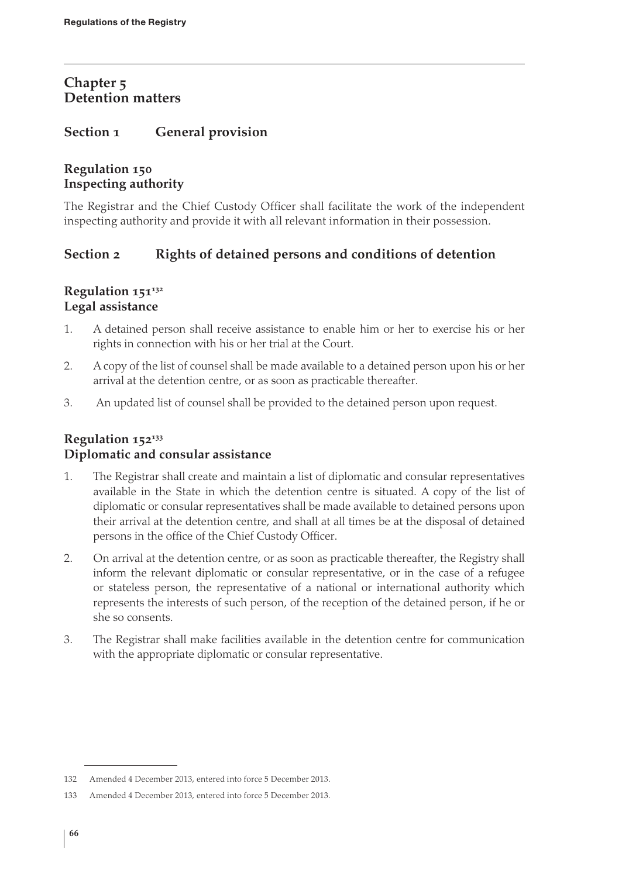# **Chapter 5 Detention matters**

### **Section 1 General provision**

### **Regulation 150 Inspecting authority**

The Registrar and the Chief Custody Officer shall facilitate the work of the independent inspecting authority and provide it with all relevant information in their possession.

# **Section 2 Rights of detained persons and conditions of detention**

#### **Regulation 151132 Legal assistance**

- 1. A detained person shall receive assistance to enable him or her to exercise his or her rights in connection with his or her trial at the Court.
- 2. A copy of the list of counsel shall be made available to a detained person upon his or her arrival at the detention centre, or as soon as practicable thereafter.
- 3. An updated list of counsel shall be provided to the detained person upon request.

### **Regulation 152133 Diplomatic and consular assistance**

- 1. The Registrar shall create and maintain a list of diplomatic and consular representatives available in the State in which the detention centre is situated. A copy of the list of diplomatic or consular representatives shall be made available to detained persons upon their arrival at the detention centre, and shall at all times be at the disposal of detained persons in the office of the Chief Custody Officer.
- 2. On arrival at the detention centre, or as soon as practicable thereafter, the Registry shall inform the relevant diplomatic or consular representative, or in the case of a refugee or stateless person, the representative of a national or international authority which represents the interests of such person, of the reception of the detained person, if he or she so consents.
- 3. The Registrar shall make facilities available in the detention centre for communication with the appropriate diplomatic or consular representative.

<sup>132</sup> Amended 4 December 2013, entered into force 5 December 2013.

<sup>133</sup> Amended 4 December 2013, entered into force 5 December 2013.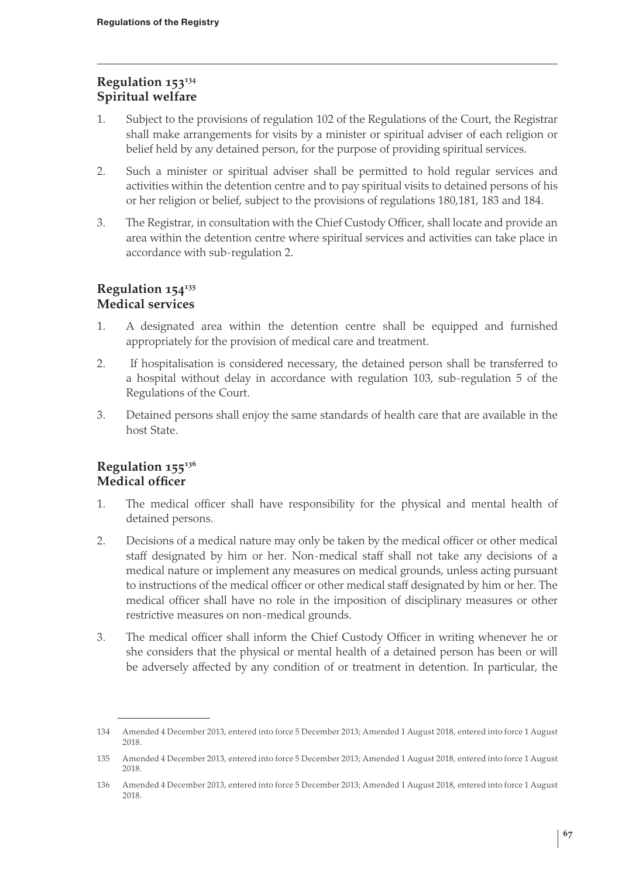# **Regulation 153134 Spiritual welfare**

- 1. Subject to the provisions of regulation 102 of the Regulations of the Court, the Registrar shall make arrangements for visits by a minister or spiritual adviser of each religion or belief held by any detained person, for the purpose of providing spiritual services.
- 2. Such a minister or spiritual adviser shall be permitted to hold regular services and activities within the detention centre and to pay spiritual visits to detained persons of his or her religion or belief, subject to the provisions of regulations 180,181, 183 and 184.
- 3. The Registrar, in consultation with the Chief Custody Officer, shall locate and provide an area within the detention centre where spiritual services and activities can take place in accordance with sub-regulation 2.

#### **Regulation 154135 Medical services**

- 1. A designated area within the detention centre shall be equipped and furnished appropriately for the provision of medical care and treatment.
- 2. If hospitalisation is considered necessary, the detained person shall be transferred to a hospital without delay in accordance with regulation 103, sub-regulation 5 of the Regulations of the Court.
- 3. Detained persons shall enjoy the same standards of health care that are available in the host State.

# **Regulation 155136 Medical officer**

- 1. The medical officer shall have responsibility for the physical and mental health of detained persons.
- 2. Decisions of a medical nature may only be taken by the medical officer or other medical staff designated by him or her. Non-medical staff shall not take any decisions of a medical nature or implement any measures on medical grounds, unless acting pursuant to instructions of the medical officer or other medical staff designated by him or her. The medical officer shall have no role in the imposition of disciplinary measures or other restrictive measures on non-medical grounds.
- 3. The medical officer shall inform the Chief Custody Officer in writing whenever he or she considers that the physical or mental health of a detained person has been or will be adversely affected by any condition of or treatment in detention. In particular, the

<sup>134</sup> Amended 4 December 2013, entered into force 5 December 2013; Amended 1 August 2018, entered into force 1 August 2018.

<sup>135</sup> Amended 4 December 2013, entered into force 5 December 2013; Amended 1 August 2018, entered into force 1 August 2018.

<sup>136</sup> Amended 4 December 2013, entered into force 5 December 2013; Amended 1 August 2018, entered into force 1 August 2018.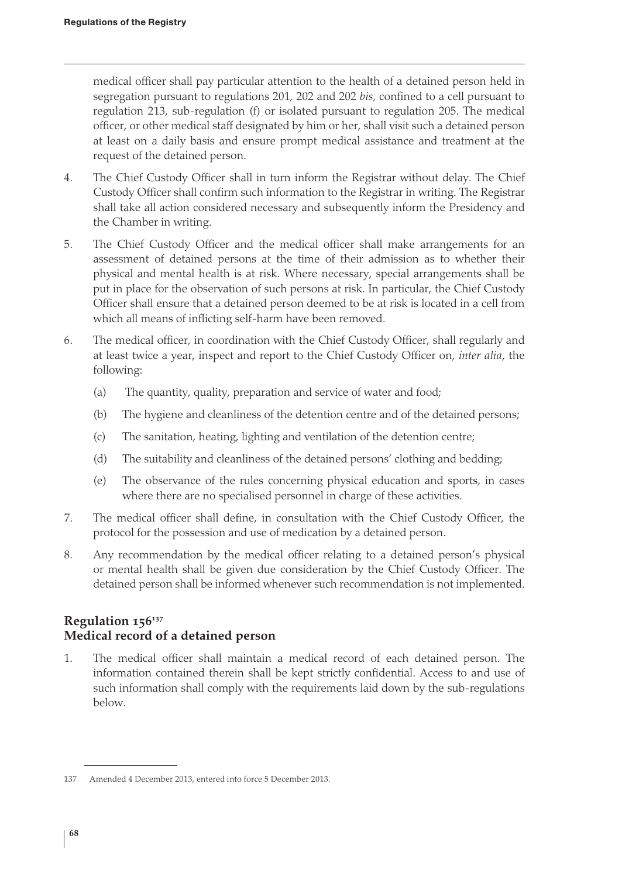medical officer shall pay particular attention to the health of a detained person held in segregation pursuant to regulations 201, 202 and 202 *bis*, confined to a cell pursuant to regulation 213, sub-regulation (f) or isolated pursuant to regulation 205. The medical officer, or other medical staff designated by him or her, shall visit such a detained person at least on a daily basis and ensure prompt medical assistance and treatment at the request of the detained person.

- 4. The Chief Custody Officer shall in turn inform the Registrar without delay. The Chief Custody Officer shall confirm such information to the Registrar in writing. The Registrar shall take all action considered necessary and subsequently inform the Presidency and the Chamber in writing.
- 5. The Chief Custody Officer and the medical officer shall make arrangements for an assessment of detained persons at the time of their admission as to whether their physical and mental health is at risk. Where necessary, special arrangements shall be put in place for the observation of such persons at risk. In particular, the Chief Custody Officer shall ensure that a detained person deemed to be at risk is located in a cell from which all means of inflicting self-harm have been removed.
- 6. The medical officer, in coordination with the Chief Custody Officer, shall regularly and at least twice a year, inspect and report to the Chief Custody Officer on, *inter alia*, the following:
	- (a) The quantity, quality, preparation and service of water and food;
	- (b) The hygiene and cleanliness of the detention centre and of the detained persons;
	- (c) The sanitation, heating, lighting and ventilation of the detention centre;
	- (d) The suitability and cleanliness of the detained persons' clothing and bedding;
	- (e) The observance of the rules concerning physical education and sports, in cases where there are no specialised personnel in charge of these activities.
- 7. The medical officer shall define, in consultation with the Chief Custody Officer, the protocol for the possession and use of medication by a detained person.
- 8. Any recommendation by the medical officer relating to a detained person's physical or mental health shall be given due consideration by the Chief Custody Officer. The detained person shall be informed whenever such recommendation is not implemented.

### **Regulation 156137 Medical record of a detained person**

1. The medical officer shall maintain a medical record of each detained person. The information contained therein shall be kept strictly confidential. Access to and use of such information shall comply with the requirements laid down by the sub-regulations below.

<sup>137</sup> Amended 4 December 2013, entered into force 5 December 2013.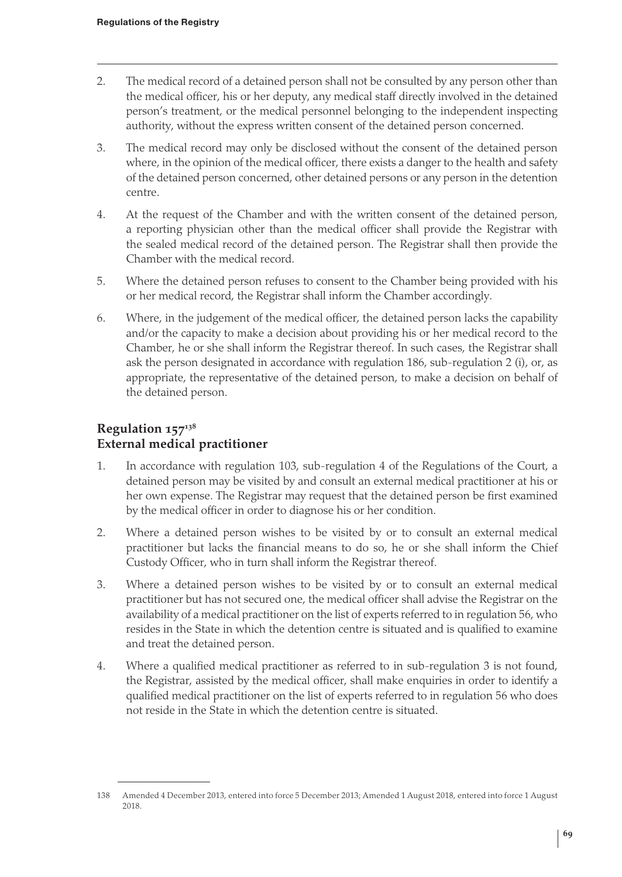- 2. The medical record of a detained person shall not be consulted by any person other than the medical officer, his or her deputy, any medical staff directly involved in the detained person's treatment, or the medical personnel belonging to the independent inspecting authority, without the express written consent of the detained person concerned.
- 3. The medical record may only be disclosed without the consent of the detained person where, in the opinion of the medical officer, there exists a danger to the health and safety of the detained person concerned, other detained persons or any person in the detention centre.
- 4. At the request of the Chamber and with the written consent of the detained person, a reporting physician other than the medical officer shall provide the Registrar with the sealed medical record of the detained person. The Registrar shall then provide the Chamber with the medical record.
- 5. Where the detained person refuses to consent to the Chamber being provided with his or her medical record, the Registrar shall inform the Chamber accordingly.
- 6. Where, in the judgement of the medical officer, the detained person lacks the capability and/or the capacity to make a decision about providing his or her medical record to the Chamber, he or she shall inform the Registrar thereof. In such cases, the Registrar shall ask the person designated in accordance with regulation 186, sub-regulation 2 (i), or, as appropriate, the representative of the detained person, to make a decision on behalf of the detained person.

# **Regulation 157138 External medical practitioner**

- 1. In accordance with regulation 103, sub-regulation 4 of the Regulations of the Court, a detained person may be visited by and consult an external medical practitioner at his or her own expense. The Registrar may request that the detained person be first examined by the medical officer in order to diagnose his or her condition.
- 2. Where a detained person wishes to be visited by or to consult an external medical practitioner but lacks the financial means to do so, he or she shall inform the Chief Custody Officer, who in turn shall inform the Registrar thereof.
- 3. Where a detained person wishes to be visited by or to consult an external medical practitioner but has not secured one, the medical officer shall advise the Registrar on the availability of a medical practitioner on the list of experts referred to in regulation 56, who resides in the State in which the detention centre is situated and is qualified to examine and treat the detained person.
- 4. Where a qualified medical practitioner as referred to in sub-regulation 3 is not found, the Registrar, assisted by the medical officer, shall make enquiries in order to identify a qualified medical practitioner on the list of experts referred to in regulation 56 who does not reside in the State in which the detention centre is situated.

<sup>138</sup> Amended 4 December 2013, entered into force 5 December 2013; Amended 1 August 2018, entered into force 1 August 2018.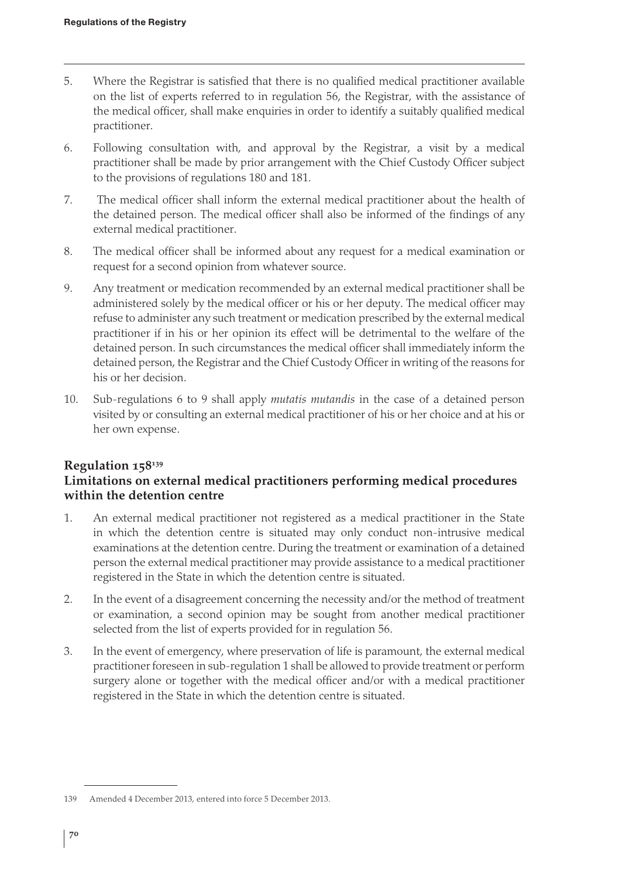- 5. Where the Registrar is satisfied that there is no qualified medical practitioner available on the list of experts referred to in regulation 56, the Registrar, with the assistance of the medical officer, shall make enquiries in order to identify a suitably qualified medical practitioner.
- 6. Following consultation with, and approval by the Registrar, a visit by a medical practitioner shall be made by prior arrangement with the Chief Custody Officer subject to the provisions of regulations 180 and 181.
- 7. The medical officer shall inform the external medical practitioner about the health of the detained person. The medical officer shall also be informed of the findings of any external medical practitioner.
- 8. The medical officer shall be informed about any request for a medical examination or request for a second opinion from whatever source.
- 9. Any treatment or medication recommended by an external medical practitioner shall be administered solely by the medical officer or his or her deputy. The medical officer may refuse to administer any such treatment or medication prescribed by the external medical practitioner if in his or her opinion its effect will be detrimental to the welfare of the detained person. In such circumstances the medical officer shall immediately inform the detained person, the Registrar and the Chief Custody Officer in writing of the reasons for his or her decision.
- 10. Sub-regulations 6 to 9 shall apply *mutatis mutandis* in the case of a detained person visited by or consulting an external medical practitioner of his or her choice and at his or her own expense.

#### **Regulation 158139 Limitations on external medical practitioners performing medical procedures within the detention centre**

- 1. An external medical practitioner not registered as a medical practitioner in the State in which the detention centre is situated may only conduct non-intrusive medical examinations at the detention centre. During the treatment or examination of a detained person the external medical practitioner may provide assistance to a medical practitioner registered in the State in which the detention centre is situated.
- 2. In the event of a disagreement concerning the necessity and/or the method of treatment or examination, a second opinion may be sought from another medical practitioner selected from the list of experts provided for in regulation 56.
- 3. In the event of emergency, where preservation of life is paramount, the external medical practitioner foreseen in sub-regulation 1 shall be allowed to provide treatment or perform surgery alone or together with the medical officer and/or with a medical practitioner registered in the State in which the detention centre is situated.

<sup>139</sup> Amended 4 December 2013, entered into force 5 December 2013.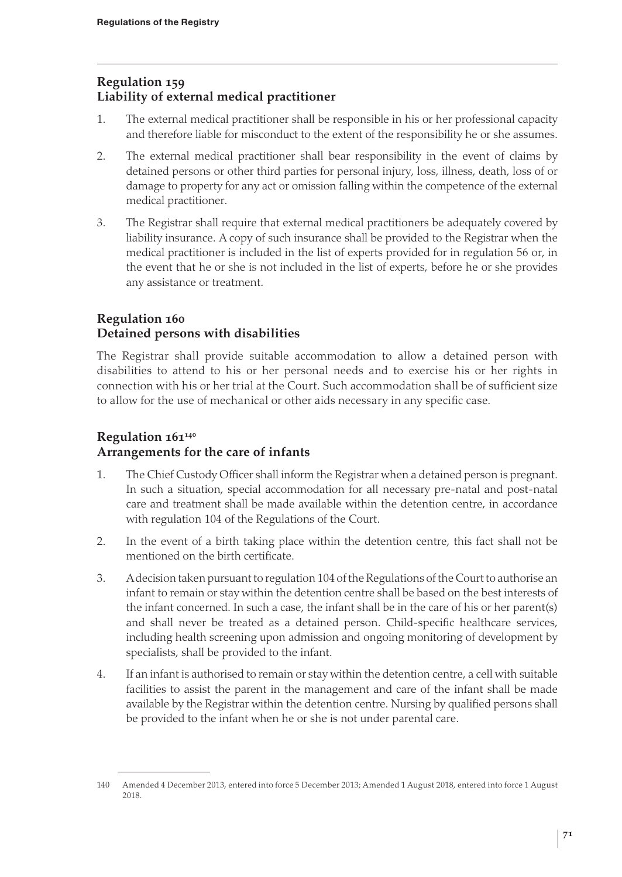## **Regulation 159 Liability of external medical practitioner**

- 1. The external medical practitioner shall be responsible in his or her professional capacity and therefore liable for misconduct to the extent of the responsibility he or she assumes.
- 2. The external medical practitioner shall bear responsibility in the event of claims by detained persons or other third parties for personal injury, loss, illness, death, loss of or damage to property for any act or omission falling within the competence of the external medical practitioner.
- 3. The Registrar shall require that external medical practitioners be adequately covered by liability insurance. A copy of such insurance shall be provided to the Registrar when the medical practitioner is included in the list of experts provided for in regulation 56 or, in the event that he or she is not included in the list of experts, before he or she provides any assistance or treatment.

### **Regulation 160 Detained persons with disabilities**

The Registrar shall provide suitable accommodation to allow a detained person with disabilities to attend to his or her personal needs and to exercise his or her rights in connection with his or her trial at the Court. Such accommodation shall be of sufficient size to allow for the use of mechanical or other aids necessary in any specific case.

### **Regulation 161140 Arrangements for the care of infants**

- 1. The Chief Custody Officer shall inform the Registrar when a detained person is pregnant. In such a situation, special accommodation for all necessary pre-natal and post-natal care and treatment shall be made available within the detention centre, in accordance with regulation 104 of the Regulations of the Court.
- 2. In the event of a birth taking place within the detention centre, this fact shall not be mentioned on the birth certificate.
- 3. A decision taken pursuant to regulation 104 of the Regulations of the Court to authorise an infant to remain or stay within the detention centre shall be based on the best interests of the infant concerned. In such a case, the infant shall be in the care of his or her parent(s) and shall never be treated as a detained person. Child-specific healthcare services, including health screening upon admission and ongoing monitoring of development by specialists, shall be provided to the infant.
- 4. If an infant is authorised to remain or stay within the detention centre, a cell with suitable facilities to assist the parent in the management and care of the infant shall be made available by the Registrar within the detention centre. Nursing by qualified persons shall be provided to the infant when he or she is not under parental care.

<sup>140</sup> Amended 4 December 2013, entered into force 5 December 2013; Amended 1 August 2018, entered into force 1 August 2018.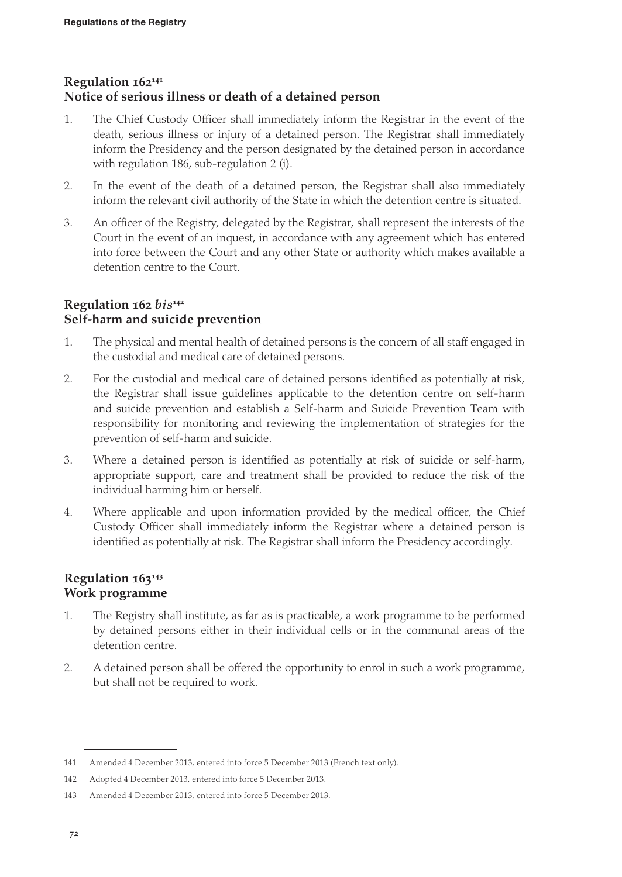### **Regulation 162141 Notice of serious illness or death of a detained person**

- 1. The Chief Custody Officer shall immediately inform the Registrar in the event of the death, serious illness or injury of a detained person. The Registrar shall immediately inform the Presidency and the person designated by the detained person in accordance with regulation 186, sub-regulation 2 (i).
- 2. In the event of the death of a detained person, the Registrar shall also immediately inform the relevant civil authority of the State in which the detention centre is situated.
- 3. An officer of the Registry, delegated by the Registrar, shall represent the interests of the Court in the event of an inquest, in accordance with any agreement which has entered into force between the Court and any other State or authority which makes available a detention centre to the Court.

### **Regulation 162** *bis***<sup>142</sup> Self-harm and suicide prevention**

- 1. The physical and mental health of detained persons is the concern of all staff engaged in the custodial and medical care of detained persons.
- 2. For the custodial and medical care of detained persons identified as potentially at risk, the Registrar shall issue guidelines applicable to the detention centre on self-harm and suicide prevention and establish a Self-harm and Suicide Prevention Team with responsibility for monitoring and reviewing the implementation of strategies for the prevention of self-harm and suicide.
- 3. Where a detained person is identified as potentially at risk of suicide or self-harm, appropriate support, care and treatment shall be provided to reduce the risk of the individual harming him or herself.
- 4. Where applicable and upon information provided by the medical officer, the Chief Custody Officer shall immediately inform the Registrar where a detained person is identified as potentially at risk. The Registrar shall inform the Presidency accordingly.

### **Regulation 163143 Work programme**

- 1. The Registry shall institute, as far as is practicable, a work programme to be performed by detained persons either in their individual cells or in the communal areas of the detention centre.
- 2. A detained person shall be offered the opportunity to enrol in such a work programme, but shall not be required to work.

<sup>141</sup> Amended 4 December 2013, entered into force 5 December 2013 (French text only).

<sup>142</sup> Adopted 4 December 2013, entered into force 5 December 2013.

<sup>143</sup> Amended 4 December 2013, entered into force 5 December 2013.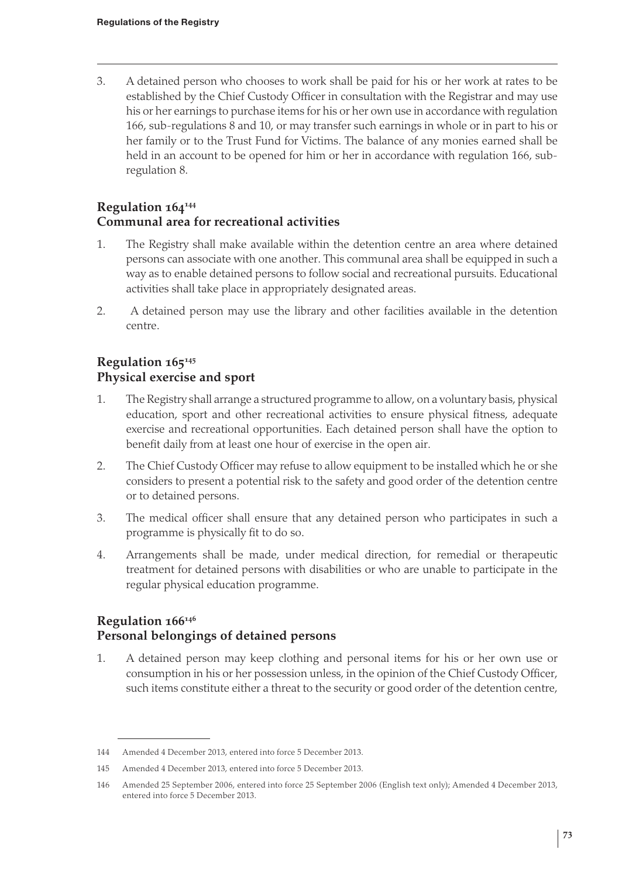3. A detained person who chooses to work shall be paid for his or her work at rates to be established by the Chief Custody Officer in consultation with the Registrar and may use his or her earnings to purchase items for his or her own use in accordance with regulation 166, sub-regulations 8 and 10, or may transfer such earnings in whole or in part to his or her family or to the Trust Fund for Victims. The balance of any monies earned shall be held in an account to be opened for him or her in accordance with regulation 166, subregulation 8.

### **Regulation 164144 Communal area for recreational activities**

- 1. The Registry shall make available within the detention centre an area where detained persons can associate with one another. This communal area shall be equipped in such a way as to enable detained persons to follow social and recreational pursuits. Educational activities shall take place in appropriately designated areas.
- 2. A detained person may use the library and other facilities available in the detention centre.

## **Regulation 165145 Physical exercise and sport**

- 1. The Registry shall arrange a structured programme to allow, on a voluntary basis, physical education, sport and other recreational activities to ensure physical fitness, adequate exercise and recreational opportunities. Each detained person shall have the option to benefit daily from at least one hour of exercise in the open air.
- 2. The Chief Custody Officer may refuse to allow equipment to be installed which he or she considers to present a potential risk to the safety and good order of the detention centre or to detained persons.
- 3. The medical officer shall ensure that any detained person who participates in such a programme is physically fit to do so.
- 4. Arrangements shall be made, under medical direction, for remedial or therapeutic treatment for detained persons with disabilities or who are unable to participate in the regular physical education programme.

## **Regulation 166146 Personal belongings of detained persons**

1. A detained person may keep clothing and personal items for his or her own use or consumption in his or her possession unless, in the opinion of the Chief Custody Officer, such items constitute either a threat to the security or good order of the detention centre,

<sup>144</sup> Amended 4 December 2013, entered into force 5 December 2013.

<sup>145</sup> Amended 4 December 2013, entered into force 5 December 2013.

<sup>146</sup> Amended 25 September 2006, entered into force 25 September 2006 (English text only); Amended 4 December 2013, entered into force 5 December 2013.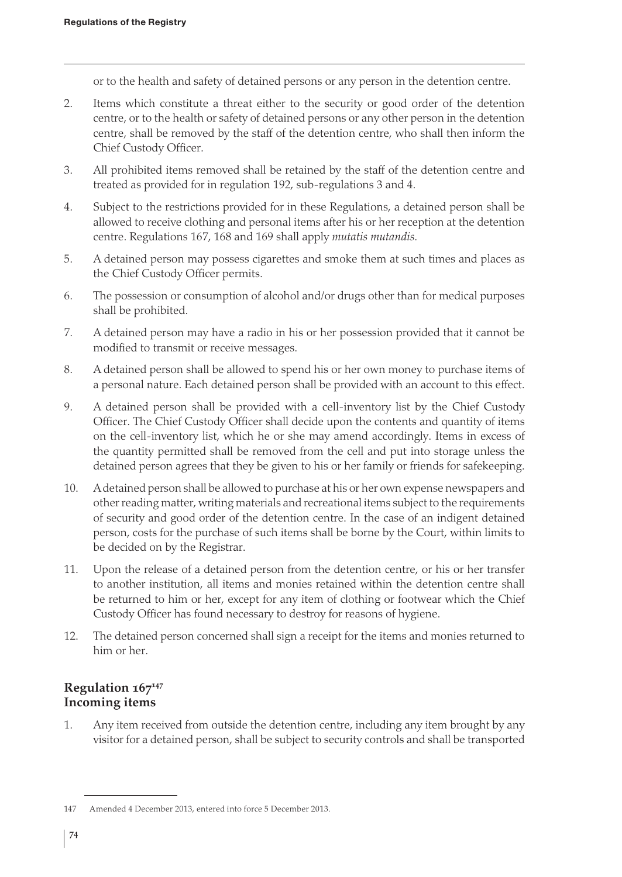or to the health and safety of detained persons or any person in the detention centre.

- 2. Items which constitute a threat either to the security or good order of the detention centre, or to the health or safety of detained persons or any other person in the detention centre, shall be removed by the staff of the detention centre, who shall then inform the Chief Custody Officer.
- 3. All prohibited items removed shall be retained by the staff of the detention centre and treated as provided for in regulation 192, sub-regulations 3 and 4.
- 4. Subject to the restrictions provided for in these Regulations, a detained person shall be allowed to receive clothing and personal items after his or her reception at the detention centre. Regulations 167, 168 and 169 shall apply *mutatis mutandis*.
- 5. A detained person may possess cigarettes and smoke them at such times and places as the Chief Custody Officer permits.
- 6. The possession or consumption of alcohol and/or drugs other than for medical purposes shall be prohibited.
- 7. A detained person may have a radio in his or her possession provided that it cannot be modified to transmit or receive messages.
- 8. A detained person shall be allowed to spend his or her own money to purchase items of a personal nature. Each detained person shall be provided with an account to this effect.
- 9. A detained person shall be provided with a cell-inventory list by the Chief Custody Officer. The Chief Custody Officer shall decide upon the contents and quantity of items on the cell-inventory list, which he or she may amend accordingly. Items in excess of the quantity permitted shall be removed from the cell and put into storage unless the detained person agrees that they be given to his or her family or friends for safekeeping.
- 10. A detained person shall be allowed to purchase at his or her own expense newspapers and other reading matter, writing materials and recreational items subject to the requirements of security and good order of the detention centre. In the case of an indigent detained person, costs for the purchase of such items shall be borne by the Court, within limits to be decided on by the Registrar.
- 11. Upon the release of a detained person from the detention centre, or his or her transfer to another institution, all items and monies retained within the detention centre shall be returned to him or her, except for any item of clothing or footwear which the Chief Custody Officer has found necessary to destroy for reasons of hygiene.
- 12. The detained person concerned shall sign a receipt for the items and monies returned to him or her.

### **Regulation 167147 Incoming items**

1. Any item received from outside the detention centre, including any item brought by any visitor for a detained person, shall be subject to security controls and shall be transported

<sup>147</sup> Amended 4 December 2013, entered into force 5 December 2013.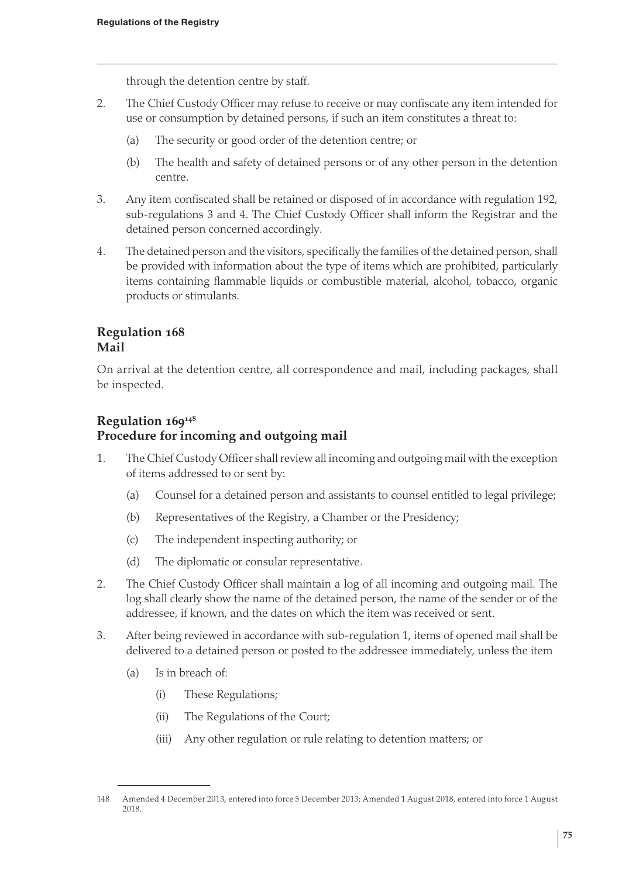through the detention centre by staff.

- 2. The Chief Custody Officer may refuse to receive or may confiscate any item intended for use or consumption by detained persons, if such an item constitutes a threat to:
	- (a) The security or good order of the detention centre; or
	- (b) The health and safety of detained persons or of any other person in the detention centre.
- 3. Any item confiscated shall be retained or disposed of in accordance with regulation 192, sub-regulations 3 and 4. The Chief Custody Officer shall inform the Registrar and the detained person concerned accordingly.
- 4. The detained person and the visitors, specifically the families of the detained person, shall be provided with information about the type of items which are prohibited, particularly items containing flammable liquids or combustible material, alcohol, tobacco, organic products or stimulants.

#### **Regulation 168 Mail**

On arrival at the detention centre, all correspondence and mail, including packages, shall be inspected.

## **Regulation 169148 Procedure for incoming and outgoing mail**

- 1. The Chief Custody Officer shall review all incoming and outgoing mail with the exception of items addressed to or sent by:
	- (a) Counsel for a detained person and assistants to counsel entitled to legal privilege;
	- (b) Representatives of the Registry, a Chamber or the Presidency;
	- (c) The independent inspecting authority; or
	- (d) The diplomatic or consular representative.
- 2. The Chief Custody Officer shall maintain a log of all incoming and outgoing mail. The log shall clearly show the name of the detained person, the name of the sender or of the addressee, if known, and the dates on which the item was received or sent.
- 3. After being reviewed in accordance with sub-regulation 1, items of opened mail shall be delivered to a detained person or posted to the addressee immediately, unless the item
	- (a) Is in breach of:
		- (i) These Regulations;
		- (ii) The Regulations of the Court;
		- (iii) Any other regulation or rule relating to detention matters; or

<sup>148</sup> Amended 4 December 2013, entered into force 5 December 2013; Amended 1 August 2018, entered into force 1 August 2018.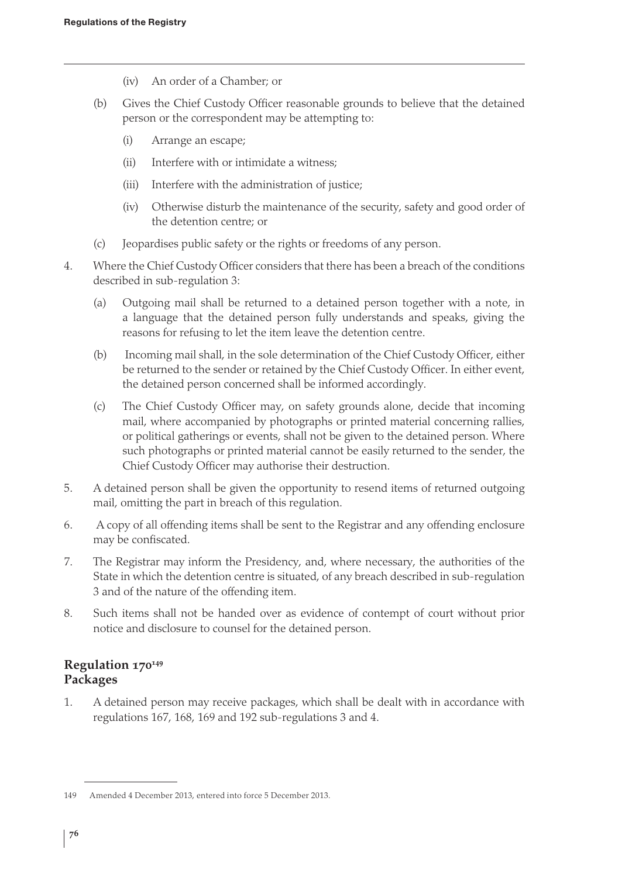- (iv) An order of a Chamber; or
- (b) Gives the Chief Custody Officer reasonable grounds to believe that the detained person or the correspondent may be attempting to:
	- (i) Arrange an escape;
	- (ii) Interfere with or intimidate a witness;
	- (iii) Interfere with the administration of justice;
	- (iv) Otherwise disturb the maintenance of the security, safety and good order of the detention centre; or
- (c) Jeopardises public safety or the rights or freedoms of any person.
- 4. Where the Chief Custody Officer considers that there has been a breach of the conditions described in sub-regulation 3:
	- (a) Outgoing mail shall be returned to a detained person together with a note, in a language that the detained person fully understands and speaks, giving the reasons for refusing to let the item leave the detention centre.
	- (b) Incoming mail shall, in the sole determination of the Chief Custody Officer, either be returned to the sender or retained by the Chief Custody Officer. In either event, the detained person concerned shall be informed accordingly.
	- (c) The Chief Custody Officer may, on safety grounds alone, decide that incoming mail, where accompanied by photographs or printed material concerning rallies, or political gatherings or events, shall not be given to the detained person. Where such photographs or printed material cannot be easily returned to the sender, the Chief Custody Officer may authorise their destruction.
- 5. A detained person shall be given the opportunity to resend items of returned outgoing mail, omitting the part in breach of this regulation.
- 6. A copy of all offending items shall be sent to the Registrar and any offending enclosure may be confiscated.
- 7. The Registrar may inform the Presidency, and, where necessary, the authorities of the State in which the detention centre is situated, of any breach described in sub-regulation 3 and of the nature of the offending item.
- 8. Such items shall not be handed over as evidence of contempt of court without prior notice and disclosure to counsel for the detained person.

#### **Regulation 170149 Packages**

1. A detained person may receive packages, which shall be dealt with in accordance with regulations 167, 168, 169 and 192 sub-regulations 3 and 4.

<sup>149</sup> Amended 4 December 2013, entered into force 5 December 2013.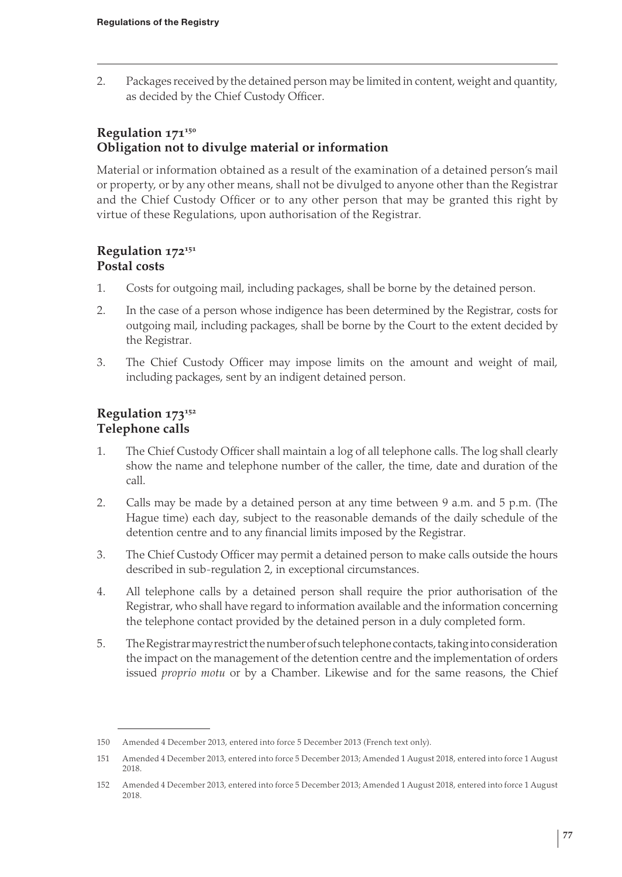2. Packages received by the detained person may be limited in content, weight and quantity, as decided by the Chief Custody Officer.

### **Regulation 171150 Obligation not to divulge material or information**

Material or information obtained as a result of the examination of a detained person's mail or property, or by any other means, shall not be divulged to anyone other than the Registrar and the Chief Custody Officer or to any other person that may be granted this right by virtue of these Regulations, upon authorisation of the Registrar.

### **Regulation 172151 Postal costs**

- 1. Costs for outgoing mail, including packages, shall be borne by the detained person.
- 2. In the case of a person whose indigence has been determined by the Registrar, costs for outgoing mail, including packages, shall be borne by the Court to the extent decided by the Registrar.
- 3. The Chief Custody Officer may impose limits on the amount and weight of mail, including packages, sent by an indigent detained person.

### **Regulation 173152 Telephone calls**

- 1. The Chief Custody Officer shall maintain a log of all telephone calls. The log shall clearly show the name and telephone number of the caller, the time, date and duration of the call.
- 2. Calls may be made by a detained person at any time between 9 a.m. and 5 p.m. (The Hague time) each day, subject to the reasonable demands of the daily schedule of the detention centre and to any financial limits imposed by the Registrar.
- 3. The Chief Custody Officer may permit a detained person to make calls outside the hours described in sub-regulation 2, in exceptional circumstances.
- 4. All telephone calls by a detained person shall require the prior authorisation of the Registrar, who shall have regard to information available and the information concerning the telephone contact provided by the detained person in a duly completed form.
- 5. The Registrar may restrict the number of such telephone contacts, taking into consideration the impact on the management of the detention centre and the implementation of orders issued *proprio motu* or by a Chamber. Likewise and for the same reasons, the Chief

<sup>150</sup> Amended 4 December 2013, entered into force 5 December 2013 (French text only).

<sup>151</sup> Amended 4 December 2013, entered into force 5 December 2013; Amended 1 August 2018, entered into force 1 August 2018.

<sup>152</sup> Amended 4 December 2013, entered into force 5 December 2013; Amended 1 August 2018, entered into force 1 August 2018.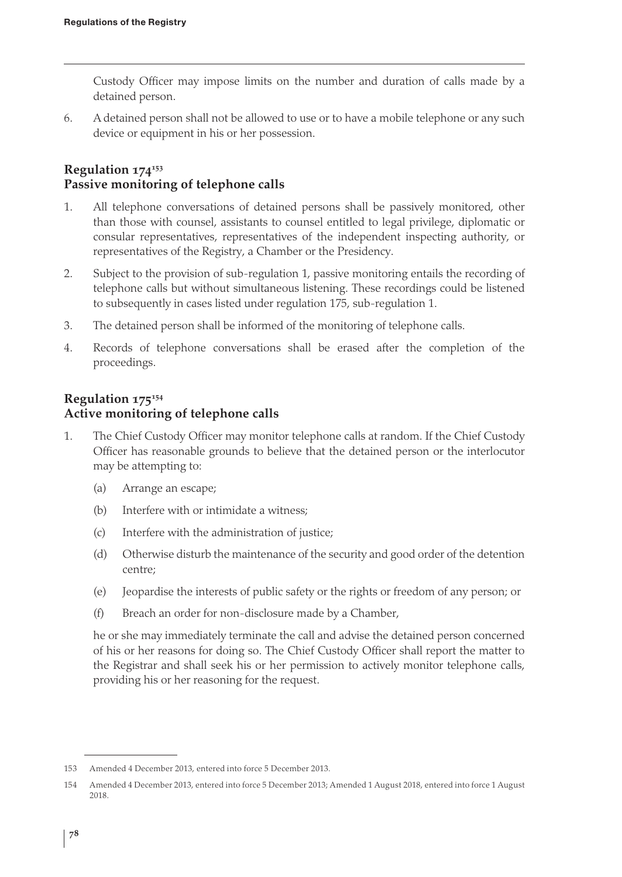Custody Officer may impose limits on the number and duration of calls made by a detained person.

6. A detained person shall not be allowed to use or to have a mobile telephone or any such device or equipment in his or her possession.

#### **Regulation 174153 Passive monitoring of telephone calls**

- 1. All telephone conversations of detained persons shall be passively monitored, other than those with counsel, assistants to counsel entitled to legal privilege, diplomatic or consular representatives, representatives of the independent inspecting authority, or representatives of the Registry, a Chamber or the Presidency.
- 2. Subject to the provision of sub-regulation 1, passive monitoring entails the recording of telephone calls but without simultaneous listening. These recordings could be listened to subsequently in cases listed under regulation 175, sub-regulation 1.
- 3. The detained person shall be informed of the monitoring of telephone calls.
- 4. Records of telephone conversations shall be erased after the completion of the proceedings.

#### **Regulation 175154 Active monitoring of telephone calls**

- 1. The Chief Custody Officer may monitor telephone calls at random. If the Chief Custody Officer has reasonable grounds to believe that the detained person or the interlocutor may be attempting to:
	- (a) Arrange an escape;
	- (b) Interfere with or intimidate a witness;
	- (c) Interfere with the administration of justice;
	- (d) Otherwise disturb the maintenance of the security and good order of the detention centre;
	- (e) Jeopardise the interests of public safety or the rights or freedom of any person; or
	- (f) Breach an order for non-disclosure made by a Chamber,

he or she may immediately terminate the call and advise the detained person concerned of his or her reasons for doing so. The Chief Custody Officer shall report the matter to the Registrar and shall seek his or her permission to actively monitor telephone calls, providing his or her reasoning for the request.

<sup>153</sup> Amended 4 December 2013, entered into force 5 December 2013.

<sup>154</sup> Amended 4 December 2013, entered into force 5 December 2013; Amended 1 August 2018, entered into force 1 August 2018.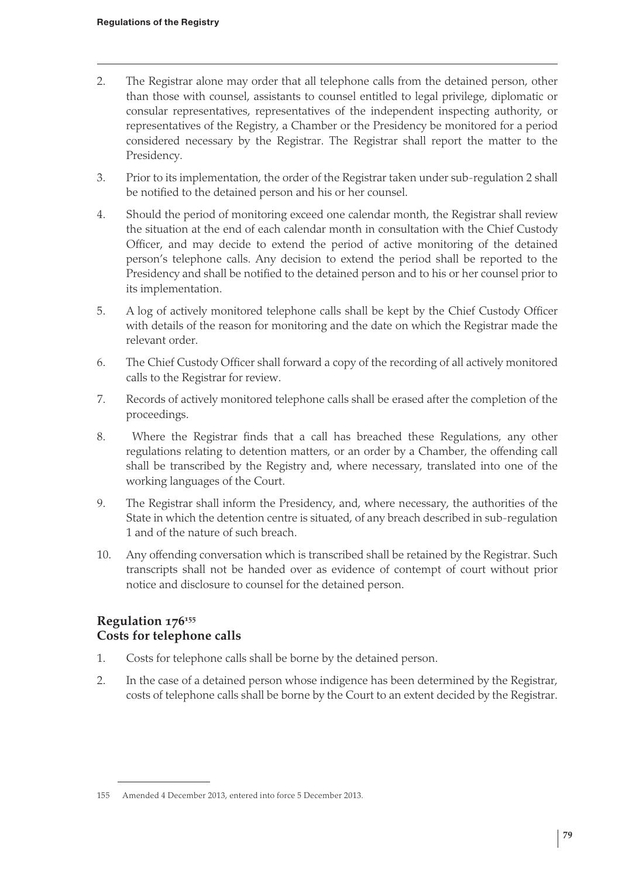- 2. The Registrar alone may order that all telephone calls from the detained person, other than those with counsel, assistants to counsel entitled to legal privilege, diplomatic or consular representatives, representatives of the independent inspecting authority, or representatives of the Registry, a Chamber or the Presidency be monitored for a period considered necessary by the Registrar. The Registrar shall report the matter to the Presidency.
- 3. Prior to its implementation, the order of the Registrar taken under sub-regulation 2 shall be notified to the detained person and his or her counsel.
- 4. Should the period of monitoring exceed one calendar month, the Registrar shall review the situation at the end of each calendar month in consultation with the Chief Custody Officer, and may decide to extend the period of active monitoring of the detained person's telephone calls. Any decision to extend the period shall be reported to the Presidency and shall be notified to the detained person and to his or her counsel prior to its implementation.
- 5. A log of actively monitored telephone calls shall be kept by the Chief Custody Officer with details of the reason for monitoring and the date on which the Registrar made the relevant order.
- 6. The Chief Custody Officer shall forward a copy of the recording of all actively monitored calls to the Registrar for review.
- 7. Records of actively monitored telephone calls shall be erased after the completion of the proceedings.
- 8. Where the Registrar finds that a call has breached these Regulations, any other regulations relating to detention matters, or an order by a Chamber, the offending call shall be transcribed by the Registry and, where necessary, translated into one of the working languages of the Court.
- 9. The Registrar shall inform the Presidency, and, where necessary, the authorities of the State in which the detention centre is situated, of any breach described in sub-regulation 1 and of the nature of such breach.
- 10. Any offending conversation which is transcribed shall be retained by the Registrar. Such transcripts shall not be handed over as evidence of contempt of court without prior notice and disclosure to counsel for the detained person.

## **Regulation 176155 Costs for telephone calls**

- 1. Costs for telephone calls shall be borne by the detained person.
- 2. In the case of a detained person whose indigence has been determined by the Registrar, costs of telephone calls shall be borne by the Court to an extent decided by the Registrar.

<sup>155</sup> Amended 4 December 2013, entered into force 5 December 2013.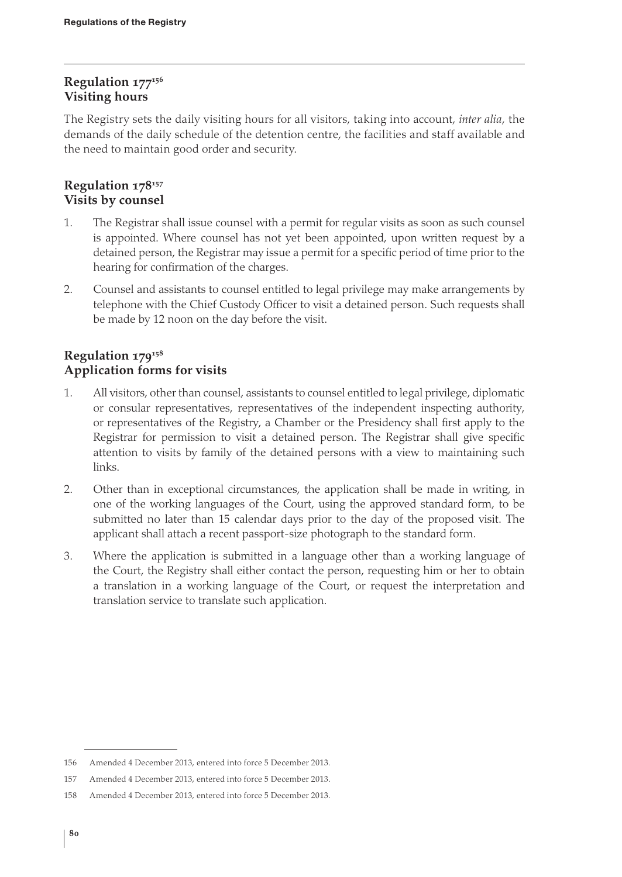### **Regulation 177156 Visiting hours**

The Registry sets the daily visiting hours for all visitors, taking into account, *inter alia*, the demands of the daily schedule of the detention centre, the facilities and staff available and the need to maintain good order and security.

### **Regulation 178157 Visits by counsel**

- 1. The Registrar shall issue counsel with a permit for regular visits as soon as such counsel is appointed. Where counsel has not yet been appointed, upon written request by a detained person, the Registrar may issue a permit for a specific period of time prior to the hearing for confirmation of the charges.
- 2. Counsel and assistants to counsel entitled to legal privilege may make arrangements by telephone with the Chief Custody Officer to visit a detained person. Such requests shall be made by 12 noon on the day before the visit.

## **Regulation 179158 Application forms for visits**

- 1. All visitors, other than counsel, assistants to counsel entitled to legal privilege, diplomatic or consular representatives, representatives of the independent inspecting authority, or representatives of the Registry, a Chamber or the Presidency shall first apply to the Registrar for permission to visit a detained person. The Registrar shall give specific attention to visits by family of the detained persons with a view to maintaining such links.
- 2. Other than in exceptional circumstances, the application shall be made in writing, in one of the working languages of the Court, using the approved standard form, to be submitted no later than 15 calendar days prior to the day of the proposed visit. The applicant shall attach a recent passport-size photograph to the standard form.
- 3. Where the application is submitted in a language other than a working language of the Court, the Registry shall either contact the person, requesting him or her to obtain a translation in a working language of the Court, or request the interpretation and translation service to translate such application.

<sup>156</sup> Amended 4 December 2013, entered into force 5 December 2013.

<sup>157</sup> Amended 4 December 2013, entered into force 5 December 2013.

<sup>158</sup> Amended 4 December 2013, entered into force 5 December 2013.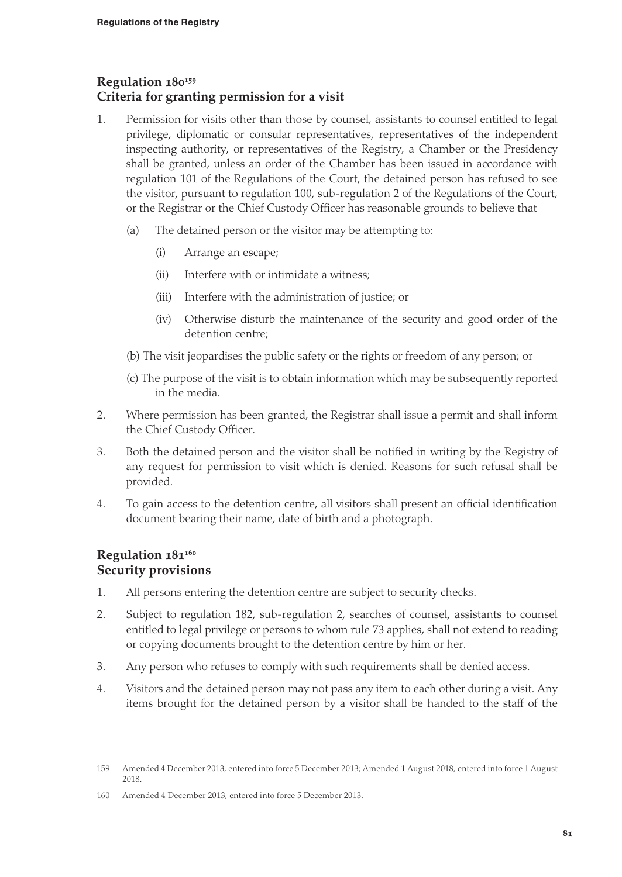### **Regulation 180159 Criteria for granting permission for a visit**

- 1. Permission for visits other than those by counsel, assistants to counsel entitled to legal privilege, diplomatic or consular representatives, representatives of the independent inspecting authority, or representatives of the Registry, a Chamber or the Presidency shall be granted, unless an order of the Chamber has been issued in accordance with regulation 101 of the Regulations of the Court, the detained person has refused to see the visitor, pursuant to regulation 100, sub-regulation 2 of the Regulations of the Court, or the Registrar or the Chief Custody Officer has reasonable grounds to believe that
	- (a) The detained person or the visitor may be attempting to:
		- (i) Arrange an escape;
		- (ii) Interfere with or intimidate a witness;
		- (iii) Interfere with the administration of justice; or
		- (iv) Otherwise disturb the maintenance of the security and good order of the detention centre;
	- (b) The visit jeopardises the public safety or the rights or freedom of any person; or
	- (c) The purpose of the visit is to obtain information which may be subsequently reported in the media.
- 2. Where permission has been granted, the Registrar shall issue a permit and shall inform the Chief Custody Officer.
- 3. Both the detained person and the visitor shall be notified in writing by the Registry of any request for permission to visit which is denied. Reasons for such refusal shall be provided.
- 4. To gain access to the detention centre, all visitors shall present an official identification document bearing their name, date of birth and a photograph.

#### **Regulation 181160 Security provisions**

- 1. All persons entering the detention centre are subject to security checks.
- 2. Subject to regulation 182, sub-regulation 2, searches of counsel, assistants to counsel entitled to legal privilege or persons to whom rule 73 applies, shall not extend to reading or copying documents brought to the detention centre by him or her.
- 3. Any person who refuses to comply with such requirements shall be denied access.
- 4. Visitors and the detained person may not pass any item to each other during a visit. Any items brought for the detained person by a visitor shall be handed to the staff of the

<sup>159</sup> Amended 4 December 2013, entered into force 5 December 2013; Amended 1 August 2018, entered into force 1 August 2018.

<sup>160</sup> Amended 4 December 2013, entered into force 5 December 2013.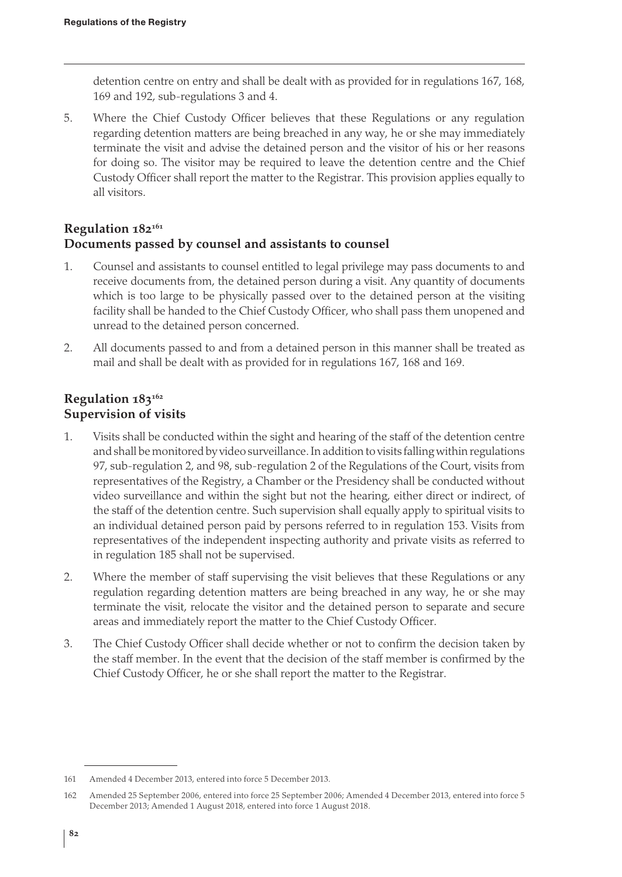detention centre on entry and shall be dealt with as provided for in regulations 167, 168, 169 and 192, sub-regulations 3 and 4.

5. Where the Chief Custody Officer believes that these Regulations or any regulation regarding detention matters are being breached in any way, he or she may immediately terminate the visit and advise the detained person and the visitor of his or her reasons for doing so. The visitor may be required to leave the detention centre and the Chief Custody Officer shall report the matter to the Registrar. This provision applies equally to all visitors.

### **Regulation 182161 Documents passed by counsel and assistants to counsel**

- 1. Counsel and assistants to counsel entitled to legal privilege may pass documents to and receive documents from, the detained person during a visit. Any quantity of documents which is too large to be physically passed over to the detained person at the visiting facility shall be handed to the Chief Custody Officer, who shall pass them unopened and unread to the detained person concerned.
- 2. All documents passed to and from a detained person in this manner shall be treated as mail and shall be dealt with as provided for in regulations 167, 168 and 169.

#### **Regulation 183162 Supervision of visits**

- 1. Visits shall be conducted within the sight and hearing of the staff of the detention centre and shall be monitored by video surveillance. In addition to visits falling within regulations 97, sub-regulation 2, and 98, sub-regulation 2 of the Regulations of the Court, visits from representatives of the Registry, a Chamber or the Presidency shall be conducted without video surveillance and within the sight but not the hearing, either direct or indirect, of the staff of the detention centre. Such supervision shall equally apply to spiritual visits to an individual detained person paid by persons referred to in regulation 153. Visits from representatives of the independent inspecting authority and private visits as referred to in regulation 185 shall not be supervised.
- 2. Where the member of staff supervising the visit believes that these Regulations or any regulation regarding detention matters are being breached in any way, he or she may terminate the visit, relocate the visitor and the detained person to separate and secure areas and immediately report the matter to the Chief Custody Officer.
- 3. The Chief Custody Officer shall decide whether or not to confirm the decision taken by the staff member. In the event that the decision of the staff member is confirmed by the Chief Custody Officer, he or she shall report the matter to the Registrar.

<sup>161</sup> Amended 4 December 2013, entered into force 5 December 2013.

<sup>162</sup> Amended 25 September 2006, entered into force 25 September 2006; Amended 4 December 2013, entered into force 5 December 2013; Amended 1 August 2018, entered into force 1 August 2018.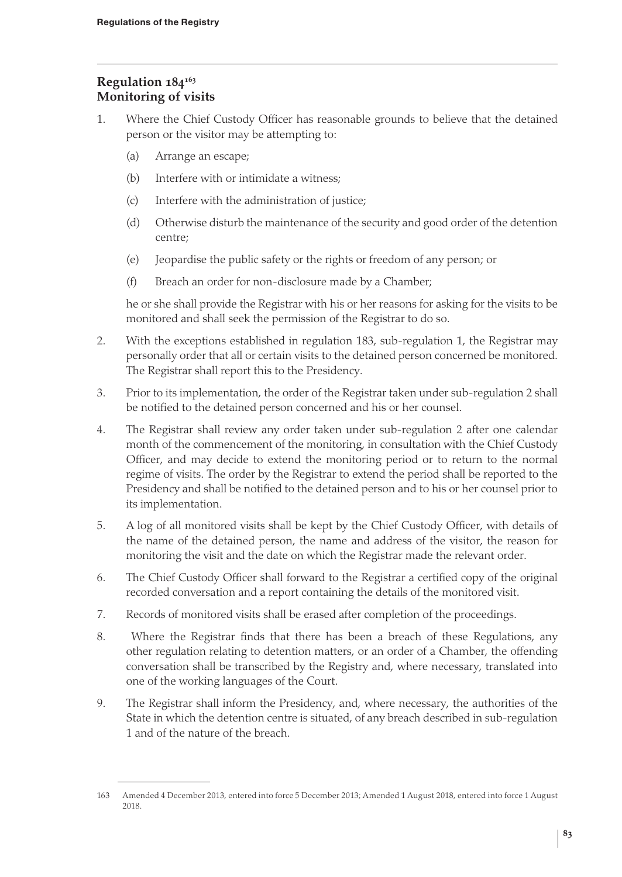# **Regulation 184163 Monitoring of visits**

- 1. Where the Chief Custody Officer has reasonable grounds to believe that the detained person or the visitor may be attempting to:
	- (a) Arrange an escape;
	- (b) Interfere with or intimidate a witness;
	- (c) Interfere with the administration of justice;
	- (d) Otherwise disturb the maintenance of the security and good order of the detention centre;
	- (e) Jeopardise the public safety or the rights or freedom of any person; or
	- (f) Breach an order for non-disclosure made by a Chamber;

he or she shall provide the Registrar with his or her reasons for asking for the visits to be monitored and shall seek the permission of the Registrar to do so.

- 2. With the exceptions established in regulation 183, sub-regulation 1, the Registrar may personally order that all or certain visits to the detained person concerned be monitored. The Registrar shall report this to the Presidency.
- 3. Prior to its implementation, the order of the Registrar taken under sub-regulation 2 shall be notified to the detained person concerned and his or her counsel.
- 4. The Registrar shall review any order taken under sub-regulation 2 after one calendar month of the commencement of the monitoring, in consultation with the Chief Custody Officer, and may decide to extend the monitoring period or to return to the normal regime of visits. The order by the Registrar to extend the period shall be reported to the Presidency and shall be notified to the detained person and to his or her counsel prior to its implementation.
- 5. A log of all monitored visits shall be kept by the Chief Custody Officer, with details of the name of the detained person, the name and address of the visitor, the reason for monitoring the visit and the date on which the Registrar made the relevant order.
- 6. The Chief Custody Officer shall forward to the Registrar a certified copy of the original recorded conversation and a report containing the details of the monitored visit.
- 7. Records of monitored visits shall be erased after completion of the proceedings.
- 8. Where the Registrar finds that there has been a breach of these Regulations, any other regulation relating to detention matters, or an order of a Chamber, the offending conversation shall be transcribed by the Registry and, where necessary, translated into one of the working languages of the Court.
- 9. The Registrar shall inform the Presidency, and, where necessary, the authorities of the State in which the detention centre is situated, of any breach described in sub-regulation 1 and of the nature of the breach.

<sup>163</sup> Amended 4 December 2013, entered into force 5 December 2013; Amended 1 August 2018, entered into force 1 August 2018.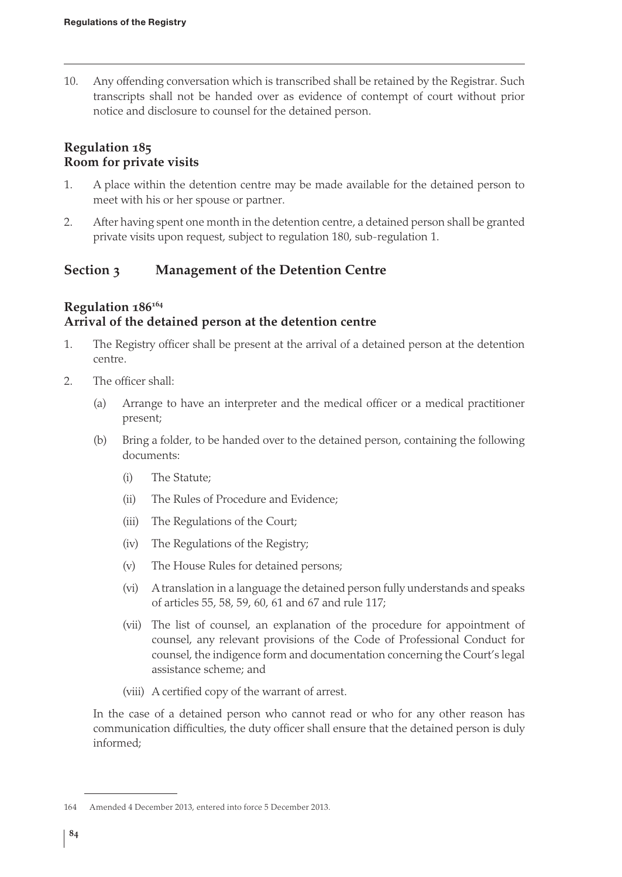10. Any offending conversation which is transcribed shall be retained by the Registrar. Such transcripts shall not be handed over as evidence of contempt of court without prior notice and disclosure to counsel for the detained person.

#### **Regulation 185 Room for private visits**

- 1. A place within the detention centre may be made available for the detained person to meet with his or her spouse or partner.
- 2. After having spent one month in the detention centre, a detained person shall be granted private visits upon request, subject to regulation 180, sub-regulation 1.

### **Section 3 Management of the Detention Centre**

### **Regulation 186164 Arrival of the detained person at the detention centre**

- 1. The Registry officer shall be present at the arrival of a detained person at the detention centre.
- 2. The officer shall:
	- (a) Arrange to have an interpreter and the medical officer or a medical practitioner present;
	- (b) Bring a folder, to be handed over to the detained person, containing the following documents:
		- (i) The Statute;
		- (ii) The Rules of Procedure and Evidence;
		- (iii) The Regulations of the Court;
		- (iv) The Regulations of the Registry;
		- (v) The House Rules for detained persons;
		- (vi) A translation in a language the detained person fully understands and speaks of articles 55, 58, 59, 60, 61 and 67 and rule 117;
		- (vii) The list of counsel, an explanation of the procedure for appointment of counsel, any relevant provisions of the Code of Professional Conduct for counsel, the indigence form and documentation concerning the Court's legal assistance scheme; and
		- (viii) A certified copy of the warrant of arrest.

In the case of a detained person who cannot read or who for any other reason has communication difficulties, the duty officer shall ensure that the detained person is duly informed;

<sup>164</sup> Amended 4 December 2013, entered into force 5 December 2013.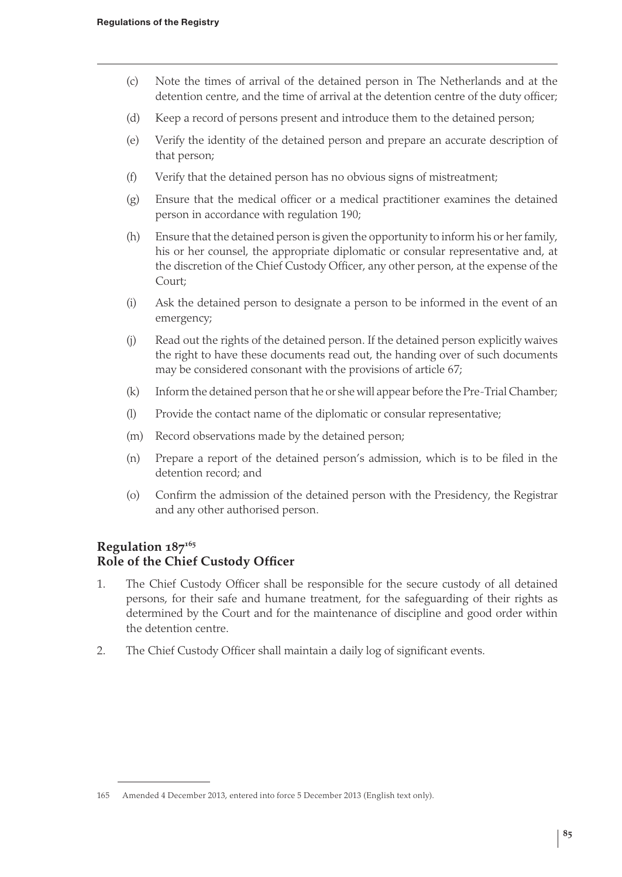- (c) Note the times of arrival of the detained person in The Netherlands and at the detention centre, and the time of arrival at the detention centre of the duty officer;
- (d) Keep a record of persons present and introduce them to the detained person;
- (e) Verify the identity of the detained person and prepare an accurate description of that person;
- (f) Verify that the detained person has no obvious signs of mistreatment;
- (g) Ensure that the medical officer or a medical practitioner examines the detained person in accordance with regulation 190;
- (h) Ensure that the detained person is given the opportunity to inform his or her family, his or her counsel, the appropriate diplomatic or consular representative and, at the discretion of the Chief Custody Officer, any other person, at the expense of the Court;
- (i) Ask the detained person to designate a person to be informed in the event of an emergency;
- (j) Read out the rights of the detained person. If the detained person explicitly waives the right to have these documents read out, the handing over of such documents may be considered consonant with the provisions of article 67;
- (k) Inform the detained person that he or she will appear before the Pre-Trial Chamber;
- (l) Provide the contact name of the diplomatic or consular representative;
- (m) Record observations made by the detained person;
- (n) Prepare a report of the detained person's admission, which is to be filed in the detention record; and
- (o) Confirm the admission of the detained person with the Presidency, the Registrar and any other authorised person.

### **Regulation 187165 Role of the Chief Custody Officer**

- 1. The Chief Custody Officer shall be responsible for the secure custody of all detained persons, for their safe and humane treatment, for the safeguarding of their rights as determined by the Court and for the maintenance of discipline and good order within the detention centre.
- 2. The Chief Custody Officer shall maintain a daily log of significant events.

<sup>165</sup> Amended 4 December 2013, entered into force 5 December 2013 (English text only).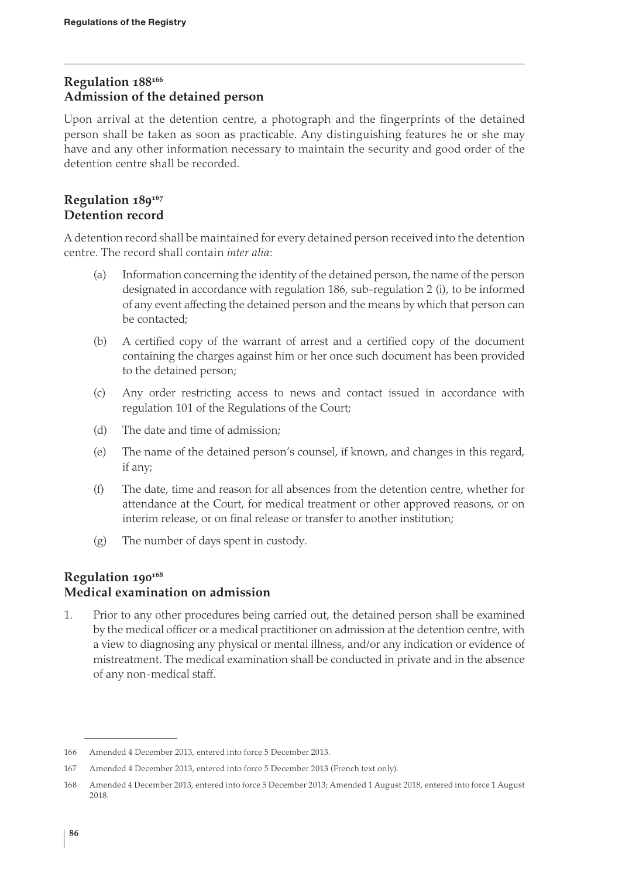# **Regulation 188166 Admission of the detained person**

Upon arrival at the detention centre, a photograph and the fingerprints of the detained person shall be taken as soon as practicable. Any distinguishing features he or she may have and any other information necessary to maintain the security and good order of the detention centre shall be recorded.

#### **Regulation 189167 Detention record**

A detention record shall be maintained for every detained person received into the detention centre. The record shall contain *inter alia*:

- (a) Information concerning the identity of the detained person, the name of the person designated in accordance with regulation 186, sub-regulation 2 (i), to be informed of any event affecting the detained person and the means by which that person can be contacted;
- (b) A certified copy of the warrant of arrest and a certified copy of the document containing the charges against him or her once such document has been provided to the detained person;
- (c) Any order restricting access to news and contact issued in accordance with regulation 101 of the Regulations of the Court;
- (d) The date and time of admission;
- (e) The name of the detained person's counsel, if known, and changes in this regard, if any;
- (f) The date, time and reason for all absences from the detention centre, whether for attendance at the Court, for medical treatment or other approved reasons, or on interim release, or on final release or transfer to another institution;
- (g) The number of days spent in custody.

### **Regulation 190168 Medical examination on admission**

1. Prior to any other procedures being carried out, the detained person shall be examined by the medical officer or a medical practitioner on admission at the detention centre, with a view to diagnosing any physical or mental illness, and/or any indication or evidence of mistreatment. The medical examination shall be conducted in private and in the absence of any non-medical staff.

<sup>166</sup> Amended 4 December 2013, entered into force 5 December 2013.

<sup>167</sup> Amended 4 December 2013, entered into force 5 December 2013 (French text only).

<sup>168</sup> Amended 4 December 2013, entered into force 5 December 2013; Amended 1 August 2018, entered into force 1 August 2018.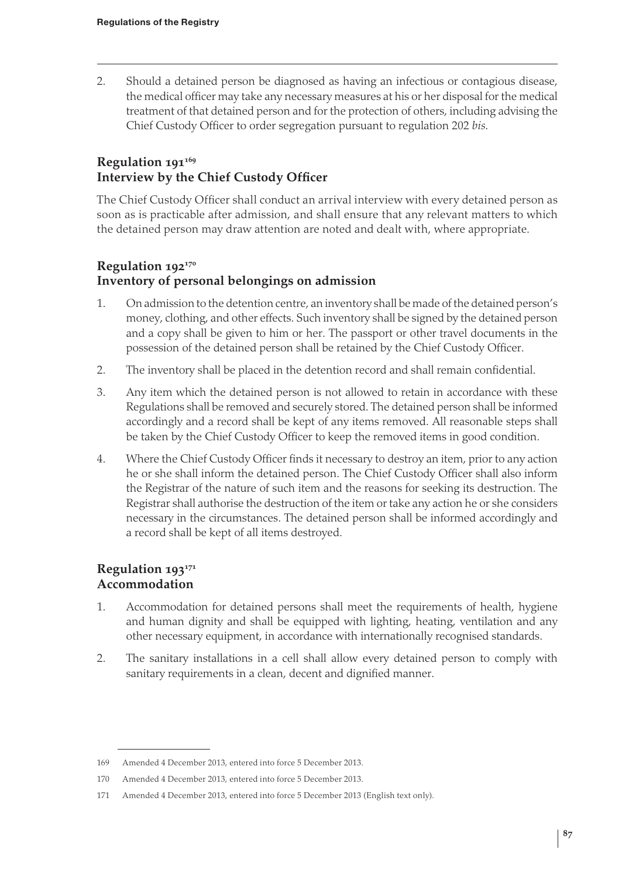2. Should a detained person be diagnosed as having an infectious or contagious disease, the medical officer may take any necessary measures at his or her disposal for the medical treatment of that detained person and for the protection of others, including advising the Chief Custody Officer to order segregation pursuant to regulation 202 *bis*.

### **Regulation 191169 Interview by the Chief Custody Officer**

The Chief Custody Officer shall conduct an arrival interview with every detained person as soon as is practicable after admission, and shall ensure that any relevant matters to which the detained person may draw attention are noted and dealt with, where appropriate.

### **Regulation 192170 Inventory of personal belongings on admission**

- 1. On admission to the detention centre, an inventory shall be made of the detained person's money, clothing, and other effects. Such inventory shall be signed by the detained person and a copy shall be given to him or her. The passport or other travel documents in the possession of the detained person shall be retained by the Chief Custody Officer.
- 2. The inventory shall be placed in the detention record and shall remain confidential.
- 3. Any item which the detained person is not allowed to retain in accordance with these Regulations shall be removed and securely stored. The detained person shall be informed accordingly and a record shall be kept of any items removed. All reasonable steps shall be taken by the Chief Custody Officer to keep the removed items in good condition.
- 4. Where the Chief Custody Officer finds it necessary to destroy an item, prior to any action he or she shall inform the detained person. The Chief Custody Officer shall also inform the Registrar of the nature of such item and the reasons for seeking its destruction. The Registrar shall authorise the destruction of the item or take any action he or she considers necessary in the circumstances. The detained person shall be informed accordingly and a record shall be kept of all items destroyed.

### **Regulation 193171 Accommodation**

- 1. Accommodation for detained persons shall meet the requirements of health, hygiene and human dignity and shall be equipped with lighting, heating, ventilation and any other necessary equipment, in accordance with internationally recognised standards.
- 2. The sanitary installations in a cell shall allow every detained person to comply with sanitary requirements in a clean, decent and dignified manner.

<sup>169</sup> Amended 4 December 2013, entered into force 5 December 2013.

<sup>170</sup> Amended 4 December 2013, entered into force 5 December 2013.

<sup>171</sup> Amended 4 December 2013, entered into force 5 December 2013 (English text only).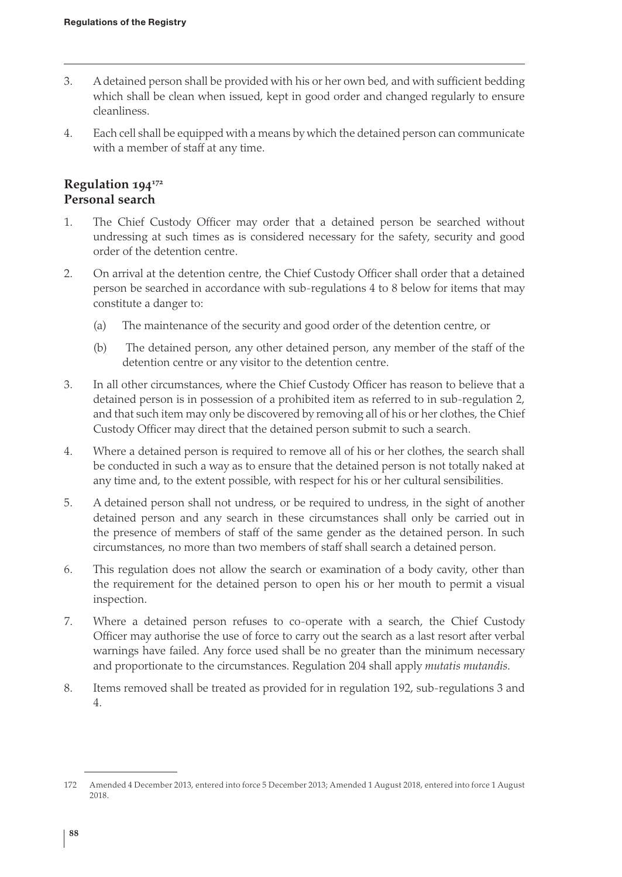- 3. A detained person shall be provided with his or her own bed, and with sufficient bedding which shall be clean when issued, kept in good order and changed regularly to ensure cleanliness.
- 4. Each cell shall be equipped with a means by which the detained person can communicate with a member of staff at any time.

### **Regulation 194172 Personal search**

- 1. The Chief Custody Officer may order that a detained person be searched without undressing at such times as is considered necessary for the safety, security and good order of the detention centre.
- 2. On arrival at the detention centre, the Chief Custody Officer shall order that a detained person be searched in accordance with sub-regulations 4 to 8 below for items that may constitute a danger to:
	- (a) The maintenance of the security and good order of the detention centre, or
	- (b) The detained person, any other detained person, any member of the staff of the detention centre or any visitor to the detention centre.
- 3. In all other circumstances, where the Chief Custody Officer has reason to believe that a detained person is in possession of a prohibited item as referred to in sub-regulation 2, and that such item may only be discovered by removing all of his or her clothes, the Chief Custody Officer may direct that the detained person submit to such a search.
- 4. Where a detained person is required to remove all of his or her clothes, the search shall be conducted in such a way as to ensure that the detained person is not totally naked at any time and, to the extent possible, with respect for his or her cultural sensibilities.
- 5. A detained person shall not undress, or be required to undress, in the sight of another detained person and any search in these circumstances shall only be carried out in the presence of members of staff of the same gender as the detained person. In such circumstances, no more than two members of staff shall search a detained person.
- 6. This regulation does not allow the search or examination of a body cavity, other than the requirement for the detained person to open his or her mouth to permit a visual inspection.
- 7. Where a detained person refuses to co-operate with a search, the Chief Custody Officer may authorise the use of force to carry out the search as a last resort after verbal warnings have failed. Any force used shall be no greater than the minimum necessary and proportionate to the circumstances. Regulation 204 shall apply *mutatis mutandis*.
- 8. Items removed shall be treated as provided for in regulation 192, sub-regulations 3 and 4.

<sup>172</sup> Amended 4 December 2013, entered into force 5 December 2013; Amended 1 August 2018, entered into force 1 August 2018.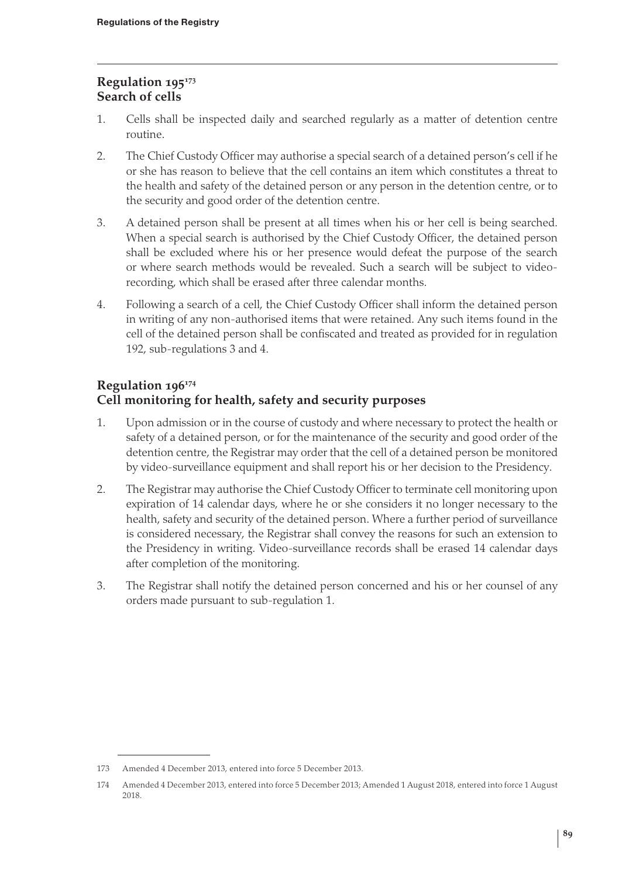## **Regulation 195173 Search of cells**

- 1. Cells shall be inspected daily and searched regularly as a matter of detention centre routine.
- 2. The Chief Custody Officer may authorise a special search of a detained person's cell if he or she has reason to believe that the cell contains an item which constitutes a threat to the health and safety of the detained person or any person in the detention centre, or to the security and good order of the detention centre.
- 3. A detained person shall be present at all times when his or her cell is being searched. When a special search is authorised by the Chief Custody Officer, the detained person shall be excluded where his or her presence would defeat the purpose of the search or where search methods would be revealed. Such a search will be subject to videorecording, which shall be erased after three calendar months.
- 4. Following a search of a cell, the Chief Custody Officer shall inform the detained person in writing of any non-authorised items that were retained. Any such items found in the cell of the detained person shall be confiscated and treated as provided for in regulation 192, sub-regulations 3 and 4.

# **Regulation 196174 Cell monitoring for health, safety and security purposes**

- 1. Upon admission or in the course of custody and where necessary to protect the health or safety of a detained person, or for the maintenance of the security and good order of the detention centre, the Registrar may order that the cell of a detained person be monitored by video-surveillance equipment and shall report his or her decision to the Presidency.
- 2. The Registrar may authorise the Chief Custody Officer to terminate cell monitoring upon expiration of 14 calendar days, where he or she considers it no longer necessary to the health, safety and security of the detained person. Where a further period of surveillance is considered necessary, the Registrar shall convey the reasons for such an extension to the Presidency in writing. Video-surveillance records shall be erased 14 calendar days after completion of the monitoring.
- 3. The Registrar shall notify the detained person concerned and his or her counsel of any orders made pursuant to sub-regulation 1.

<sup>173</sup> Amended 4 December 2013, entered into force 5 December 2013.

<sup>174</sup> Amended 4 December 2013, entered into force 5 December 2013; Amended 1 August 2018, entered into force 1 August 2018.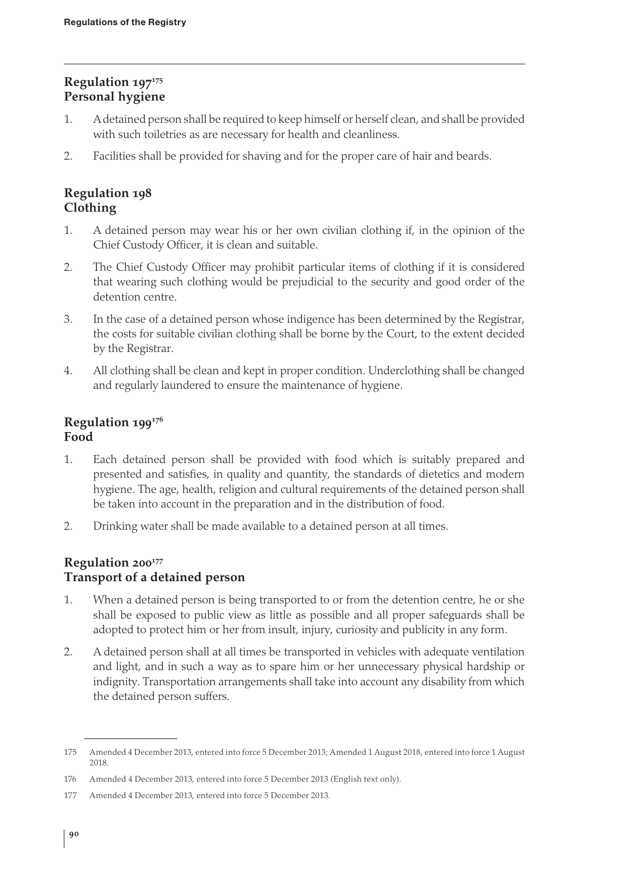## **Regulation 197175 Personal hygiene**

- 1. A detained person shall be required to keep himself or herself clean, and shall be provided with such toiletries as are necessary for health and cleanliness.
- 2. Facilities shall be provided for shaving and for the proper care of hair and beards.

#### **Regulation 198 Clothing**

- 1. A detained person may wear his or her own civilian clothing if, in the opinion of the Chief Custody Officer, it is clean and suitable.
- 2. The Chief Custody Officer may prohibit particular items of clothing if it is considered that wearing such clothing would be prejudicial to the security and good order of the detention centre.
- 3. In the case of a detained person whose indigence has been determined by the Registrar, the costs for suitable civilian clothing shall be borne by the Court, to the extent decided by the Registrar.
- 4. All clothing shall be clean and kept in proper condition. Underclothing shall be changed and regularly laundered to ensure the maintenance of hygiene.

### **Regulation 199176 Food**

- 1. Each detained person shall be provided with food which is suitably prepared and presented and satisfies, in quality and quantity, the standards of dietetics and modern hygiene. The age, health, religion and cultural requirements of the detained person shall be taken into account in the preparation and in the distribution of food.
- 2. Drinking water shall be made available to a detained person at all times.

### **Regulation 200177 Transport of a detained person**

- 1. When a detained person is being transported to or from the detention centre, he or she shall be exposed to public view as little as possible and all proper safeguards shall be adopted to protect him or her from insult, injury, curiosity and publicity in any form.
- 2. A detained person shall at all times be transported in vehicles with adequate ventilation and light, and in such a way as to spare him or her unnecessary physical hardship or indignity. Transportation arrangements shall take into account any disability from which the detained person suffers.

<sup>175</sup> Amended 4 December 2013, entered into force 5 December 2013; Amended 1 August 2018, entered into force 1 August 2018.

<sup>176</sup> Amended 4 December 2013, entered into force 5 December 2013 (English text only).

<sup>177</sup> Amended 4 December 2013, entered into force 5 December 2013.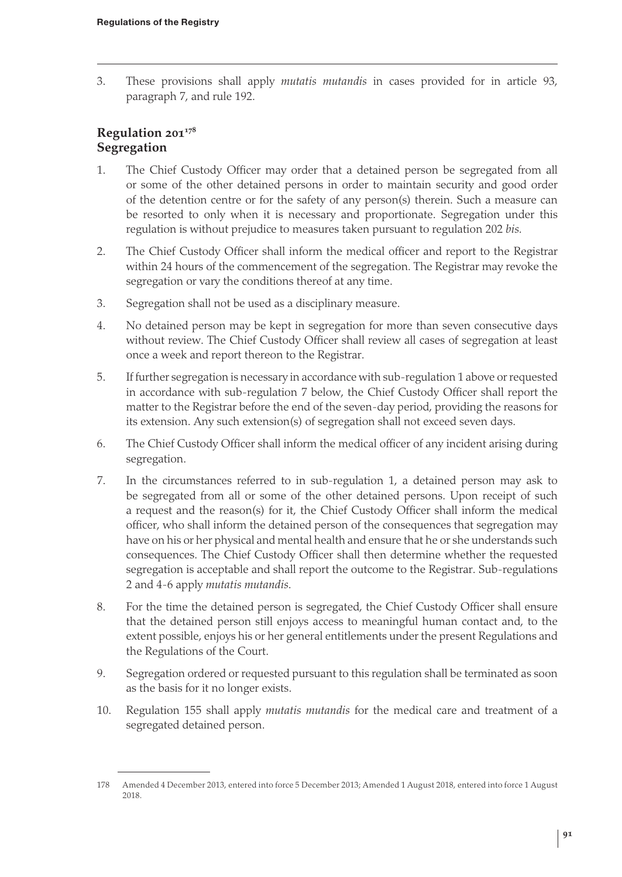3. These provisions shall apply *mutatis mutandis* in cases provided for in article 93, paragraph 7, and rule 192.

### **Regulation 201178 Segregation**

- 1. The Chief Custody Officer may order that a detained person be segregated from all or some of the other detained persons in order to maintain security and good order of the detention centre or for the safety of any person(s) therein. Such a measure can be resorted to only when it is necessary and proportionate. Segregation under this regulation is without prejudice to measures taken pursuant to regulation 202 *bis*.
- 2. The Chief Custody Officer shall inform the medical officer and report to the Registrar within 24 hours of the commencement of the segregation. The Registrar may revoke the segregation or vary the conditions thereof at any time.
- 3. Segregation shall not be used as a disciplinary measure.
- 4. No detained person may be kept in segregation for more than seven consecutive days without review. The Chief Custody Officer shall review all cases of segregation at least once a week and report thereon to the Registrar.
- 5. If further segregation is necessary in accordance with sub-regulation 1 above or requested in accordance with sub-regulation 7 below, the Chief Custody Officer shall report the matter to the Registrar before the end of the seven-day period, providing the reasons for its extension. Any such extension(s) of segregation shall not exceed seven days.
- 6. The Chief Custody Officer shall inform the medical officer of any incident arising during segregation.
- 7. In the circumstances referred to in sub-regulation 1, a detained person may ask to be segregated from all or some of the other detained persons. Upon receipt of such a request and the reason(s) for it, the Chief Custody Officer shall inform the medical officer, who shall inform the detained person of the consequences that segregation may have on his or her physical and mental health and ensure that he or she understands such consequences. The Chief Custody Officer shall then determine whether the requested segregation is acceptable and shall report the outcome to the Registrar. Sub-regulations 2 and 4-6 apply *mutatis mutandis*.
- 8. For the time the detained person is segregated, the Chief Custody Officer shall ensure that the detained person still enjoys access to meaningful human contact and, to the extent possible, enjoys his or her general entitlements under the present Regulations and the Regulations of the Court.
- 9. Segregation ordered or requested pursuant to this regulation shall be terminated as soon as the basis for it no longer exists.
- 10. Regulation 155 shall apply *mutatis mutandis* for the medical care and treatment of a segregated detained person.

<sup>178</sup> Amended 4 December 2013, entered into force 5 December 2013; Amended 1 August 2018, entered into force 1 August 2018.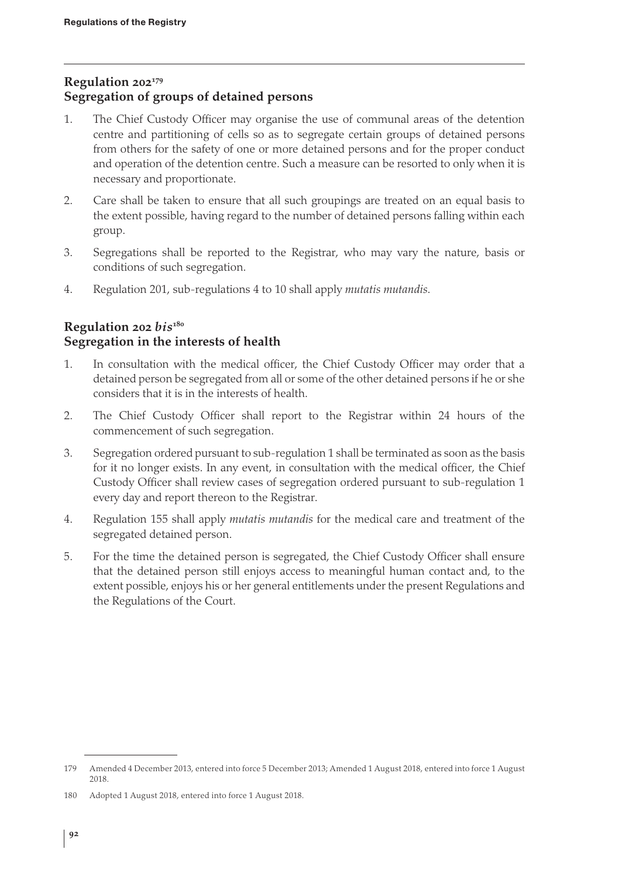# **Regulation 202179 Segregation of groups of detained persons**

- 1. The Chief Custody Officer may organise the use of communal areas of the detention centre and partitioning of cells so as to segregate certain groups of detained persons from others for the safety of one or more detained persons and for the proper conduct and operation of the detention centre. Such a measure can be resorted to only when it is necessary and proportionate.
- 2. Care shall be taken to ensure that all such groupings are treated on an equal basis to the extent possible, having regard to the number of detained persons falling within each group.
- 3. Segregations shall be reported to the Registrar, who may vary the nature, basis or conditions of such segregation.
- 4. Regulation 201, sub-regulations 4 to 10 shall apply *mutatis mutandis*.

### **Regulation 202** *bis***<sup>180</sup> Segregation in the interests of health**

- 1. In consultation with the medical officer, the Chief Custody Officer may order that a detained person be segregated from all or some of the other detained persons if he or she considers that it is in the interests of health.
- 2. The Chief Custody Officer shall report to the Registrar within 24 hours of the commencement of such segregation.
- 3. Segregation ordered pursuant to sub-regulation 1 shall be terminated as soon as the basis for it no longer exists. In any event, in consultation with the medical officer, the Chief Custody Officer shall review cases of segregation ordered pursuant to sub-regulation 1 every day and report thereon to the Registrar.
- 4. Regulation 155 shall apply *mutatis mutandis* for the medical care and treatment of the segregated detained person.
- 5. For the time the detained person is segregated, the Chief Custody Officer shall ensure that the detained person still enjoys access to meaningful human contact and, to the extent possible, enjoys his or her general entitlements under the present Regulations and the Regulations of the Court.

<sup>179</sup> Amended 4 December 2013, entered into force 5 December 2013; Amended 1 August 2018, entered into force 1 August 2018.

<sup>180</sup> Adopted 1 August 2018, entered into force 1 August 2018.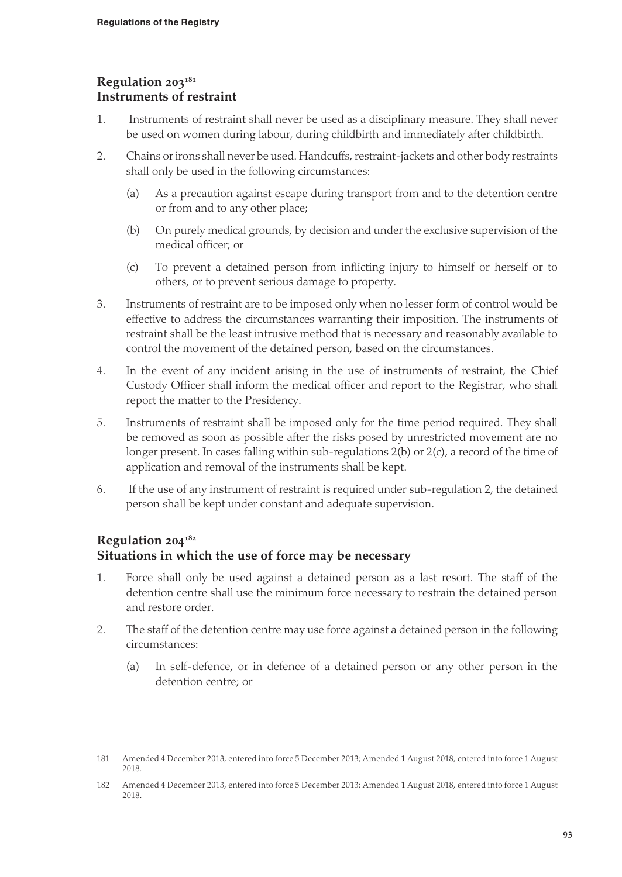## **Regulation 203181 Instruments of restraint**

- 1. Instruments of restraint shall never be used as a disciplinary measure. They shall never be used on women during labour, during childbirth and immediately after childbirth.
- 2. Chains or irons shall never be used. Handcuffs, restraint-jackets and other body restraints shall only be used in the following circumstances:
	- (a) As a precaution against escape during transport from and to the detention centre or from and to any other place;
	- (b) On purely medical grounds, by decision and under the exclusive supervision of the medical officer; or
	- (c) To prevent a detained person from inflicting injury to himself or herself or to others, or to prevent serious damage to property.
- 3. Instruments of restraint are to be imposed only when no lesser form of control would be effective to address the circumstances warranting their imposition. The instruments of restraint shall be the least intrusive method that is necessary and reasonably available to control the movement of the detained person, based on the circumstances.
- 4. In the event of any incident arising in the use of instruments of restraint, the Chief Custody Officer shall inform the medical officer and report to the Registrar, who shall report the matter to the Presidency.
- 5. Instruments of restraint shall be imposed only for the time period required. They shall be removed as soon as possible after the risks posed by unrestricted movement are no longer present. In cases falling within sub-regulations 2(b) or 2(c), a record of the time of application and removal of the instruments shall be kept.
- 6. If the use of any instrument of restraint is required under sub-regulation 2, the detained person shall be kept under constant and adequate supervision.

### **Regulation 204182 Situations in which the use of force may be necessary**

- 1. Force shall only be used against a detained person as a last resort. The staff of the detention centre shall use the minimum force necessary to restrain the detained person and restore order.
- 2. The staff of the detention centre may use force against a detained person in the following circumstances:
	- (a) In self-defence, or in defence of a detained person or any other person in the detention centre; or

<sup>181</sup> Amended 4 December 2013, entered into force 5 December 2013; Amended 1 August 2018, entered into force 1 August 2018.

<sup>182</sup> Amended 4 December 2013, entered into force 5 December 2013; Amended 1 August 2018, entered into force 1 August 2018.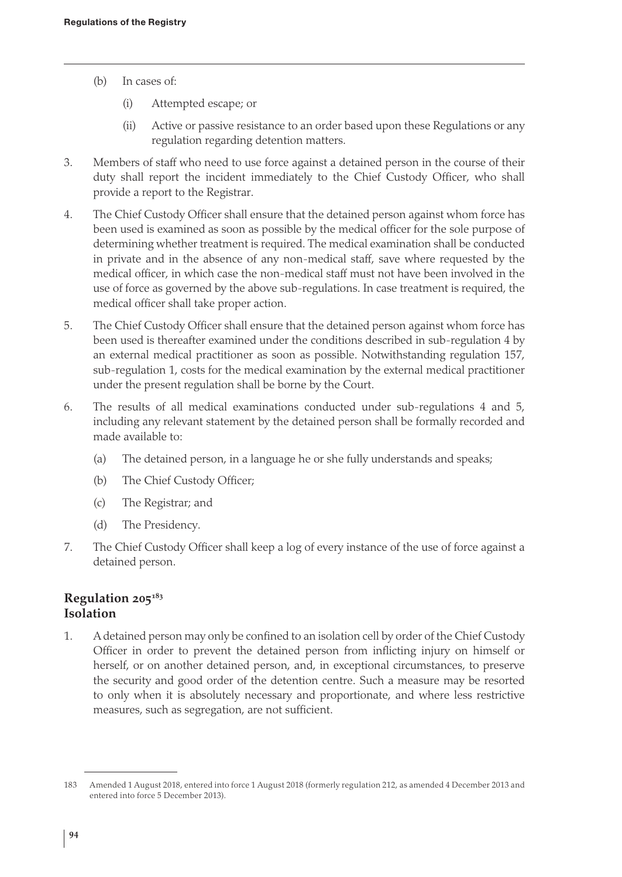- (b) In cases of:
	- (i) Attempted escape; or
	- (ii) Active or passive resistance to an order based upon these Regulations or any regulation regarding detention matters.
- 3. Members of staff who need to use force against a detained person in the course of their duty shall report the incident immediately to the Chief Custody Officer, who shall provide a report to the Registrar.
- 4. The Chief Custody Officer shall ensure that the detained person against whom force has been used is examined as soon as possible by the medical officer for the sole purpose of determining whether treatment is required. The medical examination shall be conducted in private and in the absence of any non-medical staff, save where requested by the medical officer, in which case the non-medical staff must not have been involved in the use of force as governed by the above sub-regulations. In case treatment is required, the medical officer shall take proper action.
- 5. The Chief Custody Officer shall ensure that the detained person against whom force has been used is thereafter examined under the conditions described in sub-regulation 4 by an external medical practitioner as soon as possible. Notwithstanding regulation 157, sub-regulation 1, costs for the medical examination by the external medical practitioner under the present regulation shall be borne by the Court.
- 6. The results of all medical examinations conducted under sub-regulations 4 and 5, including any relevant statement by the detained person shall be formally recorded and made available to:
	- (a) The detained person, in a language he or she fully understands and speaks;
	- (b) The Chief Custody Officer;
	- (c) The Registrar; and
	- (d) The Presidency.
- 7. The Chief Custody Officer shall keep a log of every instance of the use of force against a detained person.

#### **Regulation 205183 Isolation**

1. A detained person may only be confined to an isolation cell by order of the Chief Custody Officer in order to prevent the detained person from inflicting injury on himself or herself, or on another detained person, and, in exceptional circumstances, to preserve the security and good order of the detention centre. Such a measure may be resorted to only when it is absolutely necessary and proportionate, and where less restrictive measures, such as segregation, are not sufficient.

<sup>183</sup> Amended 1 August 2018, entered into force 1 August 2018 (formerly regulation 212, as amended 4 December 2013 and entered into force 5 December 2013).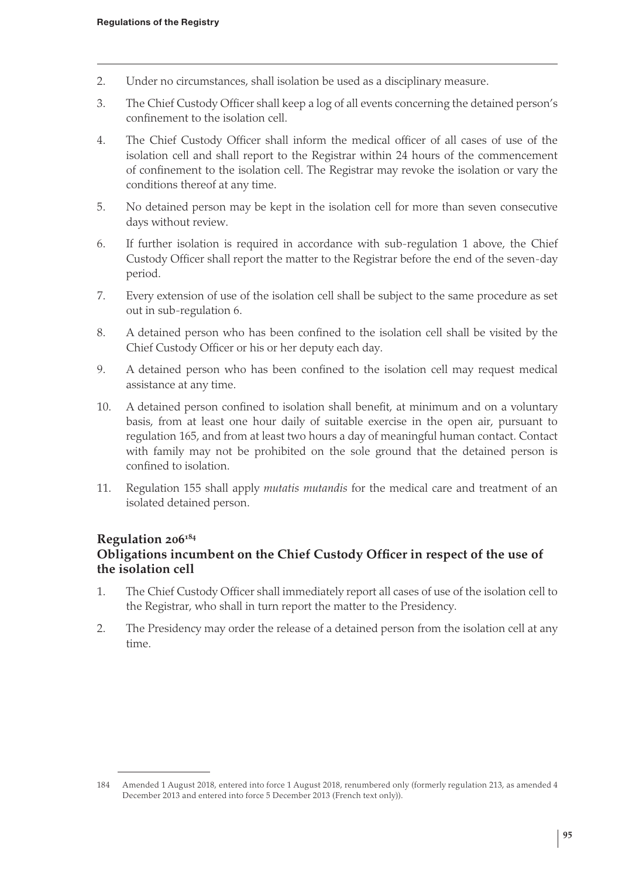- 2. Under no circumstances, shall isolation be used as a disciplinary measure.
- 3. The Chief Custody Officer shall keep a log of all events concerning the detained person's confinement to the isolation cell.
- 4. The Chief Custody Officer shall inform the medical officer of all cases of use of the isolation cell and shall report to the Registrar within 24 hours of the commencement of confinement to the isolation cell. The Registrar may revoke the isolation or vary the conditions thereof at any time.
- 5. No detained person may be kept in the isolation cell for more than seven consecutive days without review.
- 6. If further isolation is required in accordance with sub-regulation 1 above, the Chief Custody Officer shall report the matter to the Registrar before the end of the seven-day period.
- 7. Every extension of use of the isolation cell shall be subject to the same procedure as set out in sub-regulation 6.
- 8. A detained person who has been confined to the isolation cell shall be visited by the Chief Custody Officer or his or her deputy each day.
- 9. A detained person who has been confined to the isolation cell may request medical assistance at any time.
- 10. A detained person confined to isolation shall benefit, at minimum and on a voluntary basis, from at least one hour daily of suitable exercise in the open air, pursuant to regulation 165, and from at least two hours a day of meaningful human contact. Contact with family may not be prohibited on the sole ground that the detained person is confined to isolation.
- 11. Regulation 155 shall apply *mutatis mutandis* for the medical care and treatment of an isolated detained person.

### **Regulation 206184 Obligations incumbent on the Chief Custody Officer in respect of the use of the isolation cell**

- 1. The Chief Custody Officer shall immediately report all cases of use of the isolation cell to the Registrar, who shall in turn report the matter to the Presidency.
- 2. The Presidency may order the release of a detained person from the isolation cell at any time.

<sup>184</sup> Amended 1 August 2018, entered into force 1 August 2018, renumbered only (formerly regulation 213, as amended 4 December 2013 and entered into force 5 December 2013 (French text only)).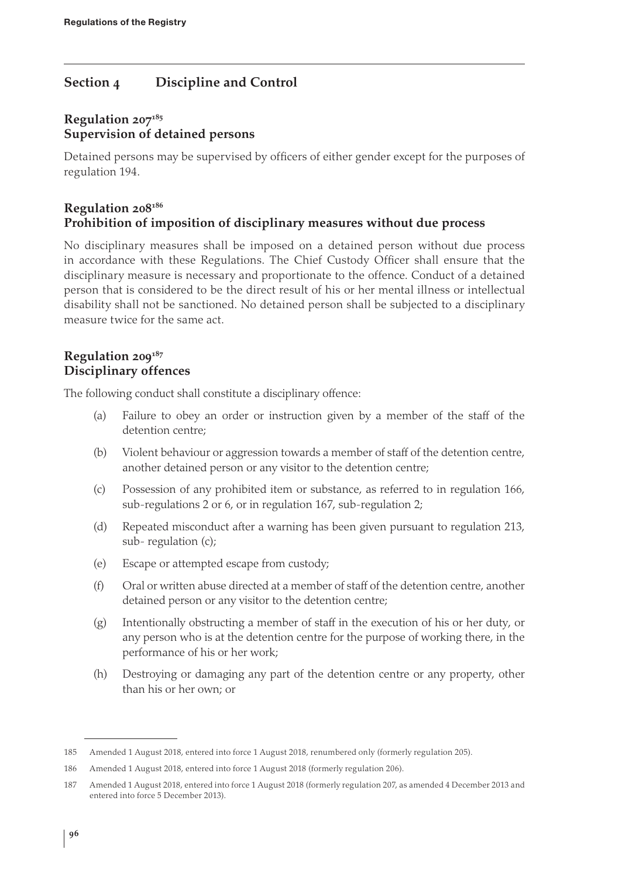### **Section 4 Discipline and Control**

#### **Regulation 207185 Supervision of detained persons**

Detained persons may be supervised by officers of either gender except for the purposes of regulation 194.

### **Regulation 208186 Prohibition of imposition of disciplinary measures without due process**

No disciplinary measures shall be imposed on a detained person without due process in accordance with these Regulations. The Chief Custody Officer shall ensure that the disciplinary measure is necessary and proportionate to the offence. Conduct of a detained person that is considered to be the direct result of his or her mental illness or intellectual disability shall not be sanctioned. No detained person shall be subjected to a disciplinary measure twice for the same act.

#### **Regulation 209187 Disciplinary offences**

The following conduct shall constitute a disciplinary offence:

- (a) Failure to obey an order or instruction given by a member of the staff of the detention centre;
- (b) Violent behaviour or aggression towards a member of staff of the detention centre, another detained person or any visitor to the detention centre;
- (c) Possession of any prohibited item or substance, as referred to in regulation 166, sub-regulations 2 or 6, or in regulation 167, sub-regulation 2;
- (d) Repeated misconduct after a warning has been given pursuant to regulation 213, sub- regulation (c);
- (e) Escape or attempted escape from custody;
- (f) Oral or written abuse directed at a member of staff of the detention centre, another detained person or any visitor to the detention centre;
- (g) Intentionally obstructing a member of staff in the execution of his or her duty, or any person who is at the detention centre for the purpose of working there, in the performance of his or her work;
- (h) Destroying or damaging any part of the detention centre or any property, other than his or her own; or

<sup>185</sup> Amended 1 August 2018, entered into force 1 August 2018, renumbered only (formerly regulation 205).

<sup>186</sup> Amended 1 August 2018, entered into force 1 August 2018 (formerly regulation 206).

<sup>187</sup> Amended 1 August 2018, entered into force 1 August 2018 (formerly regulation 207, as amended 4 December 2013 and entered into force 5 December 2013).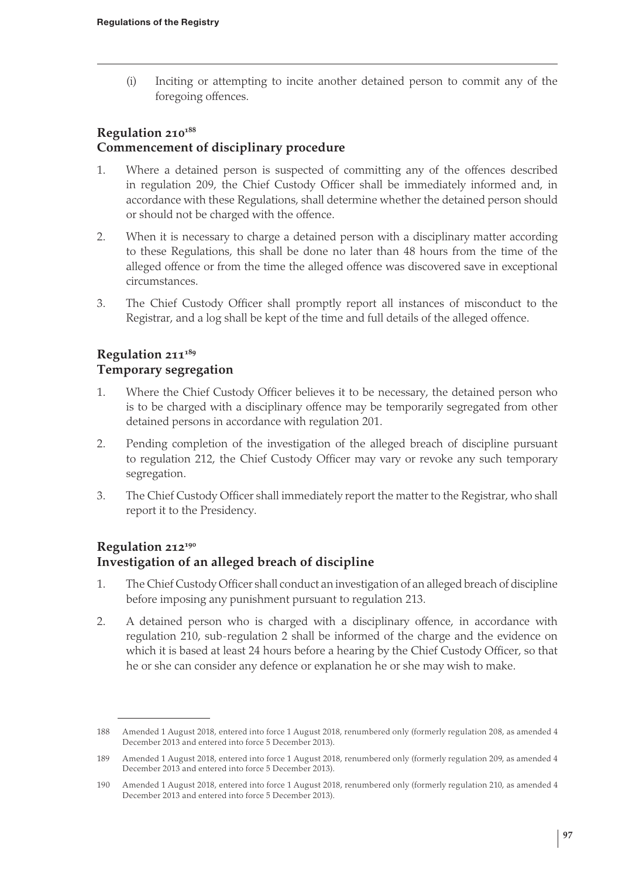(i) Inciting or attempting to incite another detained person to commit any of the foregoing offences.

### **Regulation 210188 Commencement of disciplinary procedure**

- 1. Where a detained person is suspected of committing any of the offences described in regulation 209, the Chief Custody Officer shall be immediately informed and, in accordance with these Regulations, shall determine whether the detained person should or should not be charged with the offence.
- 2. When it is necessary to charge a detained person with a disciplinary matter according to these Regulations, this shall be done no later than 48 hours from the time of the alleged offence or from the time the alleged offence was discovered save in exceptional circumstances.
- 3. The Chief Custody Officer shall promptly report all instances of misconduct to the Registrar, and a log shall be kept of the time and full details of the alleged offence.

### **Regulation 211189 Temporary segregation**

- 1. Where the Chief Custody Officer believes it to be necessary, the detained person who is to be charged with a disciplinary offence may be temporarily segregated from other detained persons in accordance with regulation 201.
- 2. Pending completion of the investigation of the alleged breach of discipline pursuant to regulation 212, the Chief Custody Officer may vary or revoke any such temporary segregation.
- 3. The Chief Custody Officer shall immediately report the matter to the Registrar, who shall report it to the Presidency.

### **Regulation 212190 Investigation of an alleged breach of discipline**

- 1. The Chief Custody Officer shall conduct an investigation of an alleged breach of discipline before imposing any punishment pursuant to regulation 213.
- 2. A detained person who is charged with a disciplinary offence, in accordance with regulation 210, sub-regulation 2 shall be informed of the charge and the evidence on which it is based at least 24 hours before a hearing by the Chief Custody Officer, so that he or she can consider any defence or explanation he or she may wish to make.

<sup>188</sup> Amended 1 August 2018, entered into force 1 August 2018, renumbered only (formerly regulation 208, as amended 4 December 2013 and entered into force 5 December 2013).

<sup>189</sup> Amended 1 August 2018, entered into force 1 August 2018, renumbered only (formerly regulation 209, as amended 4 December 2013 and entered into force 5 December 2013).

<sup>190</sup> Amended 1 August 2018, entered into force 1 August 2018, renumbered only (formerly regulation 210, as amended 4 December 2013 and entered into force 5 December 2013).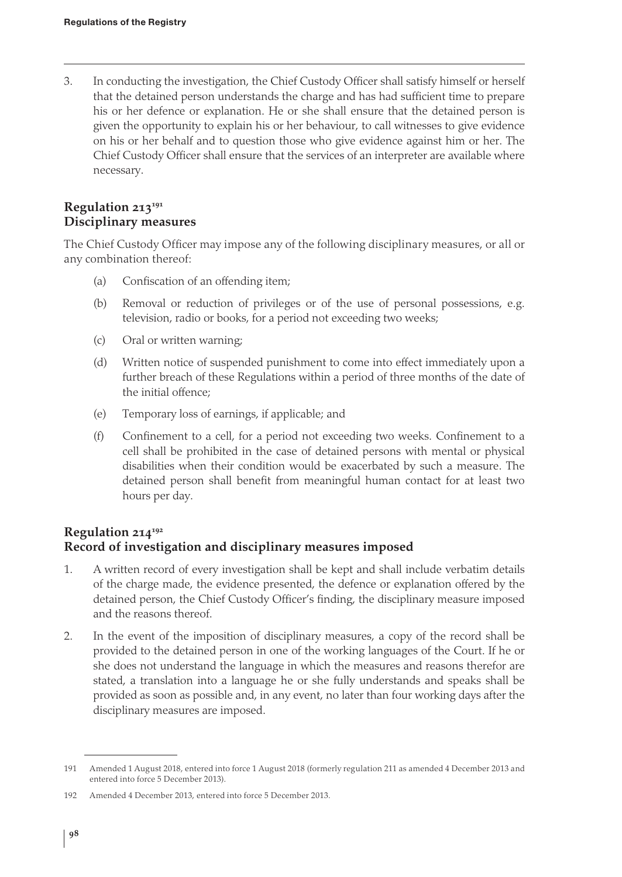3. In conducting the investigation, the Chief Custody Officer shall satisfy himself or herself that the detained person understands the charge and has had sufficient time to prepare his or her defence or explanation. He or she shall ensure that the detained person is given the opportunity to explain his or her behaviour, to call witnesses to give evidence on his or her behalf and to question those who give evidence against him or her. The Chief Custody Officer shall ensure that the services of an interpreter are available where necessary.

#### **Regulation 213191 Disciplinary measures**

The Chief Custody Officer may impose any of the following disciplinary measures, or all or any combination thereof:

- (a) Confiscation of an offending item;
- (b) Removal or reduction of privileges or of the use of personal possessions, e.g. television, radio or books, for a period not exceeding two weeks;
- (c) Oral or written warning;
- (d) Written notice of suspended punishment to come into effect immediately upon a further breach of these Regulations within a period of three months of the date of the initial offence;
- (e) Temporary loss of earnings, if applicable; and
- (f) Confinement to a cell, for a period not exceeding two weeks. Confinement to a cell shall be prohibited in the case of detained persons with mental or physical disabilities when their condition would be exacerbated by such a measure. The detained person shall benefit from meaningful human contact for at least two hours per day.

#### **Regulation 214192 Record of investigation and disciplinary measures imposed**

- 1. A written record of every investigation shall be kept and shall include verbatim details of the charge made, the evidence presented, the defence or explanation offered by the detained person, the Chief Custody Officer's finding, the disciplinary measure imposed and the reasons thereof.
- 2. In the event of the imposition of disciplinary measures, a copy of the record shall be provided to the detained person in one of the working languages of the Court. If he or she does not understand the language in which the measures and reasons therefor are stated, a translation into a language he or she fully understands and speaks shall be provided as soon as possible and, in any event, no later than four working days after the disciplinary measures are imposed.

<sup>191</sup> Amended 1 August 2018, entered into force 1 August 2018 (formerly regulation 211 as amended 4 December 2013 and entered into force 5 December 2013).

<sup>192</sup> Amended 4 December 2013, entered into force 5 December 2013.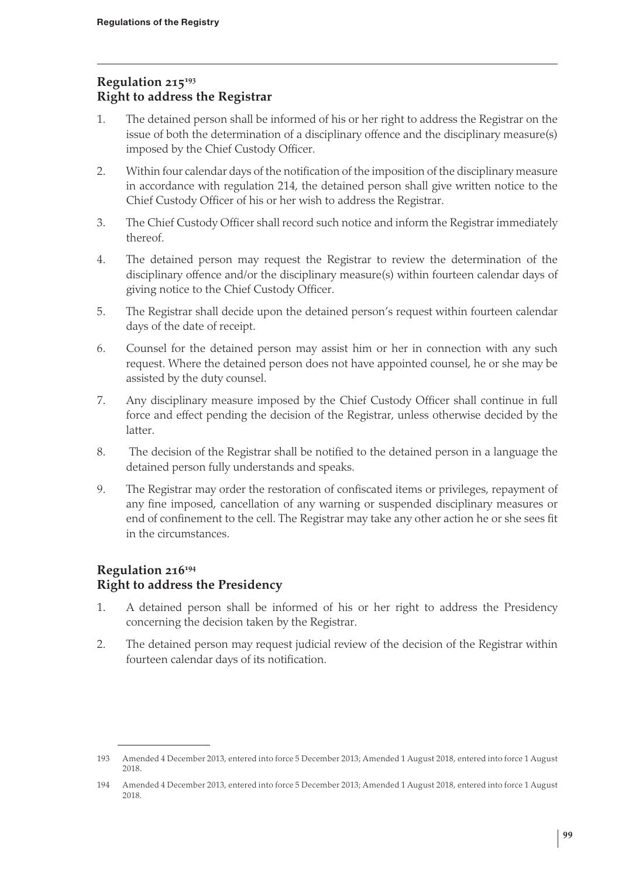# **Regulation 215193 Right to address the Registrar**

- 1. The detained person shall be informed of his or her right to address the Registrar on the issue of both the determination of a disciplinary offence and the disciplinary measure(s) imposed by the Chief Custody Officer.
- 2. Within four calendar days of the notification of the imposition of the disciplinary measure in accordance with regulation 214, the detained person shall give written notice to the Chief Custody Officer of his or her wish to address the Registrar.
- 3. The Chief Custody Officer shall record such notice and inform the Registrar immediately thereof.
- 4. The detained person may request the Registrar to review the determination of the disciplinary offence and/or the disciplinary measure(s) within fourteen calendar days of giving notice to the Chief Custody Officer.
- 5. The Registrar shall decide upon the detained person's request within fourteen calendar days of the date of receipt.
- 6. Counsel for the detained person may assist him or her in connection with any such request. Where the detained person does not have appointed counsel, he or she may be assisted by the duty counsel.
- 7. Any disciplinary measure imposed by the Chief Custody Officer shall continue in full force and effect pending the decision of the Registrar, unless otherwise decided by the latter.
- 8. The decision of the Registrar shall be notified to the detained person in a language the detained person fully understands and speaks.
- 9. The Registrar may order the restoration of confiscated items or privileges, repayment of any fine imposed, cancellation of any warning or suspended disciplinary measures or end of confinement to the cell. The Registrar may take any other action he or she sees fit in the circumstances.

### **Regulation 216194 Right to address the Presidency**

- 1. A detained person shall be informed of his or her right to address the Presidency concerning the decision taken by the Registrar.
- 2. The detained person may request judicial review of the decision of the Registrar within fourteen calendar days of its notification.

<sup>193</sup> Amended 4 December 2013, entered into force 5 December 2013; Amended 1 August 2018, entered into force 1 August 2018.

<sup>194</sup> Amended 4 December 2013, entered into force 5 December 2013; Amended 1 August 2018, entered into force 1 August 2018.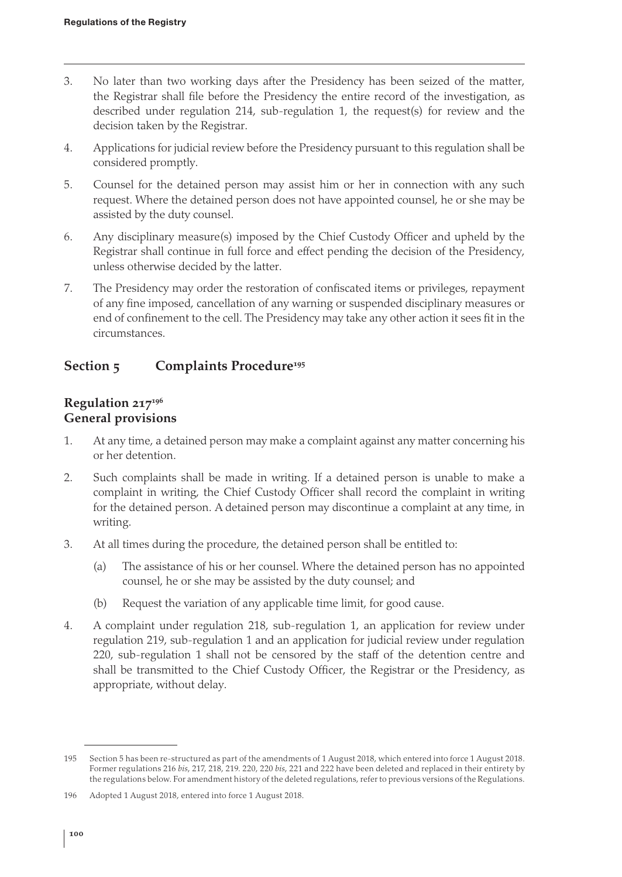- 3. No later than two working days after the Presidency has been seized of the matter, the Registrar shall file before the Presidency the entire record of the investigation, as described under regulation 214, sub-regulation 1, the request(s) for review and the decision taken by the Registrar.
- 4. Applications for judicial review before the Presidency pursuant to this regulation shall be considered promptly.
- 5. Counsel for the detained person may assist him or her in connection with any such request. Where the detained person does not have appointed counsel, he or she may be assisted by the duty counsel.
- 6. Any disciplinary measure(s) imposed by the Chief Custody Officer and upheld by the Registrar shall continue in full force and effect pending the decision of the Presidency, unless otherwise decided by the latter.
- 7. The Presidency may order the restoration of confiscated items or privileges, repayment of any fine imposed, cancellation of any warning or suspended disciplinary measures or end of confinement to the cell. The Presidency may take any other action it sees fit in the circumstances.

### Section 5 Complaints Procedure<sup>195</sup>

#### **Regulation 217196 General provisions**

- 1. At any time, a detained person may make a complaint against any matter concerning his or her detention.
- 2. Such complaints shall be made in writing. If a detained person is unable to make a complaint in writing, the Chief Custody Officer shall record the complaint in writing for the detained person. A detained person may discontinue a complaint at any time, in writing.
- 3. At all times during the procedure, the detained person shall be entitled to:
	- (a) The assistance of his or her counsel. Where the detained person has no appointed counsel, he or she may be assisted by the duty counsel; and
	- (b) Request the variation of any applicable time limit, for good cause.
- 4. A complaint under regulation 218, sub-regulation 1, an application for review under regulation 219, sub-regulation 1 and an application for judicial review under regulation 220, sub-regulation 1 shall not be censored by the staff of the detention centre and shall be transmitted to the Chief Custody Officer, the Registrar or the Presidency, as appropriate, without delay.

<sup>195</sup> Section 5 has been re-structured as part of the amendments of 1 August 2018, which entered into force 1 August 2018. Former regulations 216 *bis*, 217, 218, 219. 220, 220 *bis*, 221 and 222 have been deleted and replaced in their entirety by the regulations below. For amendment history of the deleted regulations, refer to previous versions of the Regulations.

<sup>196</sup> Adopted 1 August 2018, entered into force 1 August 2018.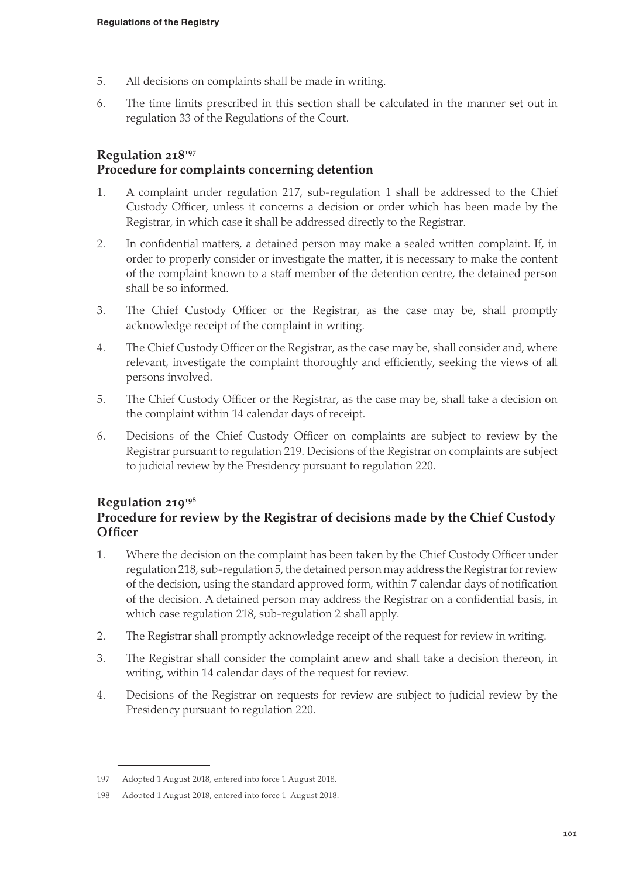- 5. All decisions on complaints shall be made in writing.
- 6. The time limits prescribed in this section shall be calculated in the manner set out in regulation 33 of the Regulations of the Court.

#### **Regulation 218197 Procedure for complaints concerning detention**

- 1. A complaint under regulation 217, sub-regulation 1 shall be addressed to the Chief Custody Officer, unless it concerns a decision or order which has been made by the Registrar, in which case it shall be addressed directly to the Registrar.
- 2. In confidential matters, a detained person may make a sealed written complaint. If, in order to properly consider or investigate the matter, it is necessary to make the content of the complaint known to a staff member of the detention centre, the detained person shall be so informed.
- 3. The Chief Custody Officer or the Registrar, as the case may be, shall promptly acknowledge receipt of the complaint in writing.
- 4. The Chief Custody Officer or the Registrar, as the case may be, shall consider and, where relevant, investigate the complaint thoroughly and efficiently, seeking the views of all persons involved.
- 5. The Chief Custody Officer or the Registrar, as the case may be, shall take a decision on the complaint within 14 calendar days of receipt.
- 6. Decisions of the Chief Custody Officer on complaints are subject to review by the Registrar pursuant to regulation 219. Decisions of the Registrar on complaints are subject to judicial review by the Presidency pursuant to regulation 220.

#### **Regulation 219198 Procedure for review by the Registrar of decisions made by the Chief Custody Officer**

- 1. Where the decision on the complaint has been taken by the Chief Custody Officer under regulation 218, sub-regulation 5, the detained person may address the Registrar for review of the decision, using the standard approved form, within 7 calendar days of notification of the decision. A detained person may address the Registrar on a confidential basis, in which case regulation 218, sub-regulation 2 shall apply.
- 2. The Registrar shall promptly acknowledge receipt of the request for review in writing.
- 3. The Registrar shall consider the complaint anew and shall take a decision thereon, in writing, within 14 calendar days of the request for review.
- 4. Decisions of the Registrar on requests for review are subject to judicial review by the Presidency pursuant to regulation 220.

<sup>197</sup> Adopted 1 August 2018, entered into force 1 August 2018.

<sup>198</sup> Adopted 1 August 2018, entered into force 1 August 2018.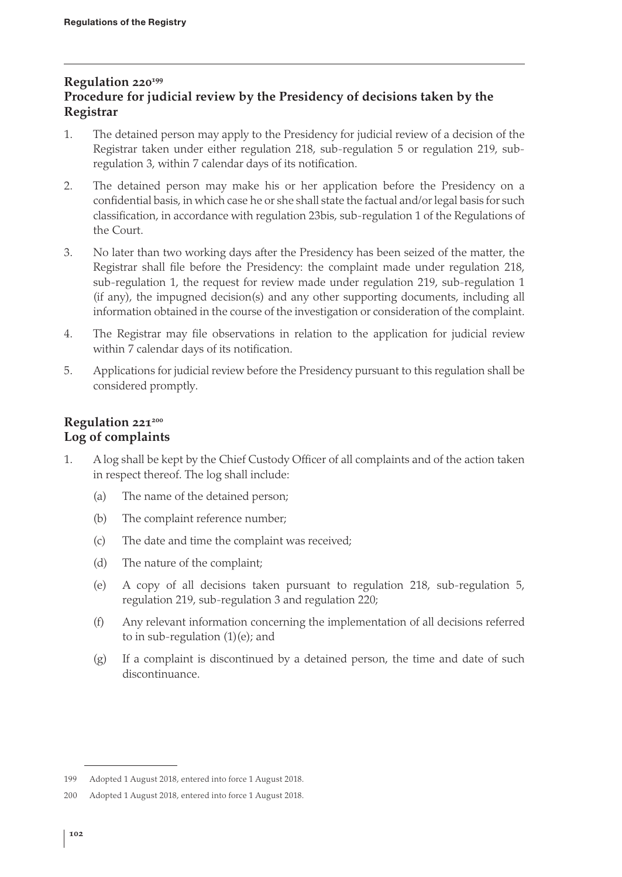## **Regulation 220199 Procedure for judicial review by the Presidency of decisions taken by the Registrar**

- 1. The detained person may apply to the Presidency for judicial review of a decision of the Registrar taken under either regulation 218, sub-regulation 5 or regulation 219, subregulation 3, within 7 calendar days of its notification.
- 2. The detained person may make his or her application before the Presidency on a confidential basis, in which case he or she shall state the factual and/or legal basis for such classification, in accordance with regulation 23bis, sub-regulation 1 of the Regulations of the Court.
- 3. No later than two working days after the Presidency has been seized of the matter, the Registrar shall file before the Presidency: the complaint made under regulation 218, sub-regulation 1, the request for review made under regulation 219, sub-regulation 1 (if any), the impugned decision(s) and any other supporting documents, including all information obtained in the course of the investigation or consideration of the complaint.
- 4. The Registrar may file observations in relation to the application for judicial review within 7 calendar days of its notification.
- 5. Applications for judicial review before the Presidency pursuant to this regulation shall be considered promptly.

## **Regulation 221200 Log of complaints**

- 1. A log shall be kept by the Chief Custody Officer of all complaints and of the action taken in respect thereof. The log shall include:
	- (a) The name of the detained person;
	- (b) The complaint reference number;
	- (c) The date and time the complaint was received;
	- (d) The nature of the complaint;
	- (e) A copy of all decisions taken pursuant to regulation 218, sub-regulation 5, regulation 219, sub-regulation 3 and regulation 220;
	- (f) Any relevant information concerning the implementation of all decisions referred to in sub-regulation  $(1)(e)$ ; and
	- (g) If a complaint is discontinued by a detained person, the time and date of such discontinuance.

<sup>199</sup> Adopted 1 August 2018, entered into force 1 August 2018.

<sup>200</sup> Adopted 1 August 2018, entered into force 1 August 2018.